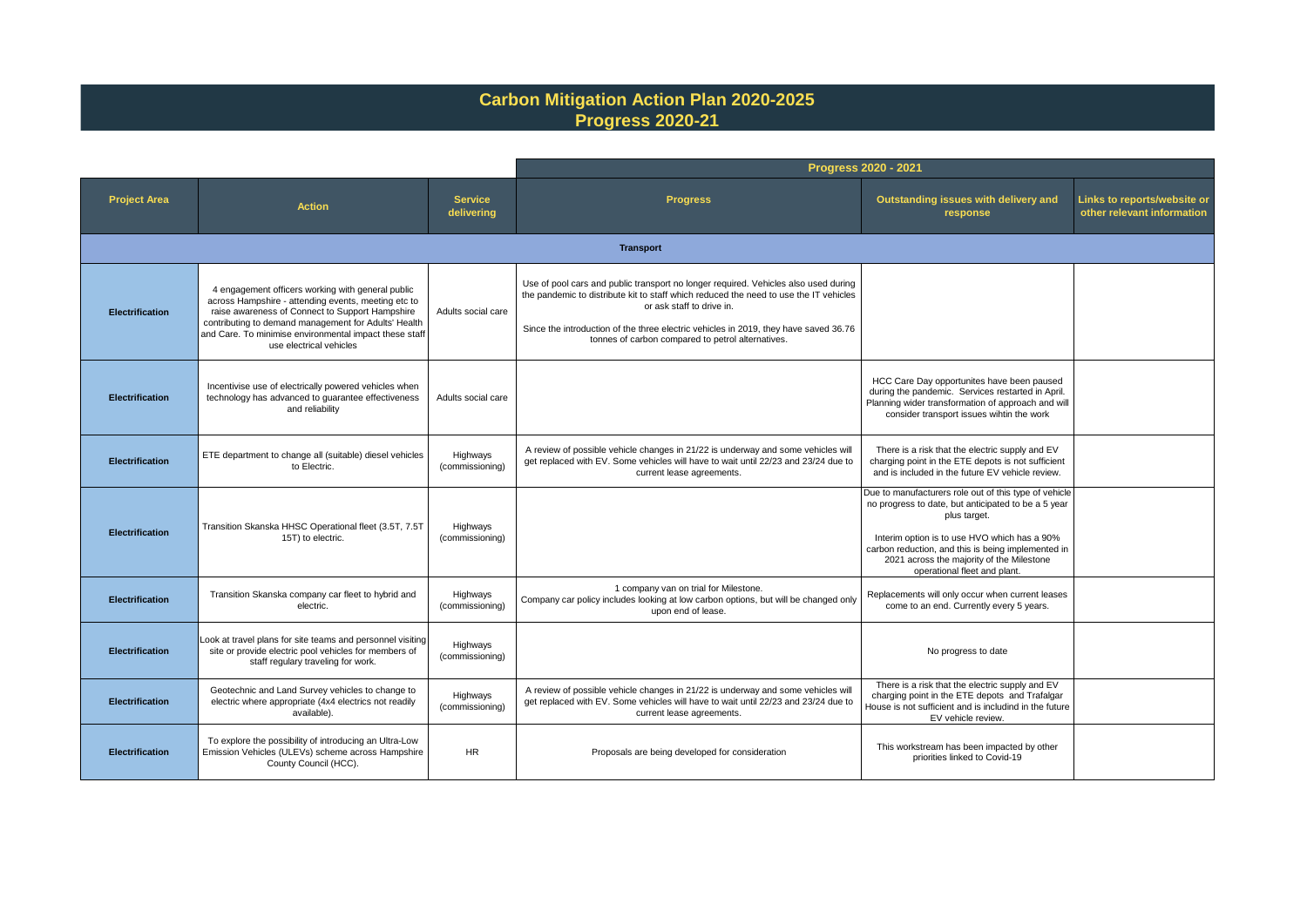## **Carbon Mitigation Action Plan 2020-2025 Progress 2020-21**

|                        |                                                                                                                                                                                                                                                                                                          |                              | Progress 2020 - 2021                                                                                                                                                                                                                                                                                                                                   |                                                                                                                                                                                                                                                                                                                 |                                                           |  |
|------------------------|----------------------------------------------------------------------------------------------------------------------------------------------------------------------------------------------------------------------------------------------------------------------------------------------------------|------------------------------|--------------------------------------------------------------------------------------------------------------------------------------------------------------------------------------------------------------------------------------------------------------------------------------------------------------------------------------------------------|-----------------------------------------------------------------------------------------------------------------------------------------------------------------------------------------------------------------------------------------------------------------------------------------------------------------|-----------------------------------------------------------|--|
| <b>Project Area</b>    | <b>Action</b>                                                                                                                                                                                                                                                                                            | <b>Service</b><br>delivering | <b>Progress</b>                                                                                                                                                                                                                                                                                                                                        | Outstanding issues with delivery and<br>response                                                                                                                                                                                                                                                                | Links to reports/website or<br>other relevant information |  |
|                        |                                                                                                                                                                                                                                                                                                          |                              | <b>Transport</b>                                                                                                                                                                                                                                                                                                                                       |                                                                                                                                                                                                                                                                                                                 |                                                           |  |
| <b>Electrification</b> | 4 engagement officers working with general public<br>across Hampshire - attending events, meeting etc to<br>raise awareness of Connect to Support Hampshire<br>contributing to demand management for Adults' Health<br>and Care. To minimise environmental impact these staff<br>use electrical vehicles | Adults social care           | Use of pool cars and public transport no longer required. Vehicles also used during<br>the pandemic to distribute kit to staff which reduced the need to use the IT vehicles<br>or ask staff to drive in.<br>Since the introduction of the three electric vehicles in 2019, they have saved 36.76<br>tonnes of carbon compared to petrol alternatives. |                                                                                                                                                                                                                                                                                                                 |                                                           |  |
| <b>Electrification</b> | Incentivise use of electrically powered vehicles when<br>technology has advanced to guarantee effectiveness<br>and reliability                                                                                                                                                                           | Adults social care           |                                                                                                                                                                                                                                                                                                                                                        | HCC Care Day opportunites have been paused<br>during the pandemic. Services restarted in April.<br>Planning wider transformation of approach and will<br>consider transport issues wihtin the work                                                                                                              |                                                           |  |
| <b>Electrification</b> | ETE department to change all (suitable) diesel vehicles<br>to Electric.                                                                                                                                                                                                                                  | Highways<br>(commissioning)  | A review of possible vehicle changes in 21/22 is underway and some vehicles will<br>get replaced with EV. Some vehicles will have to wait until 22/23 and 23/24 due to<br>current lease agreements.                                                                                                                                                    | There is a risk that the electric supply and EV<br>charging point in the ETE depots is not sufficient<br>and is included in the future EV vehicle review.                                                                                                                                                       |                                                           |  |
| <b>Electrification</b> | Transition Skanska HHSC Operational fleet (3.5T, 7.5T<br>15T) to electric.                                                                                                                                                                                                                               | Highways<br>(commissioning)  |                                                                                                                                                                                                                                                                                                                                                        | Due to manufacturers role out of this type of vehicle<br>no progress to date, but anticipated to be a 5 year<br>plus target.<br>Interim option is to use HVO which has a 90%<br>carbon reduction, and this is being implemented in<br>2021 across the majority of the Milestone<br>operational fleet and plant. |                                                           |  |
| <b>Electrification</b> | Transition Skanska company car fleet to hybrid and<br>electric.                                                                                                                                                                                                                                          | Highways<br>(commissioning)  | 1 company van on trial for Milestone.<br>Company car policy includes looking at low carbon options, but will be changed only<br>upon end of lease.                                                                                                                                                                                                     | Replacements will only occur when current leases<br>come to an end. Currently every 5 years.                                                                                                                                                                                                                    |                                                           |  |
| <b>Electrification</b> | Look at travel plans for site teams and personnel visiting<br>site or provide electric pool vehicles for members of<br>staff regulary traveling for work.                                                                                                                                                | Highways<br>(commissioning)  |                                                                                                                                                                                                                                                                                                                                                        | No progress to date                                                                                                                                                                                                                                                                                             |                                                           |  |
| <b>Electrification</b> | Geotechnic and Land Survey vehicles to change to<br>electric where appropriate (4x4 electrics not readily<br>available).                                                                                                                                                                                 | Highways<br>(commissioning)  | A review of possible vehicle changes in 21/22 is underway and some vehicles will<br>get replaced with EV. Some vehicles will have to wait until 22/23 and 23/24 due to<br>current lease agreements.                                                                                                                                                    | There is a risk that the electric supply and EV<br>charging point in the ETE depots and Trafalgar<br>House is not sufficient and is includind in the future<br>EV vehicle review.                                                                                                                               |                                                           |  |
| <b>Electrification</b> | To explore the possibility of introducing an Ultra-Low<br>Emission Vehicles (ULEVs) scheme across Hampshire<br>County Council (HCC).                                                                                                                                                                     | <b>HR</b>                    | Proposals are being developed for consideration                                                                                                                                                                                                                                                                                                        | This workstream has been impacted by other<br>priorities linked to Covid-19                                                                                                                                                                                                                                     |                                                           |  |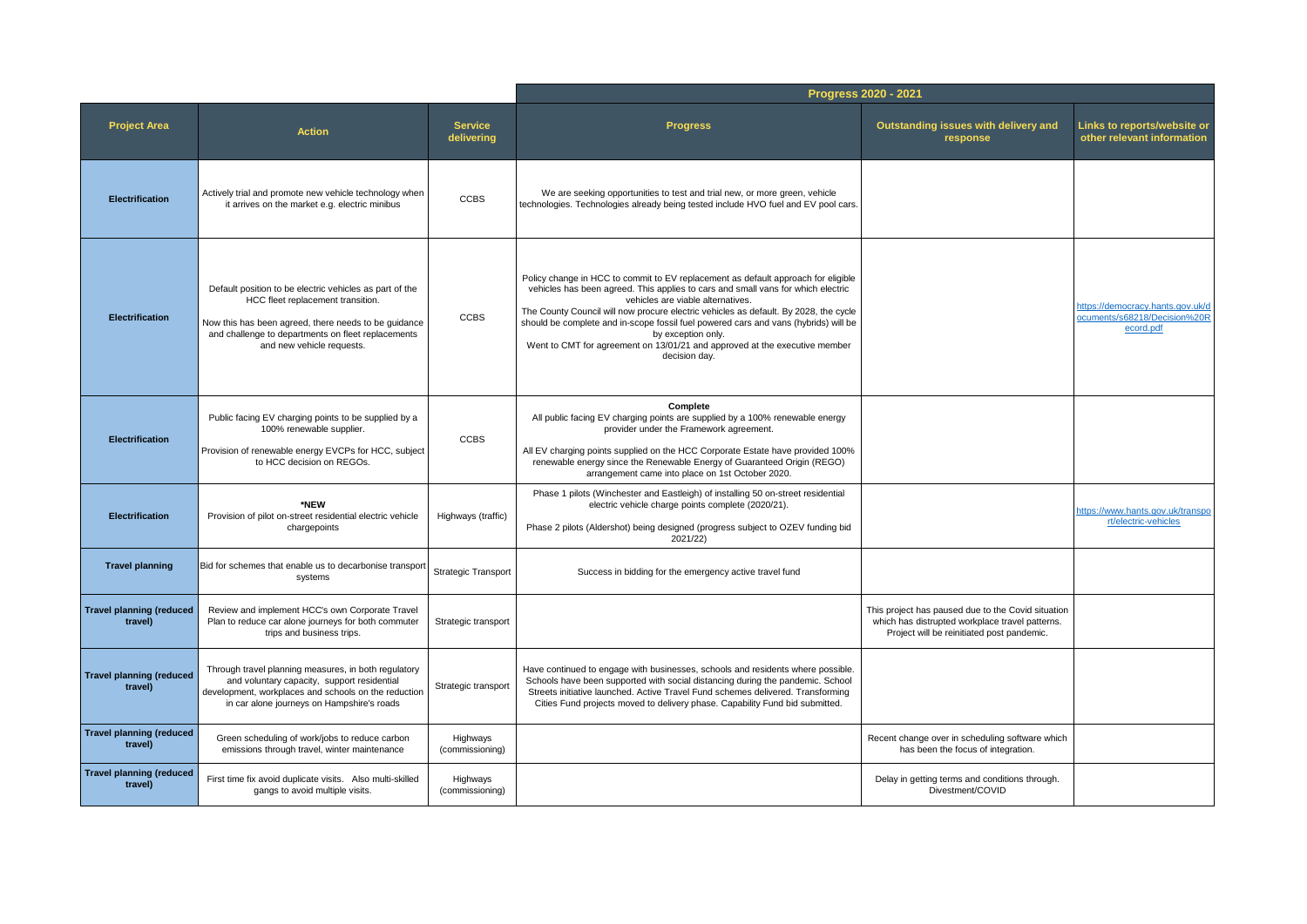|                                            |                                                                                                                                                                                                                                         |                              | Progress 2020 - 2021                                                                                                                                                                                                                                                                                                                                                                                                                                                                                           |                                                                                                                                                     |                                                                               |
|--------------------------------------------|-----------------------------------------------------------------------------------------------------------------------------------------------------------------------------------------------------------------------------------------|------------------------------|----------------------------------------------------------------------------------------------------------------------------------------------------------------------------------------------------------------------------------------------------------------------------------------------------------------------------------------------------------------------------------------------------------------------------------------------------------------------------------------------------------------|-----------------------------------------------------------------------------------------------------------------------------------------------------|-------------------------------------------------------------------------------|
| <b>Project Area</b>                        | <b>Action</b>                                                                                                                                                                                                                           | <b>Service</b><br>delivering | <b>Progress</b>                                                                                                                                                                                                                                                                                                                                                                                                                                                                                                | Outstanding issues with delivery and<br>response                                                                                                    | <b>Links to reports/website or</b><br>other relevant information              |
| <b>Electrification</b>                     | Actively trial and promote new vehicle technology when<br>it arrives on the market e.g. electric minibus                                                                                                                                | <b>CCBS</b>                  | We are seeking opportunities to test and trial new, or more green, vehicle<br>technologies. Technologies already being tested include HVO fuel and EV pool cars.                                                                                                                                                                                                                                                                                                                                               |                                                                                                                                                     |                                                                               |
| <b>Electrification</b>                     | Default position to be electric vehicles as part of the<br>HCC fleet replacement transition.<br>Now this has been agreed, there needs to be guidance<br>and challenge to departments on fleet replacements<br>and new vehicle requests. | <b>CCBS</b>                  | Policy change in HCC to commit to EV replacement as default approach for eligible<br>vehicles has been agreed. This applies to cars and small vans for which electric<br>vehicles are viable alternatives.<br>The County Council will now procure electric vehicles as default. By 2028, the cycle<br>should be complete and in-scope fossil fuel powered cars and vans (hybrids) will be<br>by exception only.<br>Went to CMT for agreement on 13/01/21 and approved at the executive member<br>decision day. |                                                                                                                                                     | https://democracy.hants.gov.uk/d<br>ocuments/s68218/Decision%20R<br>ecord.pdf |
| <b>Electrification</b>                     | Public facing EV charging points to be supplied by a<br>100% renewable supplier.<br>Provision of renewable energy EVCPs for HCC, subject<br>to HCC decision on REGOs.                                                                   | <b>CCBS</b>                  | Complete<br>All public facing EV charging points are supplied by a 100% renewable energy<br>provider under the Framework agreement.<br>All EV charging points supplied on the HCC Corporate Estate have provided 100%<br>renewable energy since the Renewable Energy of Guaranteed Origin (REGO)<br>arrangement came into place on 1st October 2020.                                                                                                                                                           |                                                                                                                                                     |                                                                               |
| Electrification                            | *NEW<br>Provision of pilot on-street residential electric vehicle<br>chargepoints                                                                                                                                                       | Highways (traffic)           | Phase 1 pilots (Winchester and Eastleigh) of installing 50 on-street residential<br>electric vehicle charge points complete (2020/21).<br>Phase 2 pilots (Aldershot) being designed (progress subject to OZEV funding bid<br>2021/22)                                                                                                                                                                                                                                                                          |                                                                                                                                                     | https://www.hants.gov.uk/transpo<br>rt/electric-vehicles                      |
| <b>Travel planning</b>                     | Bid for schemes that enable us to decarbonise transport<br>systems                                                                                                                                                                      | Strategic Transport          | Success in bidding for the emergency active travel fund                                                                                                                                                                                                                                                                                                                                                                                                                                                        |                                                                                                                                                     |                                                                               |
| <b>Travel planning (reduced</b><br>travel) | Review and implement HCC's own Corporate Travel<br>Plan to reduce car alone journeys for both commuter<br>trips and business trips.                                                                                                     | Strategic transport          |                                                                                                                                                                                                                                                                                                                                                                                                                                                                                                                | This project has paused due to the Covid situation<br>which has distrupted workplace travel patterns.<br>Project will be reinitiated post pandemic. |                                                                               |
| <b>Travel planning (reduced</b><br>travel) | Through travel planning measures, in both regulatory<br>and voluntary capacity, support residential<br>development, workplaces and schools on the reduction<br>in car alone journeys on Hampshire's roads                               | Strategic transport          | Have continued to engage with businesses, schools and residents where possible.<br>Schools have been supported with social distancing during the pandemic. School<br>Streets initiative launched. Active Travel Fund schemes delivered. Transforming<br>Cities Fund projects moved to delivery phase. Capability Fund bid submitted.                                                                                                                                                                           |                                                                                                                                                     |                                                                               |
| <b>Travel planning (reduced</b><br>travel) | Green scheduling of work/jobs to reduce carbon<br>emissions through travel, winter maintenance                                                                                                                                          | Highways<br>(commissioning)  |                                                                                                                                                                                                                                                                                                                                                                                                                                                                                                                | Recent change over in scheduling software which<br>has been the focus of integration.                                                               |                                                                               |
| <b>Travel planning (reduced</b><br>travel) | First time fix avoid duplicate visits. Also multi-skilled<br>gangs to avoid multiple visits.                                                                                                                                            | Highways<br>(commissioning)  |                                                                                                                                                                                                                                                                                                                                                                                                                                                                                                                | Delay in getting terms and conditions through.<br>Divestment/COVID                                                                                  |                                                                               |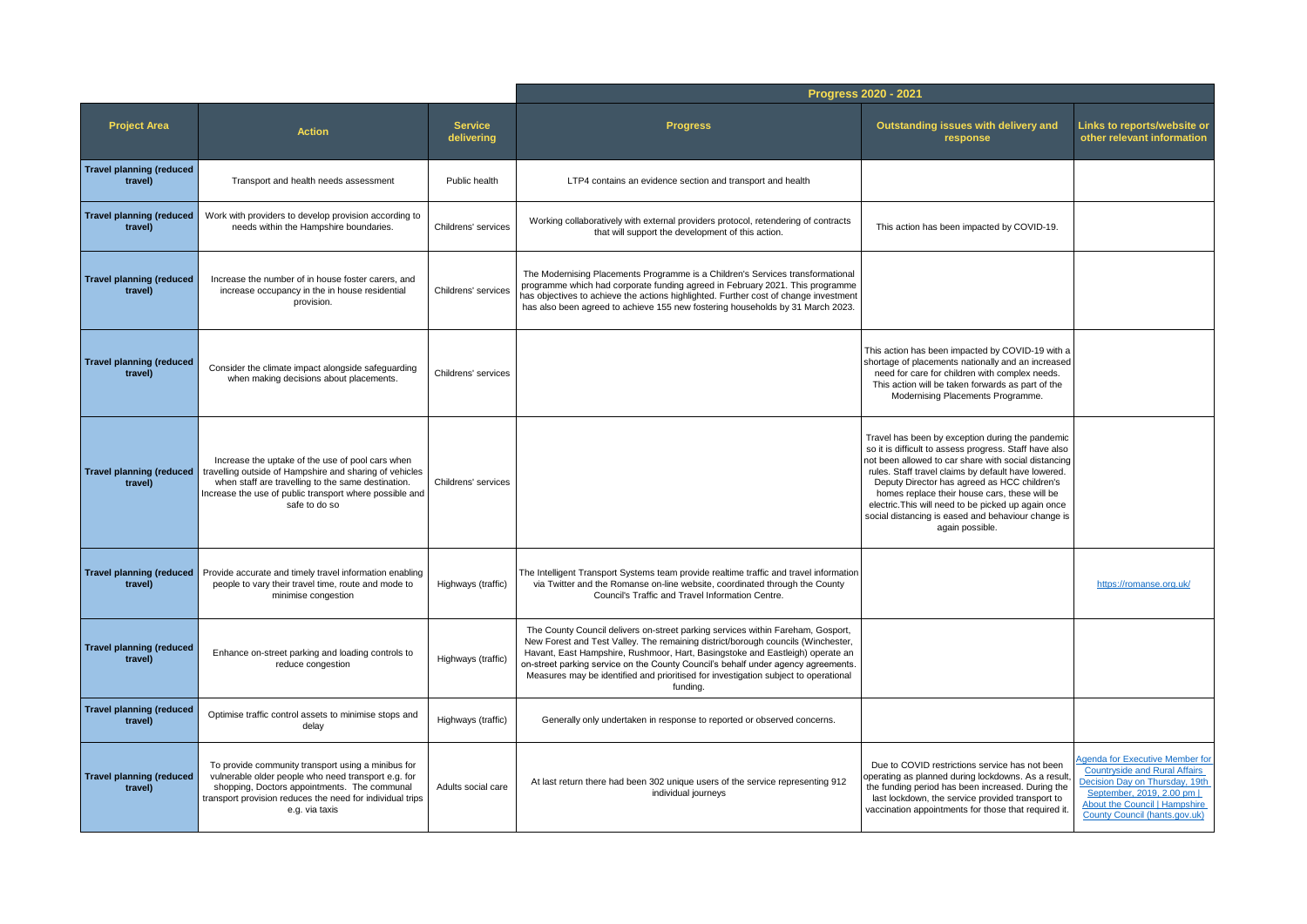|                                            |                                                                                                                                                                                                                                               |                              | Progress 2020 - 2021                                                                                                                                                                                                                                                                                                                                                                                                                         |                                                                                                                                                                                                                                                                                                                                                                                                                                                            |                                                                                                                                                                                                         |
|--------------------------------------------|-----------------------------------------------------------------------------------------------------------------------------------------------------------------------------------------------------------------------------------------------|------------------------------|----------------------------------------------------------------------------------------------------------------------------------------------------------------------------------------------------------------------------------------------------------------------------------------------------------------------------------------------------------------------------------------------------------------------------------------------|------------------------------------------------------------------------------------------------------------------------------------------------------------------------------------------------------------------------------------------------------------------------------------------------------------------------------------------------------------------------------------------------------------------------------------------------------------|---------------------------------------------------------------------------------------------------------------------------------------------------------------------------------------------------------|
| <b>Project Area</b>                        | <b>Action</b>                                                                                                                                                                                                                                 | <b>Service</b><br>delivering | <b>Progress</b>                                                                                                                                                                                                                                                                                                                                                                                                                              | Outstanding issues with delivery and<br>response                                                                                                                                                                                                                                                                                                                                                                                                           | Links to reports/website or<br>other relevant information                                                                                                                                               |
| <b>Travel planning (reduced</b><br>travel) | Transport and health needs assessment                                                                                                                                                                                                         | Public health                | LTP4 contains an evidence section and transport and health                                                                                                                                                                                                                                                                                                                                                                                   |                                                                                                                                                                                                                                                                                                                                                                                                                                                            |                                                                                                                                                                                                         |
| <b>Travel planning (reduced</b><br>travel) | Work with providers to develop provision according to<br>needs within the Hampshire boundaries.                                                                                                                                               | Childrens' services          | Working collaboratively with external providers protocol, retendering of contracts<br>that will support the development of this action.                                                                                                                                                                                                                                                                                                      | This action has been impacted by COVID-19.                                                                                                                                                                                                                                                                                                                                                                                                                 |                                                                                                                                                                                                         |
| <b>Travel planning (reduced</b><br>travel) | Increase the number of in house foster carers, and<br>increase occupancy in the in house residential<br>provision.                                                                                                                            | Childrens' services          | The Modernising Placements Programme is a Children's Services transformational<br>programme which had corporate funding agreed in February 2021. This programme<br>has objectives to achieve the actions highlighted. Further cost of change investment<br>has also been agreed to achieve 155 new fostering households by 31 March 2023.                                                                                                    |                                                                                                                                                                                                                                                                                                                                                                                                                                                            |                                                                                                                                                                                                         |
| <b>Travel planning (reduced</b><br>travel) | Consider the climate impact alongside safeguarding<br>when making decisions about placements.                                                                                                                                                 | Childrens' services          |                                                                                                                                                                                                                                                                                                                                                                                                                                              | This action has been impacted by COVID-19 with a<br>shortage of placements nationally and an increased<br>need for care for children with complex needs.<br>This action will be taken forwards as part of the<br>Modernising Placements Programme.                                                                                                                                                                                                         |                                                                                                                                                                                                         |
| <b>Travel planning (reduced</b><br>travel) | Increase the uptake of the use of pool cars when<br>travelling outside of Hampshire and sharing of vehicles<br>when staff are travelling to the same destination.<br>Increase the use of public transport where possible and<br>safe to do so | Childrens' services          |                                                                                                                                                                                                                                                                                                                                                                                                                                              | Travel has been by exception during the pandemic<br>so it is difficult to assess progress. Staff have also<br>not been allowed to car share with social distancing<br>rules. Staff travel claims by default have lowered.<br>Deputy Director has agreed as HCC children's<br>homes replace their house cars, these will be<br>electric. This will need to be picked up again once<br>social distancing is eased and behaviour change is<br>again possible. |                                                                                                                                                                                                         |
| <b>Travel planning (reduced</b><br>travel) | Provide accurate and timely travel information enabling<br>people to vary their travel time, route and mode to<br>minimise congestion                                                                                                         | Highways (traffic)           | The Intelligent Transport Systems team provide realtime traffic and travel information<br>via Twitter and the Romanse on-line website, coordinated through the County<br>Council's Traffic and Travel Information Centre.                                                                                                                                                                                                                    |                                                                                                                                                                                                                                                                                                                                                                                                                                                            | https://romanse.org.uk/                                                                                                                                                                                 |
| <b>Travel planning (reduced</b><br>travel) | Enhance on-street parking and loading controls to<br>reduce congestion                                                                                                                                                                        | Highways (traffic)           | The County Council delivers on-street parking services within Fareham, Gosport,<br>New Forest and Test Valley. The remaining district/borough councils (Winchester,<br>Havant, East Hampshire, Rushmoor, Hart, Basingstoke and Eastleigh) operate an<br>on-street parking service on the County Council's behalf under agency agreements.<br>Measures may be identified and prioritised for investigation subject to operational<br>funding. |                                                                                                                                                                                                                                                                                                                                                                                                                                                            |                                                                                                                                                                                                         |
| <b>Travel planning (reduced</b><br>travel) | Optimise traffic control assets to minimise stops and<br>delay                                                                                                                                                                                | Highways (traffic)           | Generally only undertaken in response to reported or observed concerns.                                                                                                                                                                                                                                                                                                                                                                      |                                                                                                                                                                                                                                                                                                                                                                                                                                                            |                                                                                                                                                                                                         |
| <b>Travel planning (reduced</b><br>travel) | To provide community transport using a minibus for<br>vulnerable older people who need transport e.g. for<br>shopping, Doctors appointments. The communal<br>transport provision reduces the need for individual trips<br>e.g. via taxis      | Adults social care           | At last return there had been 302 unique users of the service representing 912<br>individual journeys                                                                                                                                                                                                                                                                                                                                        | Due to COVID restrictions service has not been<br>operating as planned during lockdowns. As a result,<br>the funding period has been increased. During the<br>last lockdown, the service provided transport to<br>vaccination appointments for those that required it.                                                                                                                                                                                     | Agenda for Executive Member for<br><b>Countryside and Rural Affairs</b><br>Decision Day on Thursday, 19th<br>September, 2019, 2.00 pm<br>About the Council   Hampshire<br>County Council (hants.gov.uk) |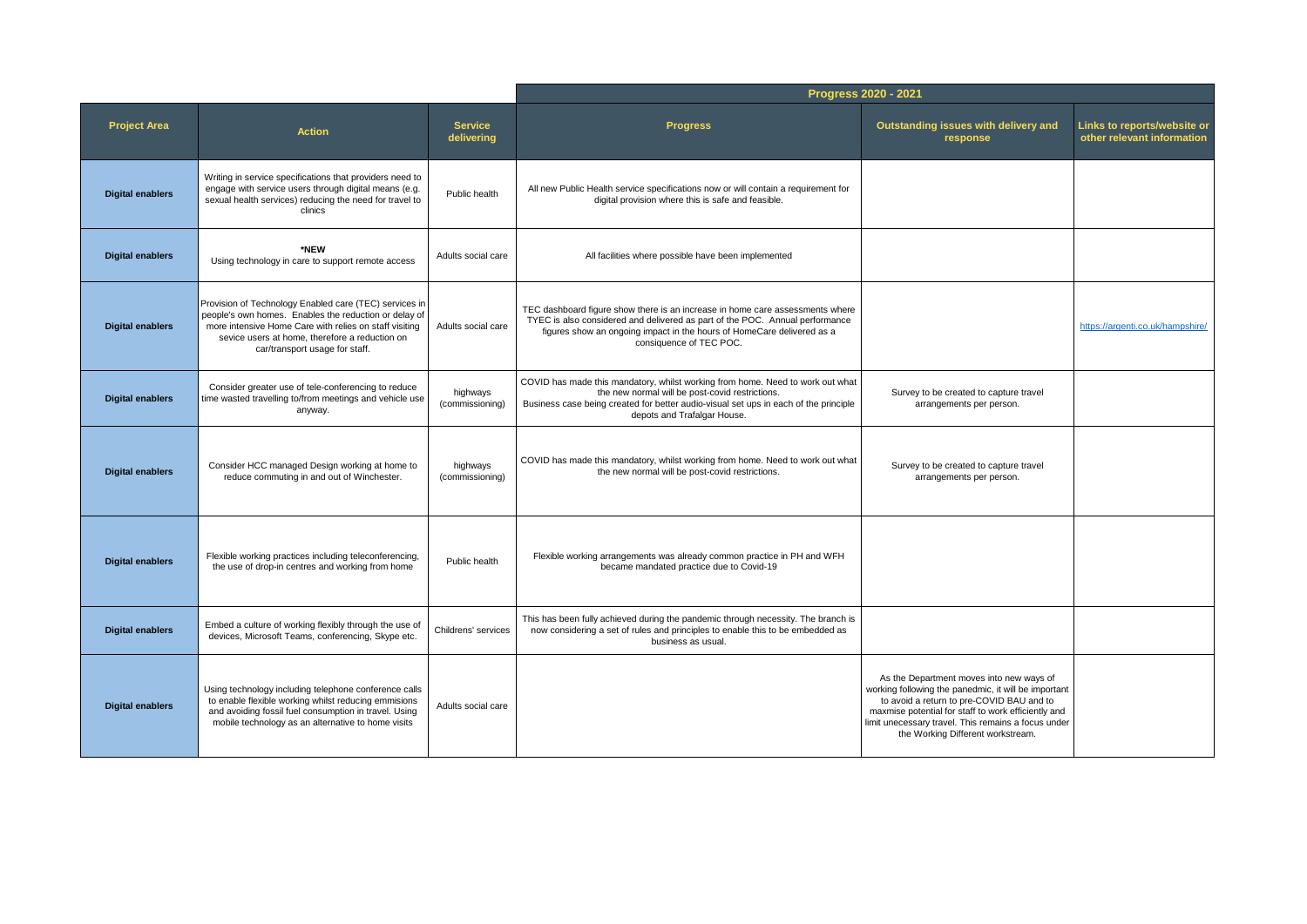|                         |                                                                                                                                                                                                                                                               |                              | Progress 2020 - 2021                                                                                                                                                                                                                                               |                                                                                                                                                                                                                                                                                                  |                                                           |  |
|-------------------------|---------------------------------------------------------------------------------------------------------------------------------------------------------------------------------------------------------------------------------------------------------------|------------------------------|--------------------------------------------------------------------------------------------------------------------------------------------------------------------------------------------------------------------------------------------------------------------|--------------------------------------------------------------------------------------------------------------------------------------------------------------------------------------------------------------------------------------------------------------------------------------------------|-----------------------------------------------------------|--|
| <b>Project Area</b>     | <b>Action</b>                                                                                                                                                                                                                                                 | <b>Service</b><br>delivering | <b>Progress</b>                                                                                                                                                                                                                                                    | Outstanding issues with delivery and<br>response                                                                                                                                                                                                                                                 | Links to reports/website or<br>other relevant information |  |
| <b>Digital enablers</b> | Writing in service specifications that providers need to<br>engage with service users through digital means (e.g.<br>sexual health services) reducing the need for travel to<br>clinics                                                                       | Public health                | All new Public Health service specifications now or will contain a requirement for<br>digital provision where this is safe and feasible.                                                                                                                           |                                                                                                                                                                                                                                                                                                  |                                                           |  |
| <b>Digital enablers</b> | *NEW<br>Using technology in care to support remote access                                                                                                                                                                                                     | Adults social care           | All facilities where possible have been implemented                                                                                                                                                                                                                |                                                                                                                                                                                                                                                                                                  |                                                           |  |
| <b>Digital enablers</b> | Provision of Technology Enabled care (TEC) services in<br>people's own homes. Enables the reduction or delay of<br>more intensive Home Care with relies on staff visiting<br>sevice users at home, therefore a reduction on<br>car/transport usage for staff. | Adults social care           | TEC dashboard figure show there is an increase in home care assessments where<br>TYEC is also considered and delivered as part of the POC. Annual performance<br>figures show an ongoing impact in the hours of HomeCare delivered as a<br>consiguence of TEC POC. |                                                                                                                                                                                                                                                                                                  | https://argenti.co.uk/hampshire/                          |  |
| <b>Digital enablers</b> | Consider greater use of tele-conferencing to reduce<br>time wasted travelling to/from meetings and vehicle use<br>anyway.                                                                                                                                     | highways<br>(commissioning)  | COVID has made this mandatory, whilst working from home. Need to work out what<br>the new normal will be post-covid restrictions.<br>Business case being created for better audio-visual set ups in each of the principle<br>depots and Trafalgar House.           | Survey to be created to capture travel<br>arrangements per person.                                                                                                                                                                                                                               |                                                           |  |
| <b>Digital enablers</b> | Consider HCC managed Design working at home to<br>reduce commuting in and out of Winchester.                                                                                                                                                                  | highways<br>(commissioning)  | COVID has made this mandatory, whilst working from home. Need to work out what<br>the new normal will be post-covid restrictions.                                                                                                                                  | Survey to be created to capture travel<br>arrangements per person.                                                                                                                                                                                                                               |                                                           |  |
| <b>Digital enablers</b> | Flexible working practices including teleconferencing,<br>the use of drop-in centres and working from home                                                                                                                                                    | Public health                | Flexible working arrangements was already common practice in PH and WFH<br>became mandated practice due to Covid-19                                                                                                                                                |                                                                                                                                                                                                                                                                                                  |                                                           |  |
| <b>Digital enablers</b> | Embed a culture of working flexibly through the use of<br>devices, Microsoft Teams, conferencing, Skype etc.                                                                                                                                                  | Childrens' services          | This has been fully achieved during the pandemic through necessity. The branch is<br>now considering a set of rules and principles to enable this to be embedded as<br>business as usual.                                                                          |                                                                                                                                                                                                                                                                                                  |                                                           |  |
| <b>Digital enablers</b> | Using technology including telephone conference calls<br>to enable flexible working whilst reducing emmisions<br>and avoiding fossil fuel consumption in travel. Using<br>mobile technology as an alternative to home visits                                  | Adults social care           |                                                                                                                                                                                                                                                                    | As the Department moves into new ways of<br>working following the panedmic, it will be important<br>to avoid a return to pre-COVID BAU and to<br>maxmise potential for staff to work efficiently and<br>limit unecessary travel. This remains a focus under<br>the Working Different workstream. |                                                           |  |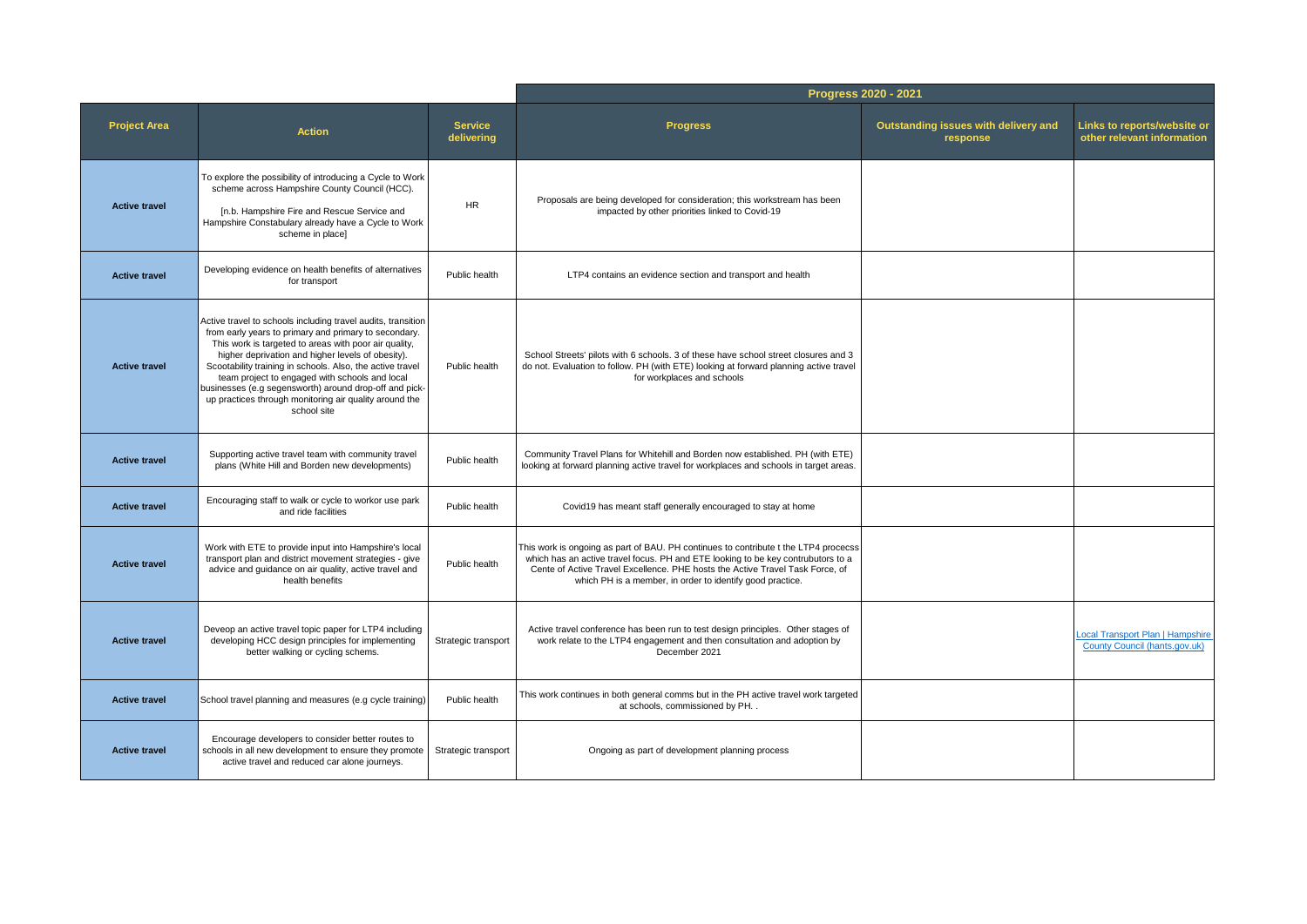|                      |                                                                                                                                                                                                                                                                                                                                                                                                                                                                                       |                              | Progress 2020 - 2021                                                                                                                                                                                                                                                                                                  |                                                  |                                                                   |
|----------------------|---------------------------------------------------------------------------------------------------------------------------------------------------------------------------------------------------------------------------------------------------------------------------------------------------------------------------------------------------------------------------------------------------------------------------------------------------------------------------------------|------------------------------|-----------------------------------------------------------------------------------------------------------------------------------------------------------------------------------------------------------------------------------------------------------------------------------------------------------------------|--------------------------------------------------|-------------------------------------------------------------------|
| <b>Project Area</b>  | <b>Action</b>                                                                                                                                                                                                                                                                                                                                                                                                                                                                         | <b>Service</b><br>delivering | <b>Progress</b>                                                                                                                                                                                                                                                                                                       | Outstanding issues with delivery and<br>response | Links to reports/website or<br>other relevant information         |
| <b>Active travel</b> | To explore the possibility of introducing a Cycle to Work<br>scheme across Hampshire County Council (HCC).<br>[n.b. Hampshire Fire and Rescue Service and<br>Hampshire Constabulary already have a Cycle to Work<br>scheme in place]                                                                                                                                                                                                                                                  | <b>HR</b>                    | Proposals are being developed for consideration; this workstream has been<br>impacted by other priorities linked to Covid-19                                                                                                                                                                                          |                                                  |                                                                   |
| <b>Active travel</b> | Developing evidence on health benefits of alternatives<br>for transport                                                                                                                                                                                                                                                                                                                                                                                                               | Public health                | LTP4 contains an evidence section and transport and health                                                                                                                                                                                                                                                            |                                                  |                                                                   |
| <b>Active travel</b> | Active travel to schools including travel audits, transition<br>from early years to primary and primary to secondary.<br>This work is targeted to areas with poor air quality,<br>higher deprivation and higher levels of obesity).<br>Scootability training in schools. Also, the active travel<br>team project to engaged with schools and local<br>businesses (e.g segensworth) around drop-off and pick-<br>up practices through monitoring air quality around the<br>school site | Public health                | School Streets' pilots with 6 schools. 3 of these have school street closures and 3<br>do not. Evaluation to follow. PH (with ETE) looking at forward planning active travel<br>for workplaces and schools                                                                                                            |                                                  |                                                                   |
| <b>Active travel</b> | Supporting active travel team with community travel<br>plans (White Hill and Borden new developments)                                                                                                                                                                                                                                                                                                                                                                                 | Public health                | Community Travel Plans for Whitehill and Borden now established. PH (with ETE)<br>looking at forward planning active travel for workplaces and schools in target areas.                                                                                                                                               |                                                  |                                                                   |
| <b>Active travel</b> | Encouraging staff to walk or cycle to workor use park<br>and ride facilities                                                                                                                                                                                                                                                                                                                                                                                                          | Public health                | Covid19 has meant staff generally encouraged to stay at home                                                                                                                                                                                                                                                          |                                                  |                                                                   |
| <b>Active travel</b> | Work with ETE to provide input into Hampshire's local<br>transport plan and district movement strategies - give<br>advice and guidance on air quality, active travel and<br>health benefits                                                                                                                                                                                                                                                                                           | Public health                | This work is ongoing as part of BAU. PH continues to contribute t the LTP4 procecss<br>which has an active travel focus. PH and ETE looking to be key contrubutors to a<br>Cente of Active Travel Excellence. PHE hosts the Active Travel Task Force, of<br>which PH is a member, in order to identify good practice. |                                                  |                                                                   |
| <b>Active travel</b> | Deveop an active travel topic paper for LTP4 including<br>developing HCC design principles for implementing<br>better walking or cycling schems.                                                                                                                                                                                                                                                                                                                                      | Strategic transport          | Active travel conference has been run to test design principles. Other stages of<br>work relate to the LTP4 engagement and then consultation and adoption by<br>December 2021                                                                                                                                         |                                                  | Local Transport Plan   Hampshire<br>County Council (hants.gov.uk) |
| <b>Active travel</b> | School travel planning and measures (e.g cycle training)                                                                                                                                                                                                                                                                                                                                                                                                                              | Public health                | This work continues in both general comms but in the PH active travel work targeted<br>at schools, commissioned by PH. .                                                                                                                                                                                              |                                                  |                                                                   |
| <b>Active travel</b> | Encourage developers to consider better routes to<br>schools in all new development to ensure they promote<br>active travel and reduced car alone journeys.                                                                                                                                                                                                                                                                                                                           | Strategic transport          | Ongoing as part of development planning process                                                                                                                                                                                                                                                                       |                                                  |                                                                   |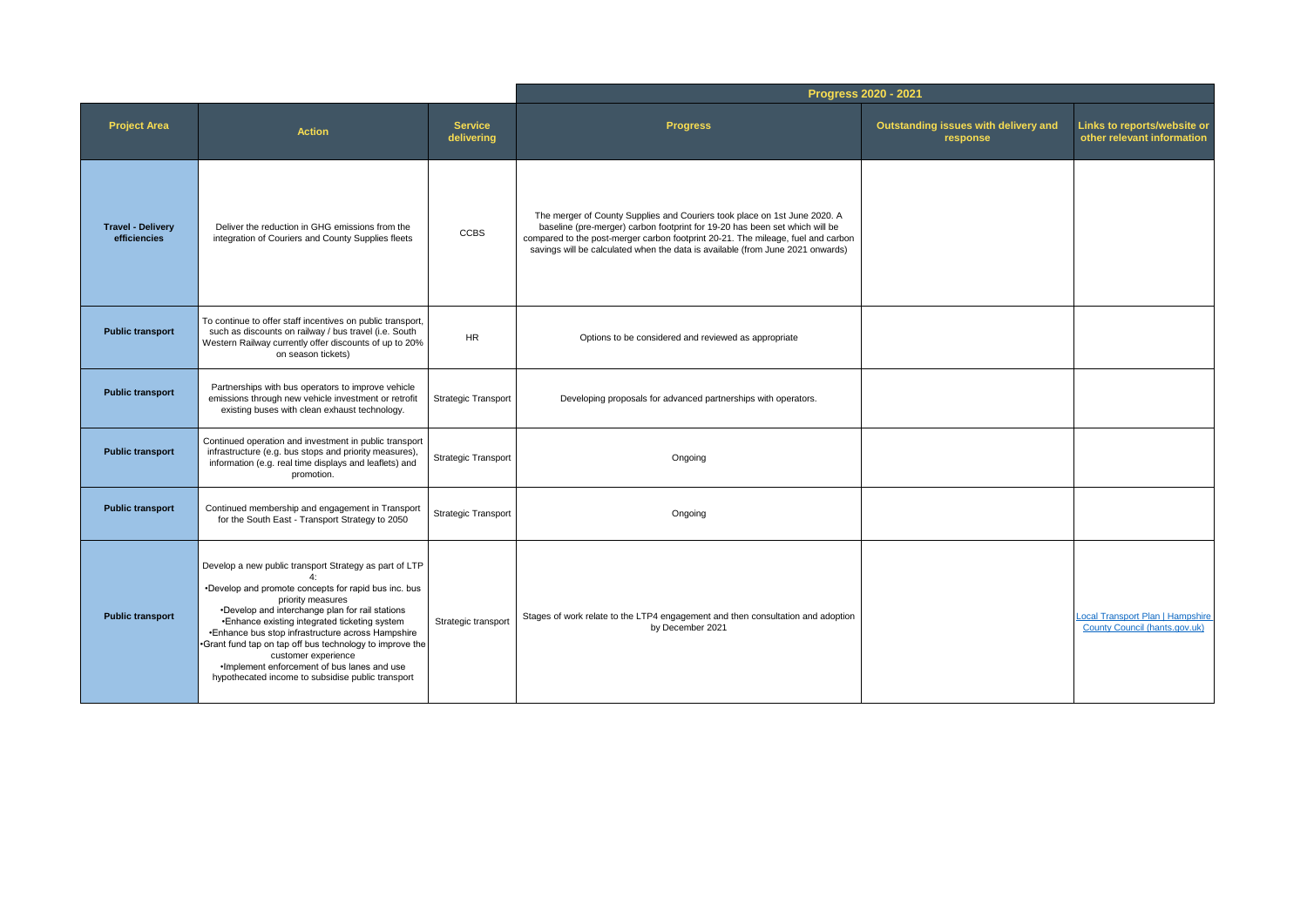|                                          |                                                                                                                                                                                                                                                                                                                                                                                                                                                                                      |                              | Progress 2020 - 2021                                                                                                                                                                                                                                                                                                           |                                                  |                                                                          |
|------------------------------------------|--------------------------------------------------------------------------------------------------------------------------------------------------------------------------------------------------------------------------------------------------------------------------------------------------------------------------------------------------------------------------------------------------------------------------------------------------------------------------------------|------------------------------|--------------------------------------------------------------------------------------------------------------------------------------------------------------------------------------------------------------------------------------------------------------------------------------------------------------------------------|--------------------------------------------------|--------------------------------------------------------------------------|
| <b>Project Area</b>                      | <b>Action</b>                                                                                                                                                                                                                                                                                                                                                                                                                                                                        | <b>Service</b><br>delivering | <b>Progress</b>                                                                                                                                                                                                                                                                                                                | Outstanding issues with delivery and<br>response | Links to reports/website or<br>other relevant information                |
| <b>Travel - Delivery</b><br>efficiencies | Deliver the reduction in GHG emissions from the<br>integration of Couriers and County Supplies fleets                                                                                                                                                                                                                                                                                                                                                                                | <b>CCBS</b>                  | The merger of County Supplies and Couriers took place on 1st June 2020. A<br>baseline (pre-merger) carbon footprint for 19-20 has been set which will be<br>compared to the post-merger carbon footprint 20-21. The mileage, fuel and carbon<br>savings will be calculated when the data is available (from June 2021 onwards) |                                                  |                                                                          |
| <b>Public transport</b>                  | To continue to offer staff incentives on public transport,<br>such as discounts on railway / bus travel (i.e. South<br>Western Railway currently offer discounts of up to 20%<br>on season tickets)                                                                                                                                                                                                                                                                                  | <b>HR</b>                    | Options to be considered and reviewed as appropriate                                                                                                                                                                                                                                                                           |                                                  |                                                                          |
| <b>Public transport</b>                  | Partnerships with bus operators to improve vehicle<br>emissions through new vehicle investment or retrofit<br>existing buses with clean exhaust technology.                                                                                                                                                                                                                                                                                                                          | Strategic Transport          | Developing proposals for advanced partnerships with operators.                                                                                                                                                                                                                                                                 |                                                  |                                                                          |
| <b>Public transport</b>                  | Continued operation and investment in public transport<br>infrastructure (e.g. bus stops and priority measures),<br>information (e.g. real time displays and leaflets) and<br>promotion.                                                                                                                                                                                                                                                                                             | <b>Strategic Transport</b>   | Ongoing                                                                                                                                                                                                                                                                                                                        |                                                  |                                                                          |
| <b>Public transport</b>                  | Continued membership and engagement in Transport<br>for the South East - Transport Strategy to 2050                                                                                                                                                                                                                                                                                                                                                                                  | Strategic Transport          | Ongoing                                                                                                                                                                                                                                                                                                                        |                                                  |                                                                          |
| <b>Public transport</b>                  | Develop a new public transport Strategy as part of LTP<br>•Develop and promote concepts for rapid bus inc. bus<br>priority measures<br>•Develop and interchange plan for rail stations<br>•Enhance existing integrated ticketing system<br>•Enhance bus stop infrastructure across Hampshire<br>.Grant fund tap on tap off bus technology to improve the<br>customer experience<br>. Implement enforcement of bus lanes and use<br>hypothecated income to subsidise public transport | Strategic transport          | Stages of work relate to the LTP4 engagement and then consultation and adoption<br>by December 2021                                                                                                                                                                                                                            |                                                  | <b>Local Transport Plan   Hampshire</b><br>County Council (hants.gov.uk) |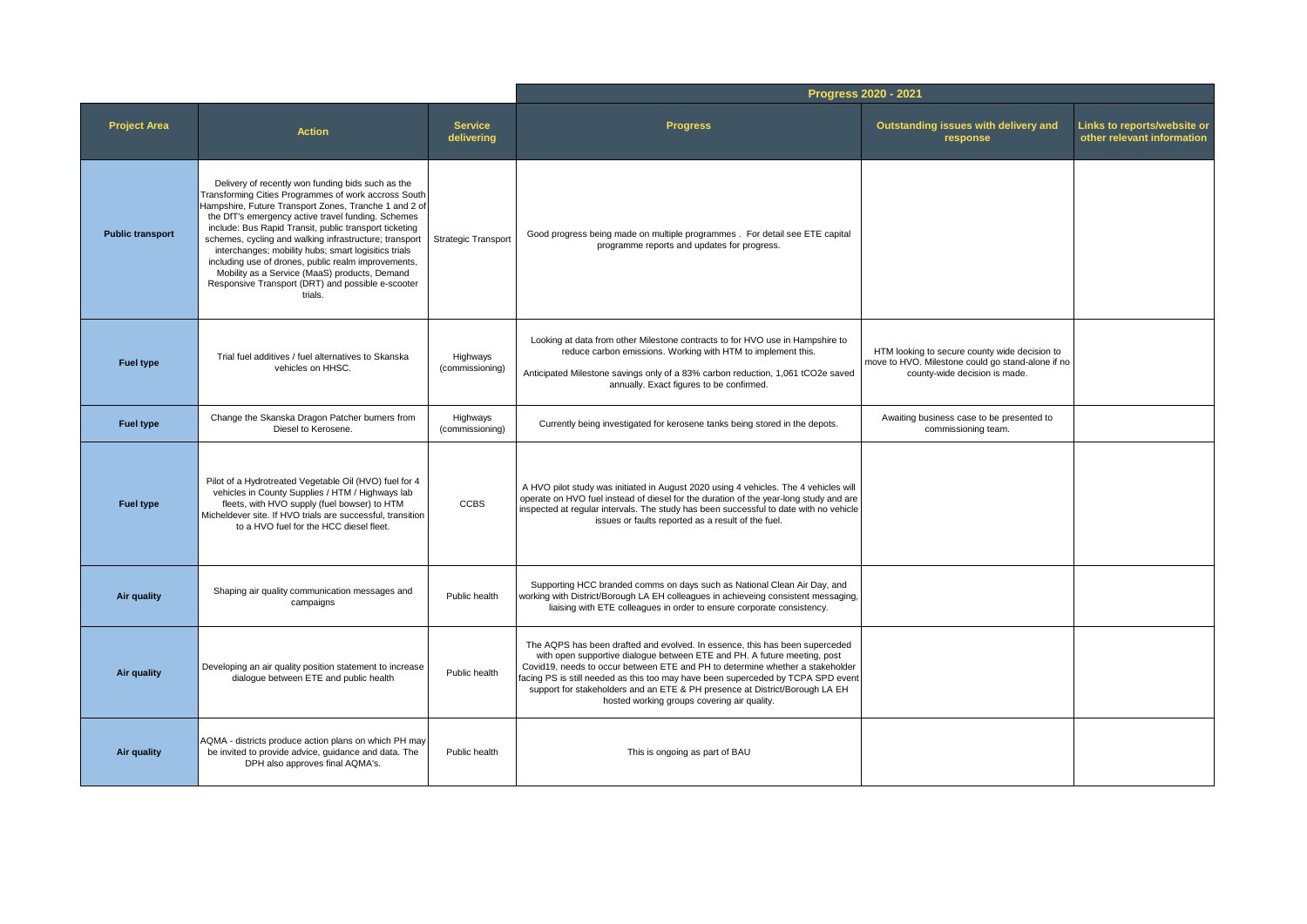|                         |                                                                                                                                                                                                                                                                                                                                                                                                                                                                                                                                                                              |                              | Progress 2020 - 2021                                                                                                                                                                                                                                                                                                                                                                                                                                       |                                                                                                                                     |                                                           |  |
|-------------------------|------------------------------------------------------------------------------------------------------------------------------------------------------------------------------------------------------------------------------------------------------------------------------------------------------------------------------------------------------------------------------------------------------------------------------------------------------------------------------------------------------------------------------------------------------------------------------|------------------------------|------------------------------------------------------------------------------------------------------------------------------------------------------------------------------------------------------------------------------------------------------------------------------------------------------------------------------------------------------------------------------------------------------------------------------------------------------------|-------------------------------------------------------------------------------------------------------------------------------------|-----------------------------------------------------------|--|
| <b>Project Area</b>     | <b>Action</b>                                                                                                                                                                                                                                                                                                                                                                                                                                                                                                                                                                | <b>Service</b><br>delivering | <b>Progress</b>                                                                                                                                                                                                                                                                                                                                                                                                                                            | Outstanding issues with delivery and<br>response                                                                                    | Links to reports/website or<br>other relevant information |  |
| <b>Public transport</b> | Delivery of recently won funding bids such as the<br>Transforming Cities Programmes of work accross South<br>Hampshire, Future Transport Zones, Tranche 1 and 2 of<br>the DfT's emergency active travel funding. Schemes<br>include: Bus Rapid Transit, public transport ticketing<br>schemes, cycling and walking infrastructure; transport<br>interchanges; mobility hubs; smart logisitics trials<br>including use of drones, public realm improvements,<br>Mobility as a Service (MaaS) products, Demand<br>Responsive Transport (DRT) and possible e-scooter<br>trials. | <b>Strategic Transport</b>   | Good progress being made on multiple programmes . For detail see ETE capital<br>programme reports and updates for progress.                                                                                                                                                                                                                                                                                                                                |                                                                                                                                     |                                                           |  |
| <b>Fuel type</b>        | Trial fuel additives / fuel alternatives to Skanska<br>vehicles on HHSC.                                                                                                                                                                                                                                                                                                                                                                                                                                                                                                     | Highways<br>(commissioning)  | Looking at data from other Milestone contracts to for HVO use in Hampshire to<br>reduce carbon emissions. Working with HTM to implement this.<br>Anticipated Milestone savings only of a 83% carbon reduction, 1,061 tCO2e saved<br>annually. Exact figures to be confirmed.                                                                                                                                                                               | HTM looking to secure county wide decision to<br>move to HVO. Milestone could go stand-alone if no<br>county-wide decision is made. |                                                           |  |
| <b>Fuel type</b>        | Change the Skanska Dragon Patcher burners from<br>Diesel to Kerosene.                                                                                                                                                                                                                                                                                                                                                                                                                                                                                                        | Highways<br>(commissioning)  | Currently being investigated for kerosene tanks being stored in the depots.                                                                                                                                                                                                                                                                                                                                                                                | Awaiting business case to be presented to<br>commissioning team.                                                                    |                                                           |  |
| <b>Fuel type</b>        | Pilot of a Hydrotreated Vegetable Oil (HVO) fuel for 4<br>vehicles in County Supplies / HTM / Highways lab<br>fleets, with HVO supply (fuel bowser) to HTM<br>Micheldever site. If HVO trials are successful, transition<br>to a HVO fuel for the HCC diesel fleet.                                                                                                                                                                                                                                                                                                          | <b>CCBS</b>                  | A HVO pilot study was initiated in August 2020 using 4 vehicles. The 4 vehicles will<br>operate on HVO fuel instead of diesel for the duration of the year-long study and are<br>inspected at regular intervals. The study has been successful to date with no vehicle<br>issues or faults reported as a result of the fuel.                                                                                                                               |                                                                                                                                     |                                                           |  |
| Air quality             | Shaping air quality communication messages and<br>campaigns                                                                                                                                                                                                                                                                                                                                                                                                                                                                                                                  | Public health                | Supporting HCC branded comms on days such as National Clean Air Day, and<br>working with District/Borough LA EH colleagues in achieveing consistent messaging,<br>liaising with ETE colleagues in order to ensure corporate consistency.                                                                                                                                                                                                                   |                                                                                                                                     |                                                           |  |
| Air quality             | Developing an air quality position statement to increase<br>dialoque between ETE and public health                                                                                                                                                                                                                                                                                                                                                                                                                                                                           | Public health                | The AQPS has been drafted and evolved. In essence, this has been superceded<br>with open supportive dialogue between ETE and PH. A future meeting, post<br>Covid19, needs to occur between ETE and PH to determine whether a stakeholder<br>facing PS is still needed as this too may have been superceded by TCPA SPD event<br>support for stakeholders and an ETE & PH presence at District/Borough LA EH<br>hosted working groups covering air quality. |                                                                                                                                     |                                                           |  |
| Air quality             | AQMA - districts produce action plans on which PH may<br>be invited to provide advice, guidance and data. The<br>DPH also approves final AQMA's.                                                                                                                                                                                                                                                                                                                                                                                                                             | Public health                | This is ongoing as part of BAU                                                                                                                                                                                                                                                                                                                                                                                                                             |                                                                                                                                     |                                                           |  |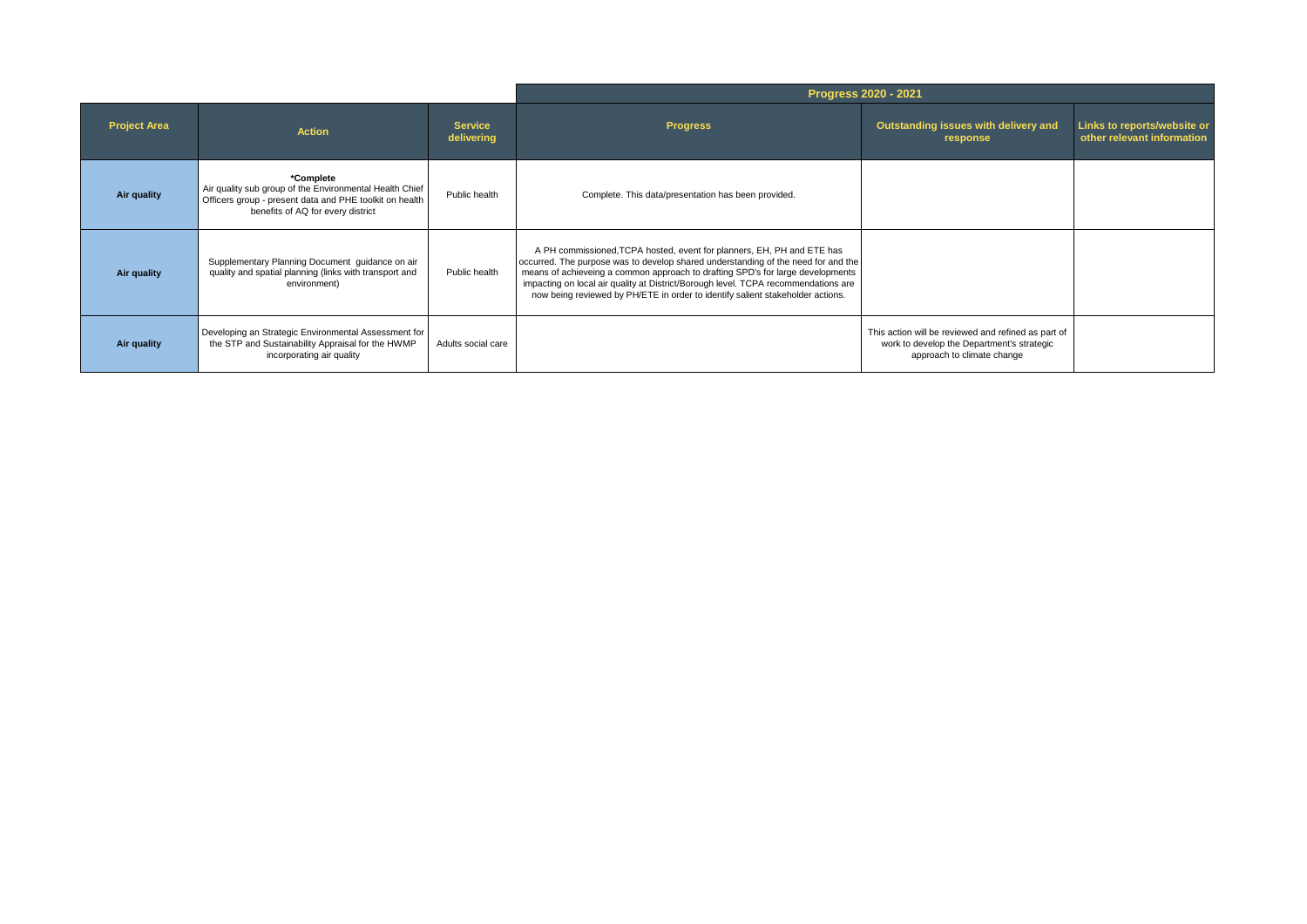|                     |                                                                                                                                                                      | Progress 2020 - 2021         |                                                                                                                                                                                                                                                                                                                                                                                                                       |                                                                                                                                 |                                                           |
|---------------------|----------------------------------------------------------------------------------------------------------------------------------------------------------------------|------------------------------|-----------------------------------------------------------------------------------------------------------------------------------------------------------------------------------------------------------------------------------------------------------------------------------------------------------------------------------------------------------------------------------------------------------------------|---------------------------------------------------------------------------------------------------------------------------------|-----------------------------------------------------------|
| <b>Project Area</b> | <b>Action</b>                                                                                                                                                        | <b>Service</b><br>delivering | <b>Progress</b>                                                                                                                                                                                                                                                                                                                                                                                                       | Outstanding issues with delivery and<br>response                                                                                | Links to reports/website or<br>other relevant information |
| Air quality         | *Complete<br>Air quality sub group of the Environmental Health Chief<br>Officers group - present data and PHE toolkit on health<br>benefits of AQ for every district | Public health                | Complete. This data/presentation has been provided.                                                                                                                                                                                                                                                                                                                                                                   |                                                                                                                                 |                                                           |
| Air quality         | Supplementary Planning Document guidance on air<br>quality and spatial planning (links with transport and<br>environment)                                            | Public health                | A PH commissioned, TCPA hosted, event for planners, EH, PH and ETE has<br>occurred. The purpose was to develop shared understanding of the need for and the<br>means of achieveing a common approach to drafting SPD's for large developments<br>impacting on local air quality at District/Borough level. TCPA recommendations are<br>now being reviewed by PH/ETE in order to identify salient stakeholder actions. |                                                                                                                                 |                                                           |
| Air quality         | Developing an Strategic Environmental Assessment for<br>the STP and Sustainability Appraisal for the HWMP<br>incorporating air quality                               | Adults social care           |                                                                                                                                                                                                                                                                                                                                                                                                                       | This action will be reviewed and refined as part of<br>work to develop the Department's strategic<br>approach to climate change |                                                           |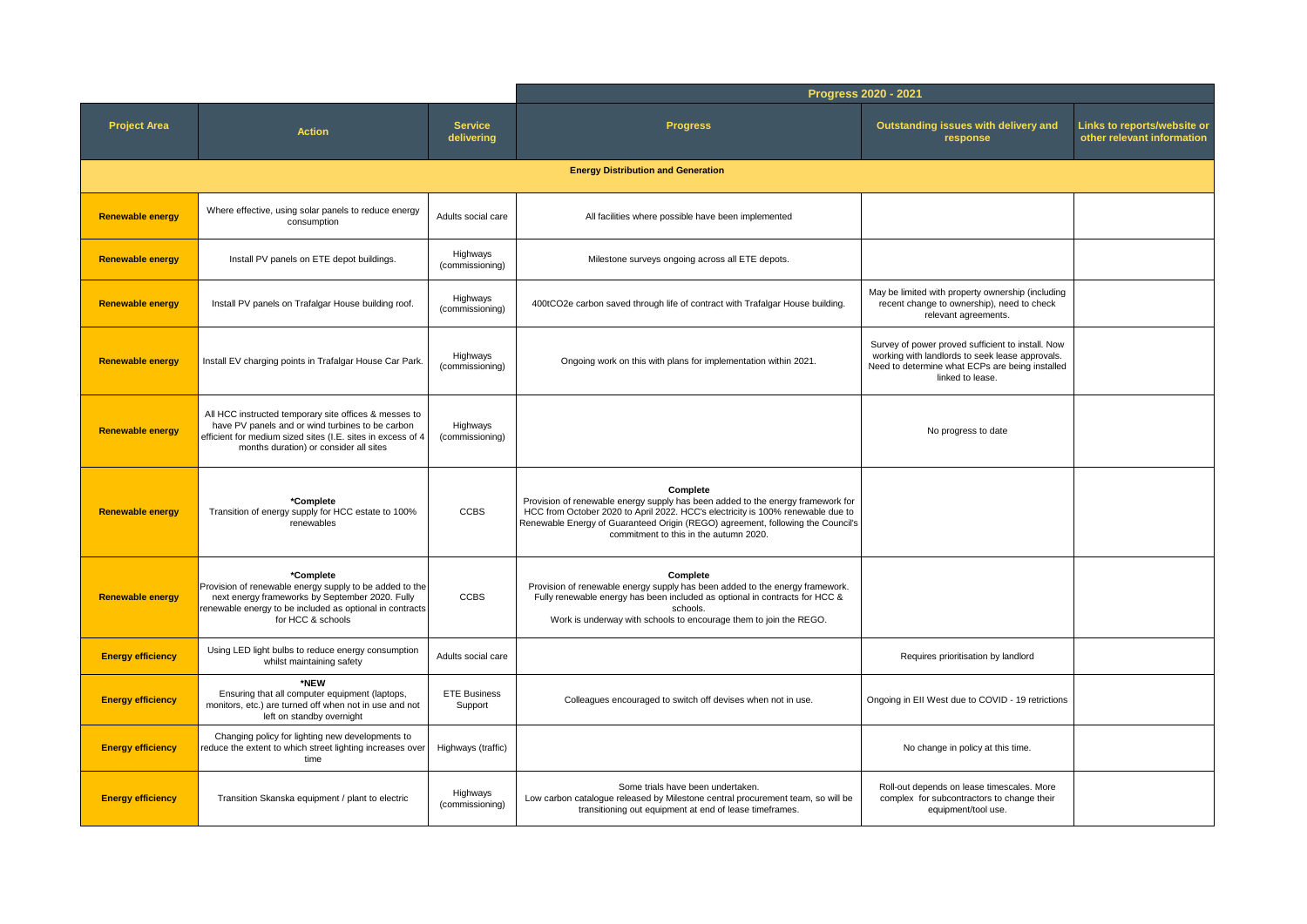|                          |                                                                                                                                                                                                                    |                                | Progress 2020 - 2021                                                                                                                                                                                                                                                                                        |                                                                                                                                                                             |  |
|--------------------------|--------------------------------------------------------------------------------------------------------------------------------------------------------------------------------------------------------------------|--------------------------------|-------------------------------------------------------------------------------------------------------------------------------------------------------------------------------------------------------------------------------------------------------------------------------------------------------------|-----------------------------------------------------------------------------------------------------------------------------------------------------------------------------|--|
| <b>Project Area</b>      | <b>Action</b>                                                                                                                                                                                                      | <b>Service</b><br>delivering   | <b>Progress</b>                                                                                                                                                                                                                                                                                             | Outstanding issues with delivery and<br>Links to reports/website or<br>other relevant information<br>response                                                               |  |
|                          |                                                                                                                                                                                                                    |                                | <b>Energy Distribution and Generation</b>                                                                                                                                                                                                                                                                   |                                                                                                                                                                             |  |
| <b>Renewable energy</b>  | Where effective, using solar panels to reduce energy<br>consumption                                                                                                                                                | Adults social care             | All facilities where possible have been implemented                                                                                                                                                                                                                                                         |                                                                                                                                                                             |  |
| <b>Renewable energy</b>  | Install PV panels on ETE depot buildings.                                                                                                                                                                          | Highways<br>(commissioning)    | Milestone surveys ongoing across all ETE depots.                                                                                                                                                                                                                                                            |                                                                                                                                                                             |  |
| <b>Renewable energy</b>  | Install PV panels on Trafalgar House building roof.                                                                                                                                                                | Highways<br>(commissioning)    | 400tCO2e carbon saved through life of contract with Trafalgar House building.                                                                                                                                                                                                                               | May be limited with property ownership (including<br>recent change to ownership), need to check<br>relevant agreements.                                                     |  |
| <b>Renewable energy</b>  | Install EV charging points in Trafalgar House Car Park.                                                                                                                                                            | Highways<br>(commissioning)    | Ongoing work on this with plans for implementation within 2021.                                                                                                                                                                                                                                             | Survey of power proved sufficient to install. Now<br>working with landlords to seek lease approvals.<br>Need to determine what ECPs are being installed<br>linked to lease. |  |
| <b>Renewable energy</b>  | All HCC instructed temporary site offices & messes to<br>have PV panels and or wind turbines to be carbon<br>efficient for medium sized sites (I.E. sites in excess of 4<br>months duration) or consider all sites | Highways<br>(commissioning)    |                                                                                                                                                                                                                                                                                                             | No progress to date                                                                                                                                                         |  |
| <b>Renewable energy</b>  | *Complete<br>Transition of energy supply for HCC estate to 100%<br>renewables                                                                                                                                      | <b>CCBS</b>                    | Complete<br>Provision of renewable energy supply has been added to the energy framework for<br>HCC from October 2020 to April 2022. HCC's electricity is 100% renewable due to<br>Renewable Energy of Guaranteed Origin (REGO) agreement, following the Council's<br>commitment to this in the autumn 2020. |                                                                                                                                                                             |  |
| <b>Renewable energy</b>  | *Complete<br>Provision of renewable energy supply to be added to the<br>next energy frameworks by September 2020. Fully<br>renewable energy to be included as optional in contracts<br>for HCC & schools           | <b>CCBS</b>                    | Complete<br>Provision of renewable energy supply has been added to the energy framework.<br>Fully renewable energy has been included as optional in contracts for HCC &<br>schools.<br>Work is underway with schools to encourage them to join the REGO.                                                    |                                                                                                                                                                             |  |
| <b>Energy efficiency</b> | Using LED light bulbs to reduce energy consumption<br>whilst maintaining safety                                                                                                                                    | Adults social care             |                                                                                                                                                                                                                                                                                                             | Requires prioritisation by landlord                                                                                                                                         |  |
| <b>Energy efficiency</b> | *NEW<br>Ensuring that all computer equipment (laptops,<br>monitors, etc.) are turned off when not in use and not<br>left on standby overnight                                                                      | <b>ETE Business</b><br>Support | Colleagues encouraged to switch off devises when not in use.                                                                                                                                                                                                                                                | Ongoing in EII West due to COVID - 19 retrictions                                                                                                                           |  |
| <b>Energy efficiency</b> | Changing policy for lighting new developments to<br>reduce the extent to which street lighting increases over<br>time                                                                                              | Highways (traffic)             |                                                                                                                                                                                                                                                                                                             | No change in policy at this time.                                                                                                                                           |  |
| <b>Energy efficiency</b> | Transition Skanska equipment / plant to electric                                                                                                                                                                   | Highways<br>(commissioning)    | Some trials have been undertaken.<br>Low carbon catalogue released by Milestone central procurement team, so will be<br>transitioning out equipment at end of lease timeframes.                                                                                                                             | Roll-out depends on lease timescales. More<br>complex for subcontractors to change their<br>equipment/tool use.                                                             |  |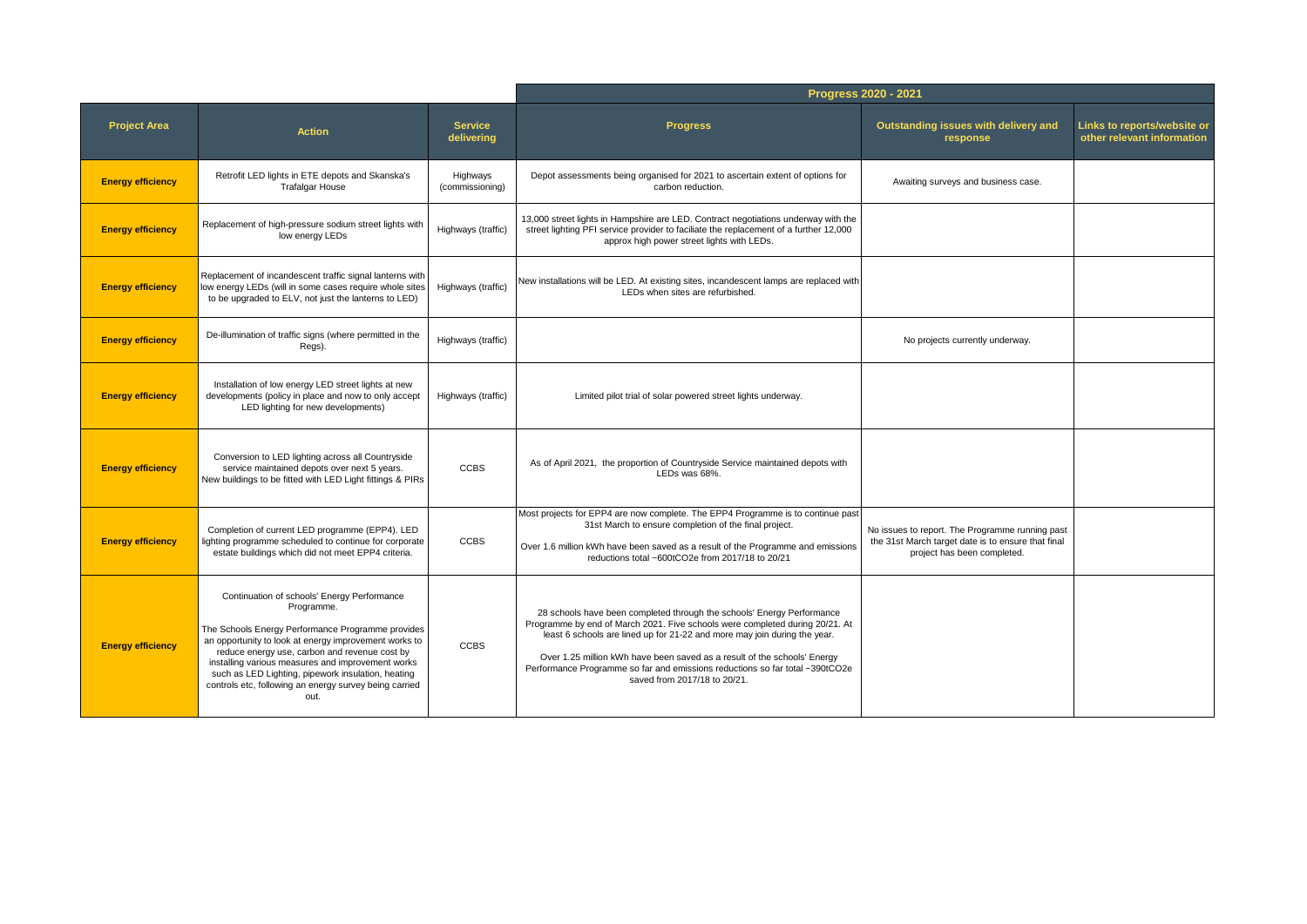|                          |                                                                                                                                                                                                                                                                                                                                                                                                       |                              |                                                                                                                                                                                                                                                                                                                                                                                                                                 | Progress 2020 - 2021                                                                                                                 |                                                           |
|--------------------------|-------------------------------------------------------------------------------------------------------------------------------------------------------------------------------------------------------------------------------------------------------------------------------------------------------------------------------------------------------------------------------------------------------|------------------------------|---------------------------------------------------------------------------------------------------------------------------------------------------------------------------------------------------------------------------------------------------------------------------------------------------------------------------------------------------------------------------------------------------------------------------------|--------------------------------------------------------------------------------------------------------------------------------------|-----------------------------------------------------------|
| <b>Project Area</b>      | <b>Action</b>                                                                                                                                                                                                                                                                                                                                                                                         | <b>Service</b><br>delivering | <b>Progress</b>                                                                                                                                                                                                                                                                                                                                                                                                                 | Outstanding issues with delivery and<br>response                                                                                     | Links to reports/website or<br>other relevant information |
| <b>Energy efficiency</b> | Retrofit LED lights in ETE depots and Skanska's<br><b>Trafalgar House</b>                                                                                                                                                                                                                                                                                                                             | Highways<br>(commissioning)  | Depot assessments being organised for 2021 to ascertain extent of options for<br>carbon reduction.                                                                                                                                                                                                                                                                                                                              | Awaiting surveys and business case.                                                                                                  |                                                           |
| <b>Energy efficiency</b> | Replacement of high-pressure sodium street lights with<br>low energy LEDs                                                                                                                                                                                                                                                                                                                             | Highways (traffic)           | 13,000 street lights in Hampshire are LED. Contract negotiations underway with the<br>street lighting PFI service provider to faciliate the replacement of a further 12,000<br>approx high power street lights with LEDs.                                                                                                                                                                                                       |                                                                                                                                      |                                                           |
| <b>Energy efficiency</b> | Replacement of incandescent traffic signal lanterns with<br>low energy LEDs (will in some cases require whole sites<br>to be upgraded to ELV, not just the lanterns to LED)                                                                                                                                                                                                                           | Highways (traffic)           | New installations will be LED. At existing sites, incandescent lamps are replaced with<br>LEDs when sites are refurbished.                                                                                                                                                                                                                                                                                                      |                                                                                                                                      |                                                           |
| <b>Energy efficiency</b> | De-illumination of traffic signs (where permitted in the<br>Regs).                                                                                                                                                                                                                                                                                                                                    | Highways (traffic)           |                                                                                                                                                                                                                                                                                                                                                                                                                                 | No projects currently underway.                                                                                                      |                                                           |
| <b>Energy efficiency</b> | Installation of low energy LED street lights at new<br>developments (policy in place and now to only accept<br>LED lighting for new developments)                                                                                                                                                                                                                                                     | Highways (traffic)           | Limited pilot trial of solar powered street lights underway.                                                                                                                                                                                                                                                                                                                                                                    |                                                                                                                                      |                                                           |
| <b>Energy efficiency</b> | Conversion to LED lighting across all Countryside<br>service maintained depots over next 5 years.<br>New buildings to be fitted with LED Light fittings & PIRs                                                                                                                                                                                                                                        | <b>CCBS</b>                  | As of April 2021, the proportion of Countryside Service maintained depots with<br>LEDs was 68%.                                                                                                                                                                                                                                                                                                                                 |                                                                                                                                      |                                                           |
| <b>Energy efficiency</b> | Completion of current LED programme (EPP4). LED<br>lighting programme scheduled to continue for corporate<br>estate buildings which did not meet EPP4 criteria.                                                                                                                                                                                                                                       | <b>CCBS</b>                  | Most projects for EPP4 are now complete. The EPP4 Programme is to continue past<br>31st March to ensure completion of the final project.<br>Over 1.6 million kWh have been saved as a result of the Programme and emissions<br>reductions total ~600tCO2e from 2017/18 to 20/21                                                                                                                                                 | No issues to report. The Programme running past<br>the 31st March target date is to ensure that final<br>project has been completed. |                                                           |
| <b>Energy efficiency</b> | Continuation of schools' Energy Performance<br>Programme.<br>The Schools Energy Performance Programme provides<br>an opportunity to look at energy improvement works to<br>reduce energy use, carbon and revenue cost by<br>installing various measures and improvement works<br>such as LED Lighting, pipework insulation, heating<br>controls etc, following an energy survey being carried<br>out. | <b>CCBS</b>                  | 28 schools have been completed through the schools' Energy Performance<br>Programme by end of March 2021. Five schools were completed during 20/21. At<br>least 6 schools are lined up for 21-22 and more may join during the year.<br>Over 1.25 million kWh have been saved as a result of the schools' Energy<br>Performance Programme so far and emissions reductions so far total ~390tCO2e<br>saved from 2017/18 to 20/21. |                                                                                                                                      |                                                           |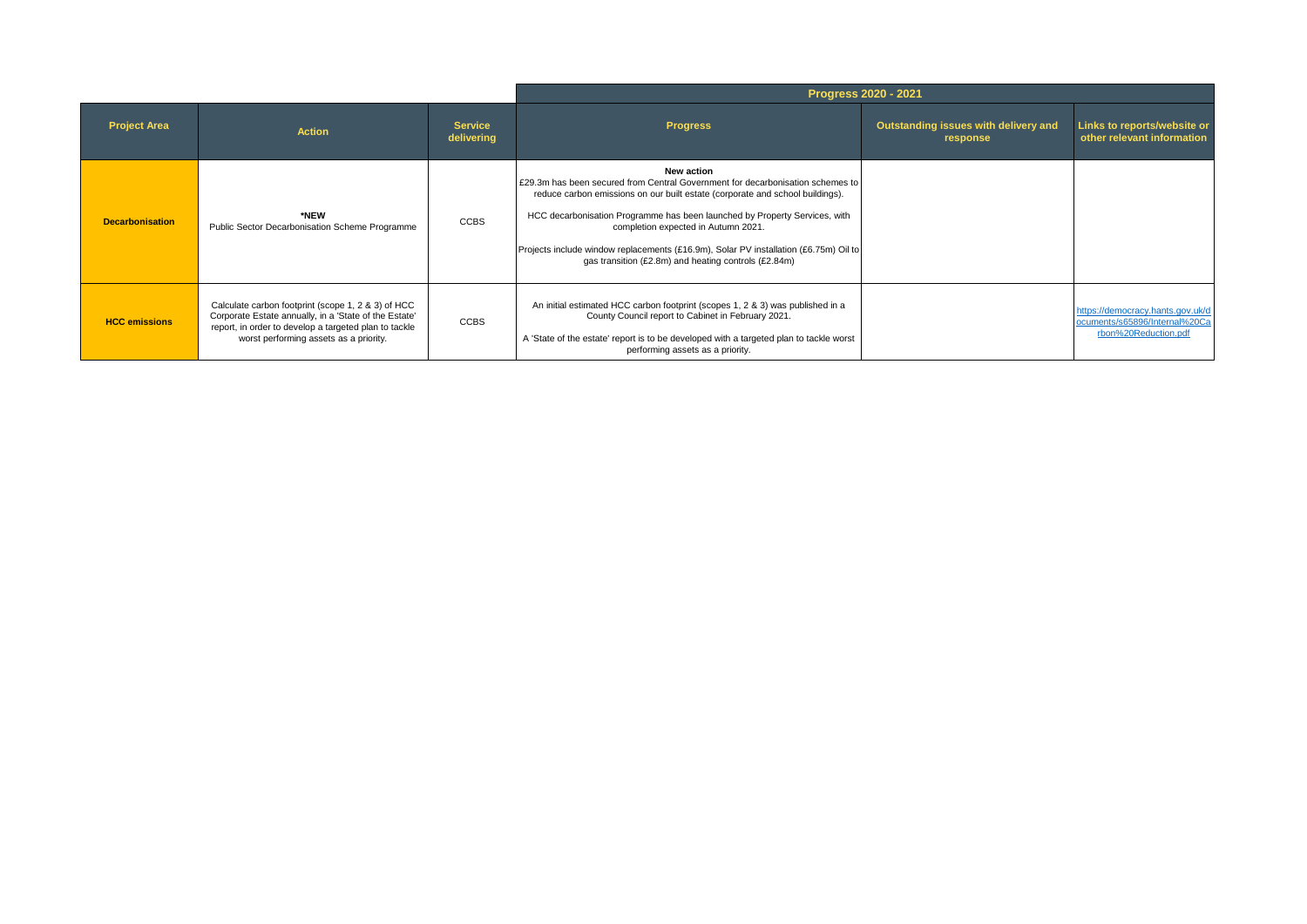|                        |                                                                                                                                                                                                                |                              | <b>Progress 2020 - 2021</b>                                                                                                                                                                                                                                                                                                                                                                                                                        |                                                  |                                                                                           |  |
|------------------------|----------------------------------------------------------------------------------------------------------------------------------------------------------------------------------------------------------------|------------------------------|----------------------------------------------------------------------------------------------------------------------------------------------------------------------------------------------------------------------------------------------------------------------------------------------------------------------------------------------------------------------------------------------------------------------------------------------------|--------------------------------------------------|-------------------------------------------------------------------------------------------|--|
| <b>Project Area</b>    | <b>Action</b>                                                                                                                                                                                                  | <b>Service</b><br>delivering | <b>Progress</b>                                                                                                                                                                                                                                                                                                                                                                                                                                    | Outstanding issues with delivery and<br>response | Links to reports/website or<br>other relevant information                                 |  |
| <b>Decarbonisation</b> | *NEW<br>Public Sector Decarbonisation Scheme Programme                                                                                                                                                         | <b>CCBS</b>                  | New action<br>£29.3m has been secured from Central Government for decarbonisation schemes to<br>reduce carbon emissions on our built estate (corporate and school buildings).<br>HCC decarbonisation Programme has been launched by Property Services, with<br>completion expected in Autumn 2021.<br>Projects include window replacements (£16.9m), Solar PV installation (£6.75m) Oil to<br>gas transition (£2.8m) and heating controls (£2.84m) |                                                  |                                                                                           |  |
| <b>HCC</b> emissions   | Calculate carbon footprint (scope 1, 2 & 3) of HCC<br>Corporate Estate annually, in a 'State of the Estate'<br>report, in order to develop a targeted plan to tackle<br>worst performing assets as a priority. | <b>CCBS</b>                  | An initial estimated HCC carbon footprint (scopes 1, 2 & 3) was published in a<br>County Council report to Cabinet in February 2021.<br>A 'State of the estate' report is to be developed with a targeted plan to tackle worst<br>performing assets as a priority.                                                                                                                                                                                 |                                                  | https://democracy.hants.gov.uk/d<br>ocuments/s65896/Internal%20Ca<br>rbon%20Reduction.pdf |  |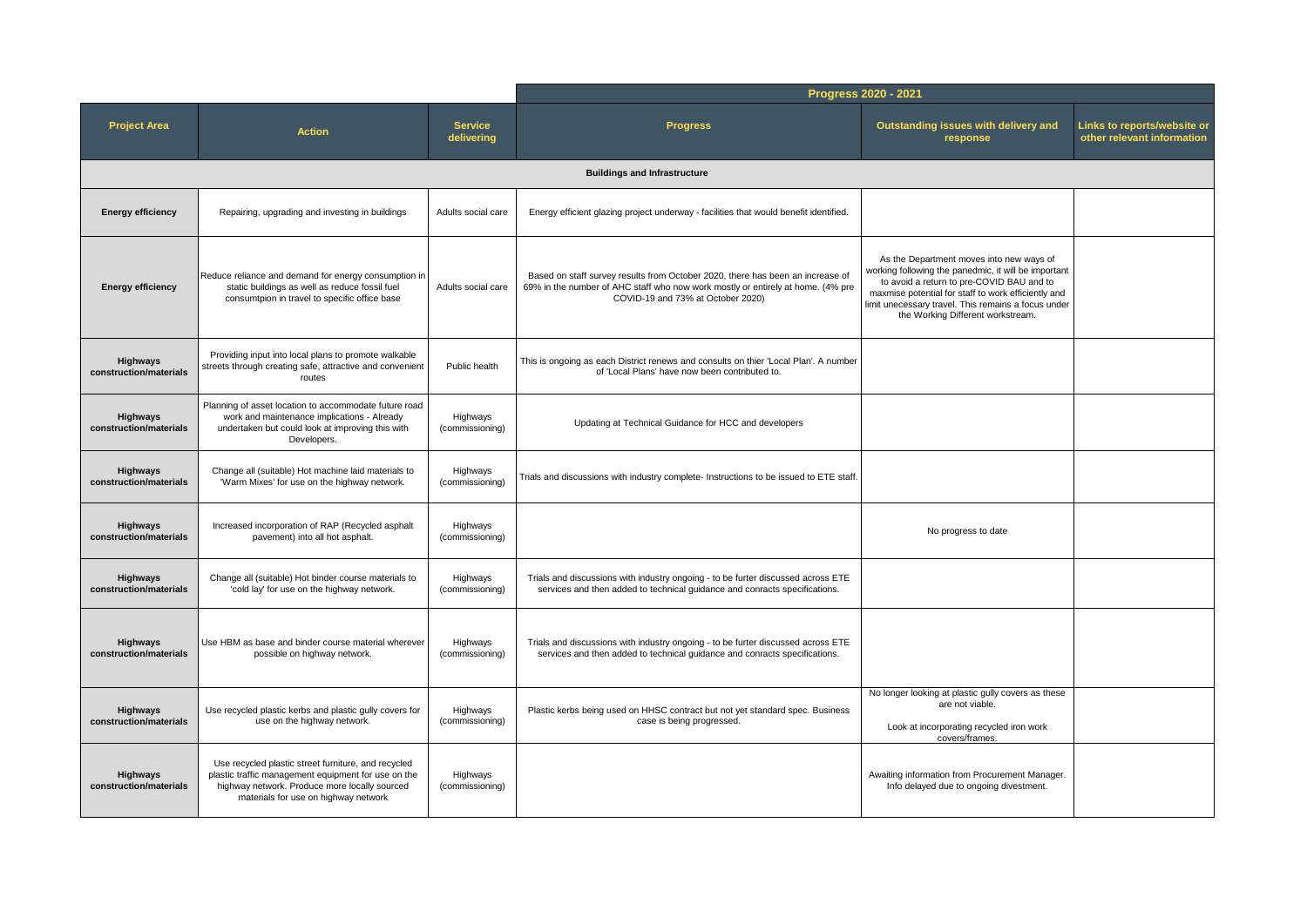|                                           |                                                                                                                                                                                                     |                              | Progress 2020 - 2021                                                                                                                                                                                   |                                                                                                                                                                                                                                                                                                  |                                                           |
|-------------------------------------------|-----------------------------------------------------------------------------------------------------------------------------------------------------------------------------------------------------|------------------------------|--------------------------------------------------------------------------------------------------------------------------------------------------------------------------------------------------------|--------------------------------------------------------------------------------------------------------------------------------------------------------------------------------------------------------------------------------------------------------------------------------------------------|-----------------------------------------------------------|
| <b>Project Area</b>                       | <b>Action</b>                                                                                                                                                                                       | <b>Service</b><br>delivering | <b>Progress</b>                                                                                                                                                                                        | Outstanding issues with delivery and<br>response                                                                                                                                                                                                                                                 | Links to reports/website or<br>other relevant information |
|                                           |                                                                                                                                                                                                     |                              | <b>Buildings and Infrastructure</b>                                                                                                                                                                    |                                                                                                                                                                                                                                                                                                  |                                                           |
| <b>Energy efficiency</b>                  | Repairing, upgrading and investing in buildings                                                                                                                                                     | Adults social care           | Energy efficient glazing project underway - facilities that would benefit identified.                                                                                                                  |                                                                                                                                                                                                                                                                                                  |                                                           |
| <b>Energy efficiency</b>                  | Reduce reliance and demand for energy consumption in<br>static buildings as well as reduce fossil fuel<br>consumtpion in travel to specific office base                                             | Adults social care           | Based on staff survey results from October 2020, there has been an increase of<br>69% in the number of AHC staff who now work mostly or entirely at home. (4% pre<br>COVID-19 and 73% at October 2020) | As the Department moves into new ways of<br>working following the panedmic, it will be important<br>to avoid a return to pre-COVID BAU and to<br>maxmise potential for staff to work efficiently and<br>limit unecessary travel. This remains a focus under<br>the Working Different workstream. |                                                           |
| <b>Highways</b><br>construction/materials | Providing input into local plans to promote walkable<br>streets through creating safe, attractive and convenient<br>routes                                                                          | Public health                | This is ongoing as each District renews and consults on thier 'Local Plan'. A number<br>of 'Local Plans' have now been contributed to.                                                                 |                                                                                                                                                                                                                                                                                                  |                                                           |
| Highways<br>construction/materials        | Planning of asset location to accommodate future road<br>work and maintenance implications - Already<br>undertaken but could look at improving this with<br>Developers.                             | Highways<br>(commissioning)  | Updating at Technical Guidance for HCC and developers                                                                                                                                                  |                                                                                                                                                                                                                                                                                                  |                                                           |
| <b>Highways</b><br>construction/materials | Change all (suitable) Hot machine laid materials to<br>'Warm Mixes' for use on the highway network.                                                                                                 | Highways<br>(commissioning)  | Trials and discussions with industry complete- Instructions to be issued to ETE staff.                                                                                                                 |                                                                                                                                                                                                                                                                                                  |                                                           |
| <b>Highways</b><br>construction/materials | Increased incorporation of RAP (Recycled asphalt<br>pavement) into all hot asphalt.                                                                                                                 | Highways<br>(commissioning)  |                                                                                                                                                                                                        | No progress to date                                                                                                                                                                                                                                                                              |                                                           |
| <b>Highways</b><br>construction/materials | Change all (suitable) Hot binder course materials to<br>'cold lay' for use on the highway network.                                                                                                  | Highways<br>(commissioning)  | Trials and discussions with industry ongoing - to be furter discussed across ETE<br>services and then added to technical guidance and conracts specifications.                                         |                                                                                                                                                                                                                                                                                                  |                                                           |
| <b>Highways</b><br>construction/materials | Use HBM as base and binder course material wherever<br>possible on highway network.                                                                                                                 | Highways<br>(commissioning)  | Trials and discussions with industry ongoing - to be furter discussed across ETE<br>services and then added to technical guidance and conracts specifications.                                         |                                                                                                                                                                                                                                                                                                  |                                                           |
| Highways<br>construction/materials        | Use recycled plastic kerbs and plastic gully covers for<br>use on the highway network.                                                                                                              | Highways<br>(commissioning)  | Plastic kerbs being used on HHSC contract but not yet standard spec. Business<br>case is being progressed.                                                                                             | No longer looking at plastic gully covers as these<br>are not viable.<br>Look at incorporating recycled iron work<br>covers/frames.                                                                                                                                                              |                                                           |
| <b>Highways</b><br>construction/materials | Use recycled plastic street furniture, and recycled<br>plastic traffic management equipment for use on the<br>highway network. Produce more locally sourced<br>materials for use on highway network | Highways<br>(commissioning)  |                                                                                                                                                                                                        | Awaiting information from Procurement Manager.<br>Info delayed due to ongoing divestment.                                                                                                                                                                                                        |                                                           |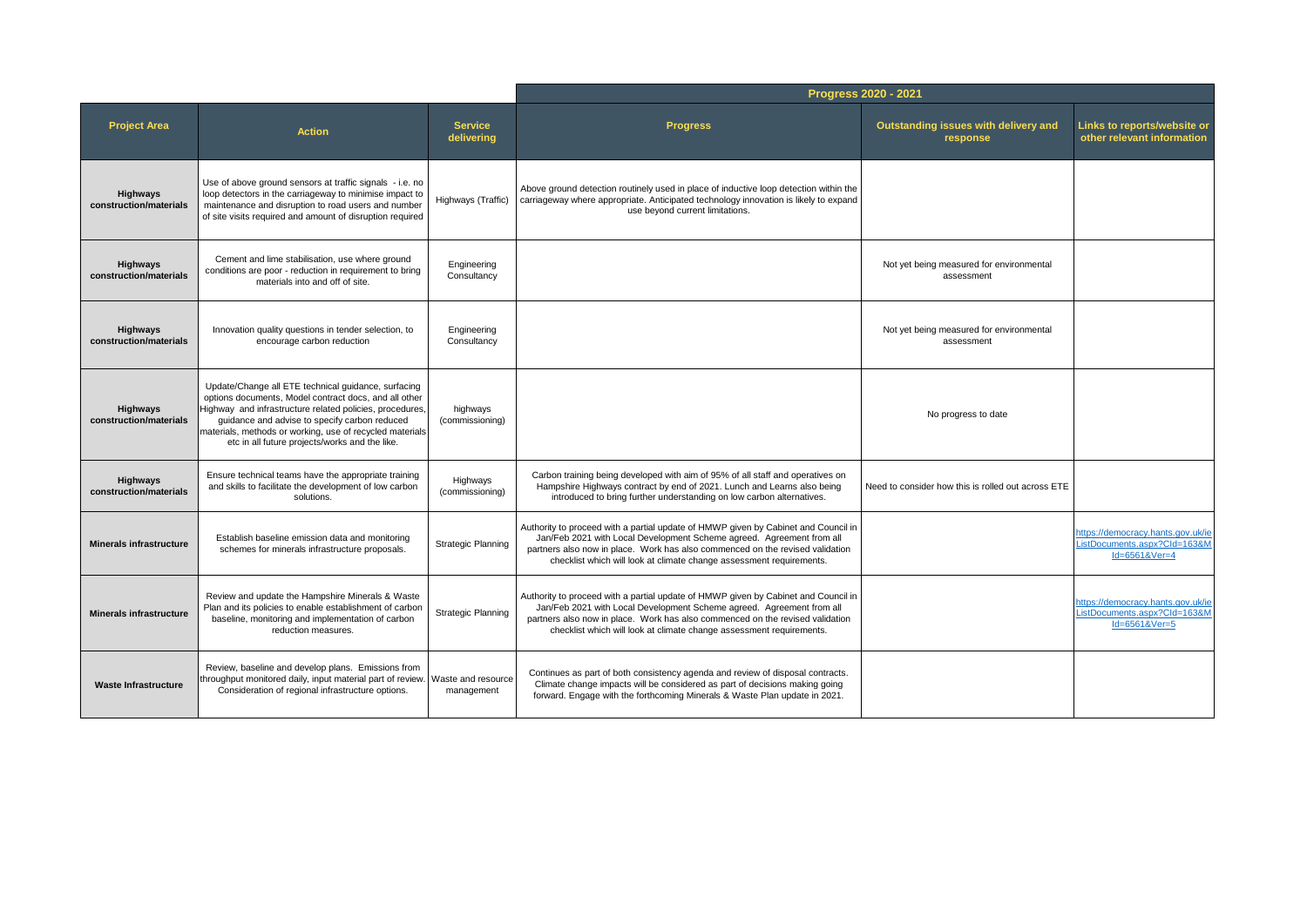|                                           |                                                                                                                                                                                                                                                                                                                                         |                                  |                                                                                                                                                                                                                                                                                                                      | Progress 2020 - 2021                                   |                                                                                    |
|-------------------------------------------|-----------------------------------------------------------------------------------------------------------------------------------------------------------------------------------------------------------------------------------------------------------------------------------------------------------------------------------------|----------------------------------|----------------------------------------------------------------------------------------------------------------------------------------------------------------------------------------------------------------------------------------------------------------------------------------------------------------------|--------------------------------------------------------|------------------------------------------------------------------------------------|
| <b>Project Area</b>                       | <b>Action</b>                                                                                                                                                                                                                                                                                                                           | <b>Service</b><br>delivering     | <b>Progress</b>                                                                                                                                                                                                                                                                                                      | Outstanding issues with delivery and<br>response       | Links to reports/website or<br>other relevant information                          |
| <b>Highways</b><br>construction/materials | Use of above ground sensors at traffic signals - i.e. no<br>loop detectors in the carriageway to minimise impact to<br>maintenance and disruption to road users and number<br>of site visits required and amount of disruption required                                                                                                 | Highways (Traffic)               | Above ground detection routinely used in place of inductive loop detection within the<br>carriageway where appropriate. Anticipated technology innovation is likely to expand<br>use beyond current limitations.                                                                                                     |                                                        |                                                                                    |
| Highways<br>construction/materials        | Cement and lime stabilisation, use where ground<br>conditions are poor - reduction in requirement to bring<br>materials into and off of site.                                                                                                                                                                                           | Engineering<br>Consultancy       |                                                                                                                                                                                                                                                                                                                      | Not yet being measured for environmental<br>assessment |                                                                                    |
| Highways<br>construction/materials        | Innovation quality questions in tender selection, to<br>encourage carbon reduction                                                                                                                                                                                                                                                      | Engineering<br>Consultancy       |                                                                                                                                                                                                                                                                                                                      | Not yet being measured for environmental<br>assessment |                                                                                    |
| Highways<br>construction/materials        | Update/Change all ETE technical guidance, surfacing<br>options documents, Model contract docs, and all other<br>Highway and infrastructure related policies, procedures,<br>guidance and advise to specify carbon reduced<br>materials, methods or working, use of recycled materials<br>etc in all future projects/works and the like. | highways<br>(commissioning)      |                                                                                                                                                                                                                                                                                                                      | No progress to date                                    |                                                                                    |
| <b>Highways</b><br>construction/materials | Ensure technical teams have the appropriate training<br>and skills to facilitate the development of low carbon<br>solutions.                                                                                                                                                                                                            | Highways<br>(commissioning)      | Carbon training being developed with aim of 95% of all staff and operatives on<br>Hampshire Highways contract by end of 2021. Lunch and Learns also being<br>introduced to bring further understanding on low carbon alternatives.                                                                                   | Need to consider how this is rolled out across ETE     |                                                                                    |
| <b>Minerals infrastructure</b>            | Establish baseline emission data and monitoring<br>schemes for minerals infrastructure proposals.                                                                                                                                                                                                                                       | <b>Strategic Planning</b>        | Authority to proceed with a partial update of HMWP given by Cabinet and Council in<br>Jan/Feb 2021 with Local Development Scheme agreed. Agreement from all<br>partners also now in place. Work has also commenced on the revised validation<br>checklist which will look at climate change assessment requirements. |                                                        | https://democracy.hants.gov.uk/ie<br>ListDocuments.aspx?CId=163&M<br>Id=6561&Ver=4 |
| <b>Minerals infrastructure</b>            | Review and update the Hampshire Minerals & Waste<br>Plan and its policies to enable establishment of carbon<br>baseline, monitoring and implementation of carbon<br>reduction measures.                                                                                                                                                 | <b>Strategic Planning</b>        | Authority to proceed with a partial update of HMWP given by Cabinet and Council in<br>Jan/Feb 2021 with Local Development Scheme agreed. Agreement from all<br>partners also now in place. Work has also commenced on the revised validation<br>checklist which will look at climate change assessment requirements. |                                                        | https://democracy.hants.gov.uk/ie<br>ListDocuments.aspx?Cld=163&M<br>Id=6561&Ver=5 |
| <b>Waste Infrastructure</b>               | Review, baseline and develop plans. Emissions from<br>throughput monitored daily, input material part of review.<br>Consideration of regional infrastructure options.                                                                                                                                                                   | Waste and resource<br>management | Continues as part of both consistency agenda and review of disposal contracts.<br>Climate change impacts will be considered as part of decisions making going<br>forward. Engage with the forthcoming Minerals & Waste Plan update in 2021.                                                                          |                                                        |                                                                                    |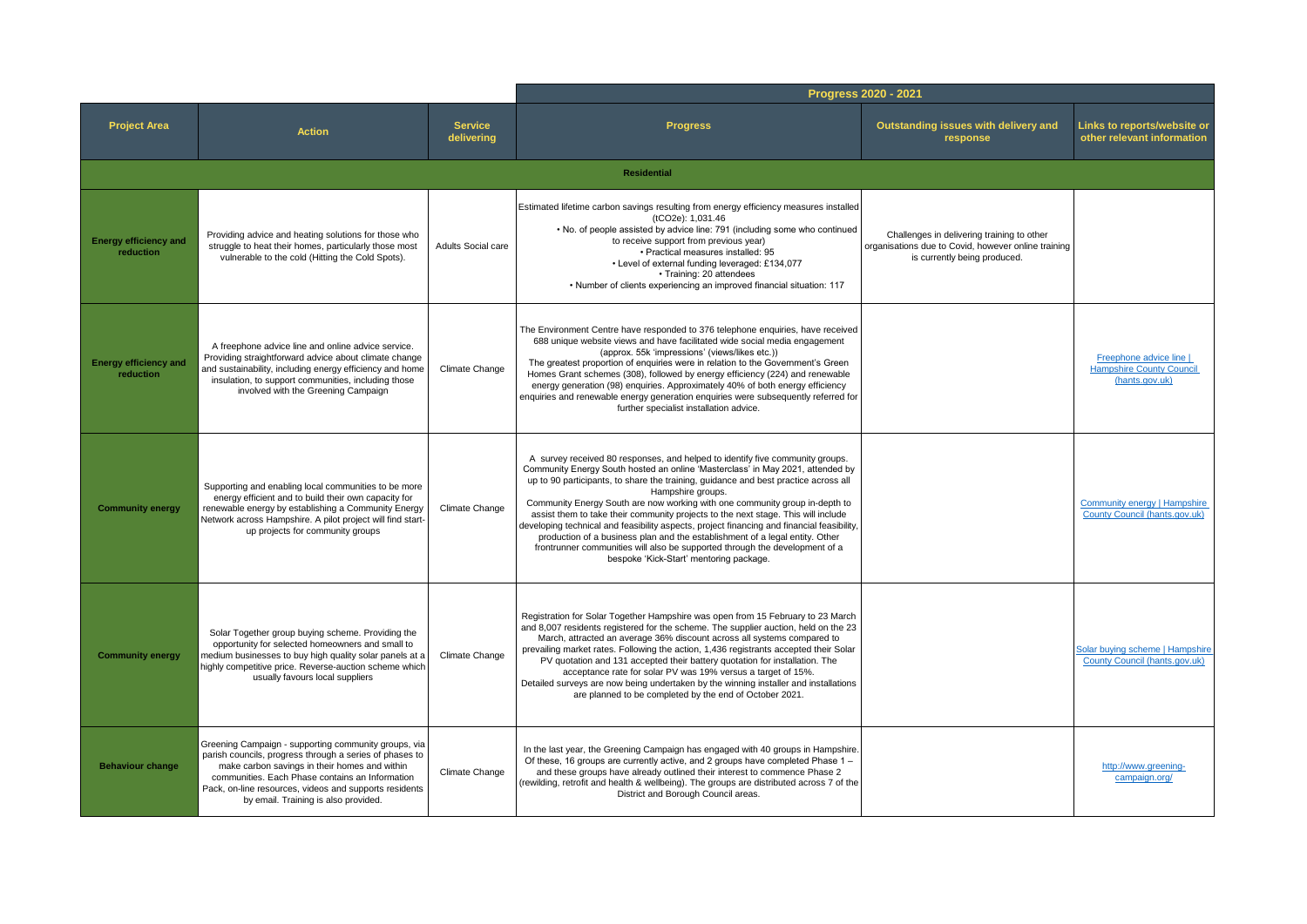|                                           |                                                                                                                                                                                                                                                                                                                       |                              |                                                                                                                                                                                                                                                                                                                                                                                                                                                                                                                                                                                                                                                                                                                                                         | Progress 2020 - 2021                                                                                                              |                                                                              |
|-------------------------------------------|-----------------------------------------------------------------------------------------------------------------------------------------------------------------------------------------------------------------------------------------------------------------------------------------------------------------------|------------------------------|---------------------------------------------------------------------------------------------------------------------------------------------------------------------------------------------------------------------------------------------------------------------------------------------------------------------------------------------------------------------------------------------------------------------------------------------------------------------------------------------------------------------------------------------------------------------------------------------------------------------------------------------------------------------------------------------------------------------------------------------------------|-----------------------------------------------------------------------------------------------------------------------------------|------------------------------------------------------------------------------|
| <b>Project Area</b>                       | <b>Action</b>                                                                                                                                                                                                                                                                                                         | <b>Service</b><br>delivering | <b>Progress</b>                                                                                                                                                                                                                                                                                                                                                                                                                                                                                                                                                                                                                                                                                                                                         | Outstanding issues with delivery and<br>response                                                                                  | Links to reports/website or<br>other relevant information                    |
|                                           |                                                                                                                                                                                                                                                                                                                       |                              | <b>Residential</b>                                                                                                                                                                                                                                                                                                                                                                                                                                                                                                                                                                                                                                                                                                                                      |                                                                                                                                   |                                                                              |
| <b>Energy efficiency and</b><br>reduction | Providing advice and heating solutions for those who<br>struggle to heat their homes, particularly those most<br>vulnerable to the cold (Hitting the Cold Spots).                                                                                                                                                     | Adults Social care           | Estimated lifetime carbon savings resulting from energy efficiency measures installed<br>(tCO2e): 1,031.46<br>. No. of people assisted by advice line: 791 (including some who continued<br>to receive support from previous year)<br>• Practical measures installed: 95<br>• Level of external funding leveraged: £134,077<br>• Training: 20 attendees<br>• Number of clients experiencing an improved financial situation: 117                                                                                                                                                                                                                                                                                                                        | Challenges in delivering training to other<br>organisations due to Covid, however online training<br>is currently being produced. |                                                                              |
| <b>Energy efficiency and</b><br>reduction | A freephone advice line and online advice service.<br>Providing straightforward advice about climate change<br>and sustainability, including energy efficiency and home<br>insulation, to support communities, including those<br>involved with the Greening Campaign                                                 | Climate Change               | The Environment Centre have responded to 376 telephone enquiries, have received<br>688 unique website views and have facilitated wide social media engagement<br>(approx. 55k 'impressions' (views/likes etc.))<br>The greatest proportion of enquiries were in relation to the Government's Green<br>Homes Grant schemes (308), followed by energy efficiency (224) and renewable<br>energy generation (98) enquiries. Approximately 40% of both energy efficiency<br>enquiries and renewable energy generation enquiries were subsequently referred for<br>further specialist installation advice.                                                                                                                                                    |                                                                                                                                   | Freephone advice line  <br><b>Hampshire County Council</b><br>(hants.gov.uk) |
| <b>Community energy</b>                   | Supporting and enabling local communities to be more<br>energy efficient and to build their own capacity for<br>renewable energy by establishing a Community Energy<br>Network across Hampshire. A pilot project will find start-<br>up projects for community groups                                                 | Climate Change               | A survey received 80 responses, and helped to identify five community groups.<br>Community Energy South hosted an online 'Masterclass' in May 2021, attended by<br>up to 90 participants, to share the training, guidance and best practice across all<br>Hampshire groups.<br>Community Energy South are now working with one community group in-depth to<br>assist them to take their community projects to the next stage. This will include<br>developing technical and feasibility aspects, project financing and financial feasibility,<br>production of a business plan and the establishment of a legal entity. Other<br>frontrunner communities will also be supported through the development of a<br>bespoke 'Kick-Start' mentoring package. |                                                                                                                                   | Community energy   Hampshire<br>County Council (hants.gov.uk)                |
| <b>Community energy</b>                   | Solar Together group buying scheme. Providing the<br>opportunity for selected homeowners and small to<br>nedium businesses to buy high quality solar panels at a<br>highly competitive price. Reverse-auction scheme which<br>usually favours local suppliers                                                         | Climate Change               | Registration for Solar Together Hampshire was open from 15 February to 23 March<br>and 8,007 residents registered for the scheme. The supplier auction, held on the 23<br>March, attracted an average 36% discount across all systems compared to<br>prevailing market rates. Following the action, 1,436 registrants accepted their Solar<br>PV quotation and 131 accepted their battery quotation for installation. The<br>acceptance rate for solar PV was 19% versus a target of 15%.<br>Detailed surveys are now being undertaken by the winning installer and installations<br>are planned to be completed by the end of October 2021.                                                                                                            |                                                                                                                                   | Solar buving scheme   Hampshire<br>County Council (hants.gov.uk)             |
| <b>Behaviour change</b>                   | Greening Campaign - supporting community groups, via<br>parish councils, progress through a series of phases to<br>make carbon savings in their homes and within<br>communities. Each Phase contains an Information<br>Pack, on-line resources, videos and supports residents<br>by email. Training is also provided. | Climate Change               | In the last year, the Greening Campaign has engaged with 40 groups in Hampshire.<br>Of these, 16 groups are currently active, and 2 groups have completed Phase 1 –<br>and these groups have already outlined their interest to commence Phase 2<br>(rewilding, retrofit and health & wellbeing). The groups are distributed across 7 of the<br>District and Borough Council areas.                                                                                                                                                                                                                                                                                                                                                                     |                                                                                                                                   | http://www.greening-<br>campaign.org/                                        |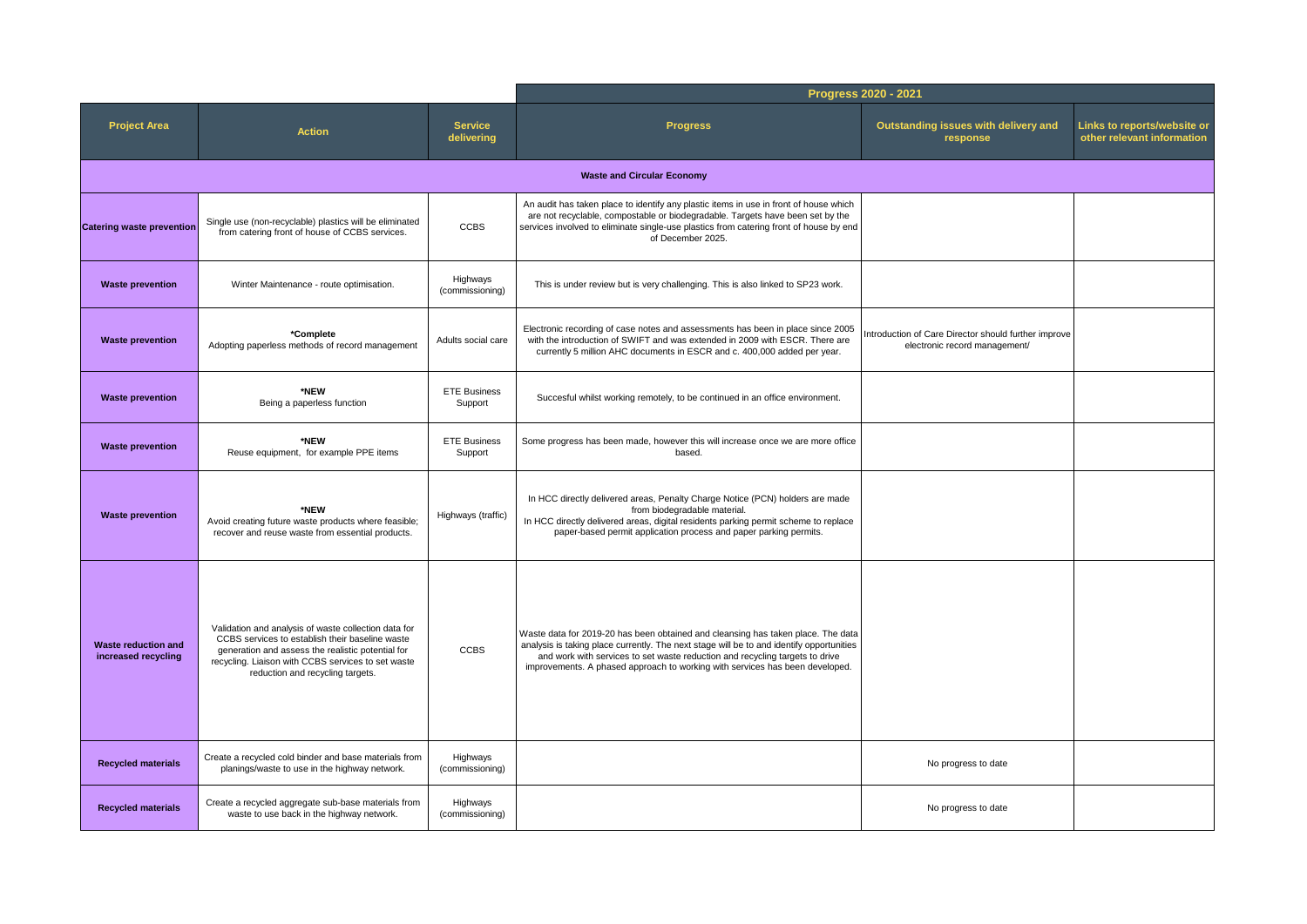|                                                   |                                                                                                                                                                                                                                                        |                                |                                                                                                                                                                                                                                                                                                                                              | Progress 2020 - 2021                                                                  |                                                           |  |  |  |  |  |
|---------------------------------------------------|--------------------------------------------------------------------------------------------------------------------------------------------------------------------------------------------------------------------------------------------------------|--------------------------------|----------------------------------------------------------------------------------------------------------------------------------------------------------------------------------------------------------------------------------------------------------------------------------------------------------------------------------------------|---------------------------------------------------------------------------------------|-----------------------------------------------------------|--|--|--|--|--|
| <b>Project Area</b>                               | <b>Action</b>                                                                                                                                                                                                                                          | <b>Service</b><br>delivering   | <b>Progress</b>                                                                                                                                                                                                                                                                                                                              | Outstanding issues with delivery and<br>response                                      | Links to reports/website or<br>other relevant information |  |  |  |  |  |
| <b>Waste and Circular Economy</b>                 |                                                                                                                                                                                                                                                        |                                |                                                                                                                                                                                                                                                                                                                                              |                                                                                       |                                                           |  |  |  |  |  |
| <b>Catering waste prevention</b>                  | Single use (non-recyclable) plastics will be eliminated<br>from catering front of house of CCBS services.                                                                                                                                              | <b>CCBS</b>                    | An audit has taken place to identify any plastic items in use in front of house which<br>are not recyclable, compostable or biodegradable. Targets have been set by the<br>services involved to eliminate single-use plastics from catering front of house by end<br>of December 2025.                                                       |                                                                                       |                                                           |  |  |  |  |  |
| <b>Waste prevention</b>                           | Winter Maintenance - route optimisation.                                                                                                                                                                                                               | Highways<br>(commissioning)    | This is under review but is very challenging. This is also linked to SP23 work.                                                                                                                                                                                                                                                              |                                                                                       |                                                           |  |  |  |  |  |
| <b>Waste prevention</b>                           | *Complete<br>Adopting paperless methods of record management                                                                                                                                                                                           | Adults social care             | Electronic recording of case notes and assessments has been in place since 2005<br>with the introduction of SWIFT and was extended in 2009 with ESCR. There are<br>currently 5 million AHC documents in ESCR and c. 400,000 added per year.                                                                                                  | Introduction of Care Director should further improve<br>electronic record management/ |                                                           |  |  |  |  |  |
| <b>Waste prevention</b>                           | *NEW<br>Being a paperless function                                                                                                                                                                                                                     | <b>ETE Business</b><br>Support | Succesful whilst working remotely, to be continued in an office environment.                                                                                                                                                                                                                                                                 |                                                                                       |                                                           |  |  |  |  |  |
| <b>Waste prevention</b>                           | *NEW<br>Reuse equipment, for example PPE items                                                                                                                                                                                                         | <b>ETE Business</b><br>Support | Some progress has been made, however this will increase once we are more office<br>based.                                                                                                                                                                                                                                                    |                                                                                       |                                                           |  |  |  |  |  |
| <b>Waste prevention</b>                           | *NEW<br>Avoid creating future waste products where feasible;<br>recover and reuse waste from essential products.                                                                                                                                       | Highways (traffic)             | In HCC directly delivered areas, Penalty Charge Notice (PCN) holders are made<br>from biodegradable material.<br>In HCC directly delivered areas, digital residents parking permit scheme to replace<br>paper-based permit application process and paper parking permits.                                                                    |                                                                                       |                                                           |  |  |  |  |  |
| <b>Waste reduction and</b><br>increased recycling | Validation and analysis of waste collection data for<br>CCBS services to establish their baseline waste<br>generation and assess the realistic potential for<br>recycling. Liaison with CCBS services to set waste<br>reduction and recycling targets. | <b>CCBS</b>                    | Waste data for 2019-20 has been obtained and cleansing has taken place. The data<br>analysis is taking place currently. The next stage will be to and identify opportunities<br>and work with services to set waste reduction and recycling targets to drive<br>improvements. A phased approach to working with services has been developed. |                                                                                       |                                                           |  |  |  |  |  |
| <b>Recycled materials</b>                         | Create a recycled cold binder and base materials from<br>planings/waste to use in the highway network.                                                                                                                                                 | Highways<br>(commissioning)    |                                                                                                                                                                                                                                                                                                                                              | No progress to date                                                                   |                                                           |  |  |  |  |  |
| <b>Recycled materials</b>                         | Create a recycled aggregate sub-base materials from<br>waste to use back in the highway network.                                                                                                                                                       | Highways<br>(commissioning)    |                                                                                                                                                                                                                                                                                                                                              | No progress to date                                                                   |                                                           |  |  |  |  |  |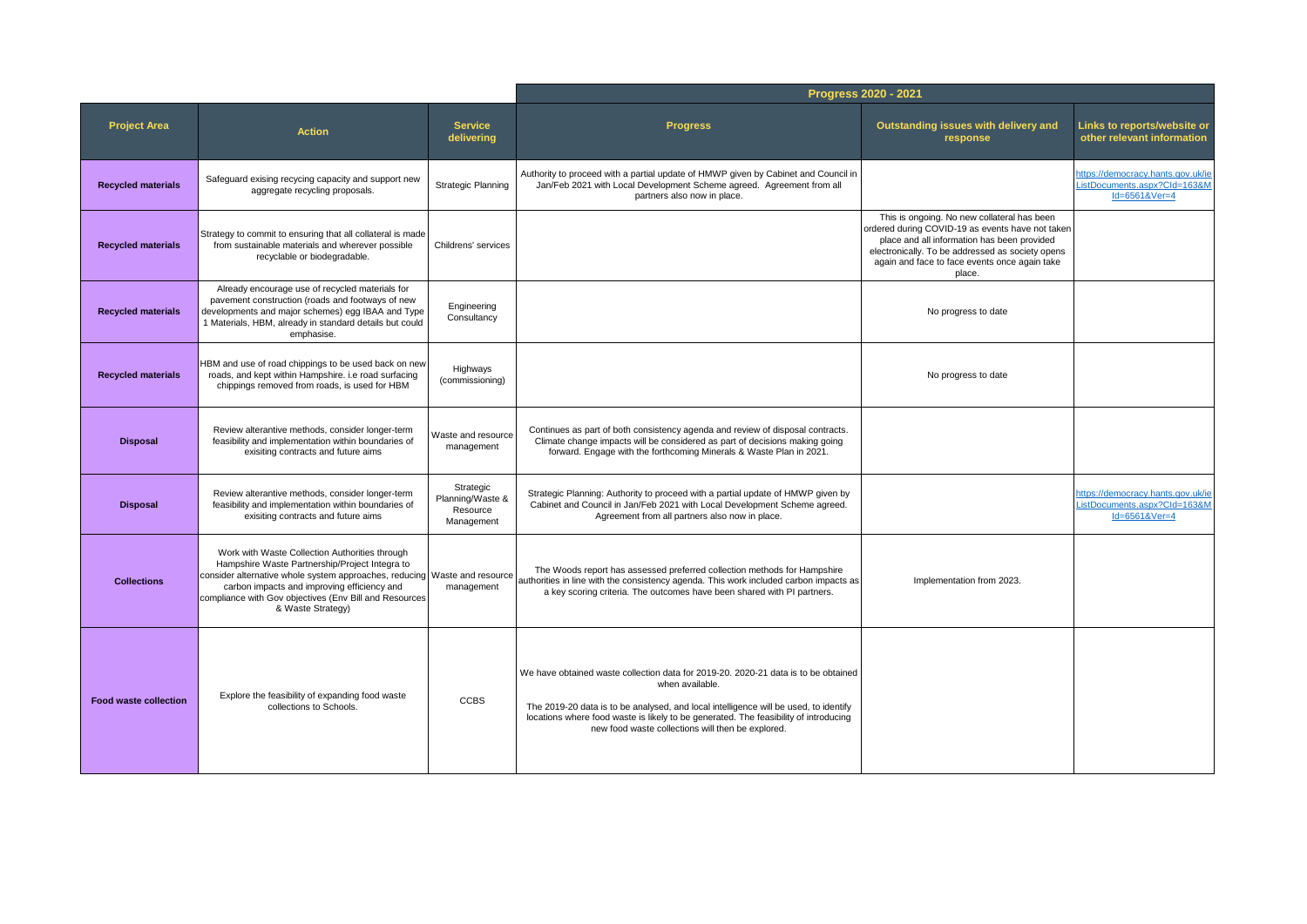|                              |                                                                                                                                                                                                                                                                                                             |                                                         |                                                                                                                                                                                                                                                                                                                                            | Progress 2020 - 2021                                                                                                                                                                                                                                          |                                                                                    |
|------------------------------|-------------------------------------------------------------------------------------------------------------------------------------------------------------------------------------------------------------------------------------------------------------------------------------------------------------|---------------------------------------------------------|--------------------------------------------------------------------------------------------------------------------------------------------------------------------------------------------------------------------------------------------------------------------------------------------------------------------------------------------|---------------------------------------------------------------------------------------------------------------------------------------------------------------------------------------------------------------------------------------------------------------|------------------------------------------------------------------------------------|
| <b>Project Area</b>          | <b>Action</b>                                                                                                                                                                                                                                                                                               | <b>Service</b><br>delivering                            | <b>Progress</b>                                                                                                                                                                                                                                                                                                                            | Outstanding issues with delivery and<br>response                                                                                                                                                                                                              | Links to reports/website or<br>other relevant information                          |
| <b>Recycled materials</b>    | Safequard exising recycing capacity and support new<br>aggregate recycling proposals.                                                                                                                                                                                                                       | Strategic Planning                                      | Authority to proceed with a partial update of HMWP given by Cabinet and Council in<br>Jan/Feb 2021 with Local Development Scheme agreed. Agreement from all<br>partners also now in place.                                                                                                                                                 |                                                                                                                                                                                                                                                               | https://democracy.hants.gov.uk/ie<br>ListDocuments.aspx?Cld=163&M<br>Id=6561&Ver=4 |
| <b>Recycled materials</b>    | Strategy to commit to ensuring that all collateral is made<br>from sustainable materials and wherever possible<br>recyclable or biodegradable.                                                                                                                                                              | Childrens' services                                     |                                                                                                                                                                                                                                                                                                                                            | This is ongoing. No new collateral has been<br>ordered during COVID-19 as events have not taken<br>place and all information has been provided<br>electronically. To be addressed as society opens<br>again and face to face events once again take<br>place. |                                                                                    |
| <b>Recycled materials</b>    | Already encourage use of recycled materials for<br>pavement construction (roads and footways of new<br>developments and major schemes) egg IBAA and Type<br>1 Materials, HBM, already in standard details but could<br>emphasise.                                                                           | Engineering<br>Consultancy                              |                                                                                                                                                                                                                                                                                                                                            | No progress to date                                                                                                                                                                                                                                           |                                                                                    |
| <b>Recycled materials</b>    | HBM and use of road chippings to be used back on new<br>roads, and kept within Hampshire. i.e road surfacing<br>chippings removed from roads, is used for HBM                                                                                                                                               | Highways<br>(commissioning)                             |                                                                                                                                                                                                                                                                                                                                            | No progress to date                                                                                                                                                                                                                                           |                                                                                    |
| <b>Disposal</b>              | Review alterantive methods, consider longer-term<br>feasibility and implementation within boundaries of<br>exisiting contracts and future aims                                                                                                                                                              | Waste and resource<br>management                        | Continues as part of both consistency agenda and review of disposal contracts.<br>Climate change impacts will be considered as part of decisions making going<br>forward. Engage with the forthcoming Minerals & Waste Plan in 2021.                                                                                                       |                                                                                                                                                                                                                                                               |                                                                                    |
| <b>Disposal</b>              | Review alterantive methods, consider longer-term<br>feasibility and implementation within boundaries of<br>exisiting contracts and future aims                                                                                                                                                              | Strategic<br>Planning/Waste &<br>Resource<br>Management | Strategic Planning: Authority to proceed with a partial update of HMWP given by<br>Cabinet and Council in Jan/Feb 2021 with Local Development Scheme agreed.<br>Agreement from all partners also now in place.                                                                                                                             |                                                                                                                                                                                                                                                               | https://democracy.hants.gov.uk/ie<br>ListDocuments.aspx?CId=163&N<br>Id=6561&Ver=4 |
| <b>Collections</b>           | Work with Waste Collection Authorities through<br>Hampshire Waste Partnership/Project Integra to<br>consider alternative whole system approaches, reducing Waste and resource<br>carbon impacts and improving efficiency and<br>compliance with Gov objectives (Env Bill and Resources<br>& Waste Strategy) | management                                              | The Woods report has assessed preferred collection methods for Hampshire<br>authorities in line with the consistency agenda. This work included carbon impacts as<br>a key scoring criteria. The outcomes have been shared with PI partners.                                                                                               | Implementation from 2023.                                                                                                                                                                                                                                     |                                                                                    |
| <b>Food waste collection</b> | Explore the feasibility of expanding food waste<br>collections to Schools.                                                                                                                                                                                                                                  | <b>CCBS</b>                                             | We have obtained waste collection data for 2019-20. 2020-21 data is to be obtained<br>when available.<br>The 2019-20 data is to be analysed, and local intelligence will be used, to identify<br>locations where food waste is likely to be generated. The feasibility of introducing<br>new food waste collections will then be explored. |                                                                                                                                                                                                                                                               |                                                                                    |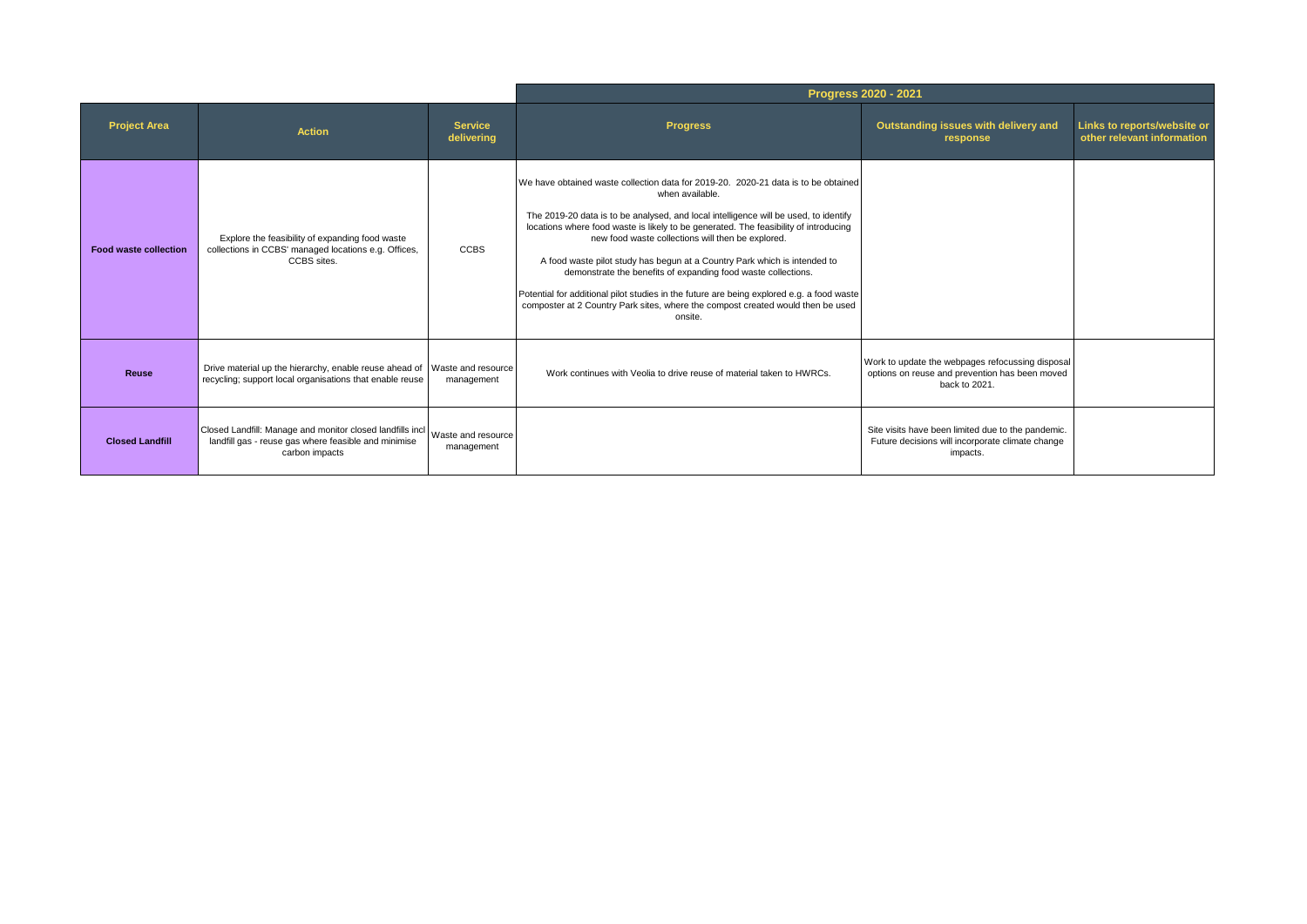|                              |                                                                                                                                       |                                  |                                                                                                                                                                                                                                                                                                                                                                                                                                                                                                                                                                                                                                                                                     | Progress 2020 - 2021                                                                                                |                                                           |
|------------------------------|---------------------------------------------------------------------------------------------------------------------------------------|----------------------------------|-------------------------------------------------------------------------------------------------------------------------------------------------------------------------------------------------------------------------------------------------------------------------------------------------------------------------------------------------------------------------------------------------------------------------------------------------------------------------------------------------------------------------------------------------------------------------------------------------------------------------------------------------------------------------------------|---------------------------------------------------------------------------------------------------------------------|-----------------------------------------------------------|
| <b>Project Area</b>          | <b>Action</b>                                                                                                                         | <b>Service</b><br>delivering     | <b>Progress</b>                                                                                                                                                                                                                                                                                                                                                                                                                                                                                                                                                                                                                                                                     | Outstanding issues with delivery and<br>response                                                                    | Links to reports/website or<br>other relevant information |
| <b>Food waste collection</b> | Explore the feasibility of expanding food waste<br>collections in CCBS' managed locations e.g. Offices,<br>CCBS sites.                | <b>CCBS</b>                      | We have obtained waste collection data for 2019-20, 2020-21 data is to be obtained<br>when available.<br>The 2019-20 data is to be analysed, and local intelligence will be used, to identify<br>locations where food waste is likely to be generated. The feasibility of introducing<br>new food waste collections will then be explored.<br>A food waste pilot study has begun at a Country Park which is intended to<br>demonstrate the benefits of expanding food waste collections.<br>Potential for additional pilot studies in the future are being explored e.g. a food waste<br>composter at 2 Country Park sites, where the compost created would then be used<br>onsite. |                                                                                                                     |                                                           |
| <b>Reuse</b>                 | Drive material up the hierarchy, enable reuse ahead of Waste and resource<br>recycling; support local organisations that enable reuse | management                       | Work continues with Veolia to drive reuse of material taken to HWRCs.                                                                                                                                                                                                                                                                                                                                                                                                                                                                                                                                                                                                               | Work to update the webpages refocussing disposal<br>options on reuse and prevention has been moved<br>back to 2021. |                                                           |
| <b>Closed Landfill</b>       | Closed Landfill: Manage and monitor closed landfills incl<br>landfill gas - reuse gas where feasible and minimise<br>carbon impacts   | Waste and resource<br>management |                                                                                                                                                                                                                                                                                                                                                                                                                                                                                                                                                                                                                                                                                     | Site visits have been limited due to the pandemic.<br>Future decisions will incorporate climate change<br>impacts.  |                                                           |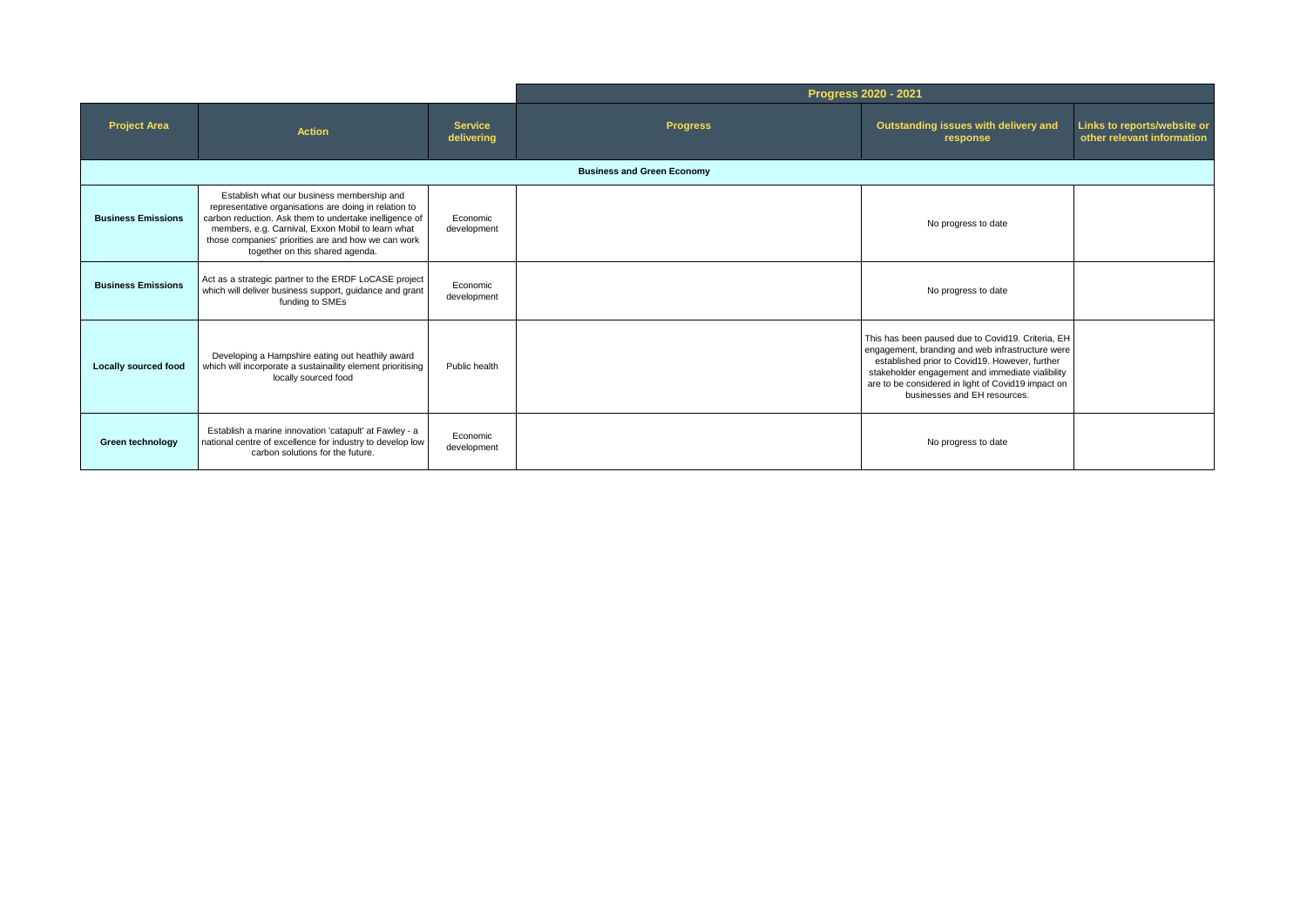|                             |                                                                                                                                                                                                                                                                                                              |                              |                                   | Progress 2020 - 2021                                                                                                                                                                                                                                                                              |                                                           |
|-----------------------------|--------------------------------------------------------------------------------------------------------------------------------------------------------------------------------------------------------------------------------------------------------------------------------------------------------------|------------------------------|-----------------------------------|---------------------------------------------------------------------------------------------------------------------------------------------------------------------------------------------------------------------------------------------------------------------------------------------------|-----------------------------------------------------------|
| <b>Project Area</b>         | <b>Action</b>                                                                                                                                                                                                                                                                                                | <b>Service</b><br>delivering | <b>Progress</b>                   | Outstanding issues with delivery and<br>response                                                                                                                                                                                                                                                  | Links to reports/website or<br>other relevant information |
|                             |                                                                                                                                                                                                                                                                                                              |                              | <b>Business and Green Economy</b> |                                                                                                                                                                                                                                                                                                   |                                                           |
| <b>Business Emissions</b>   | Establish what our business membership and<br>representative organisations are doing in relation to<br>carbon reduction. Ask them to undertake inelligence of<br>members, e.g. Carnival, Exxon Mobil to learn what<br>those companies' priorities are and how we can work<br>together on this shared agenda. | Economic<br>development      |                                   | No progress to date                                                                                                                                                                                                                                                                               |                                                           |
| <b>Business Emissions</b>   | Act as a strategic partner to the ERDF LoCASE project<br>which will deliver business support, guidance and grant<br>funding to SMEs                                                                                                                                                                          | Economic<br>development      |                                   | No progress to date                                                                                                                                                                                                                                                                               |                                                           |
| <b>Locally sourced food</b> | Developing a Hampshire eating out heathily award<br>which will incorporate a sustainaility element prioritising<br>locally sourced food                                                                                                                                                                      | Public health                |                                   | This has been paused due to Covid19. Criteria, EH<br>engagement, branding and web infrastructure were<br>established prior to Covid19. However, further<br>stakeholder engagement and immediate vialibility<br>are to be considered in light of Covid19 impact on<br>businesses and EH resources. |                                                           |
| Green technology            | Establish a marine innovation 'catapult' at Fawley - a<br>national centre of excellence for industry to develop low<br>carbon solutions for the future.                                                                                                                                                      | Economic<br>development      |                                   | No progress to date                                                                                                                                                                                                                                                                               |                                                           |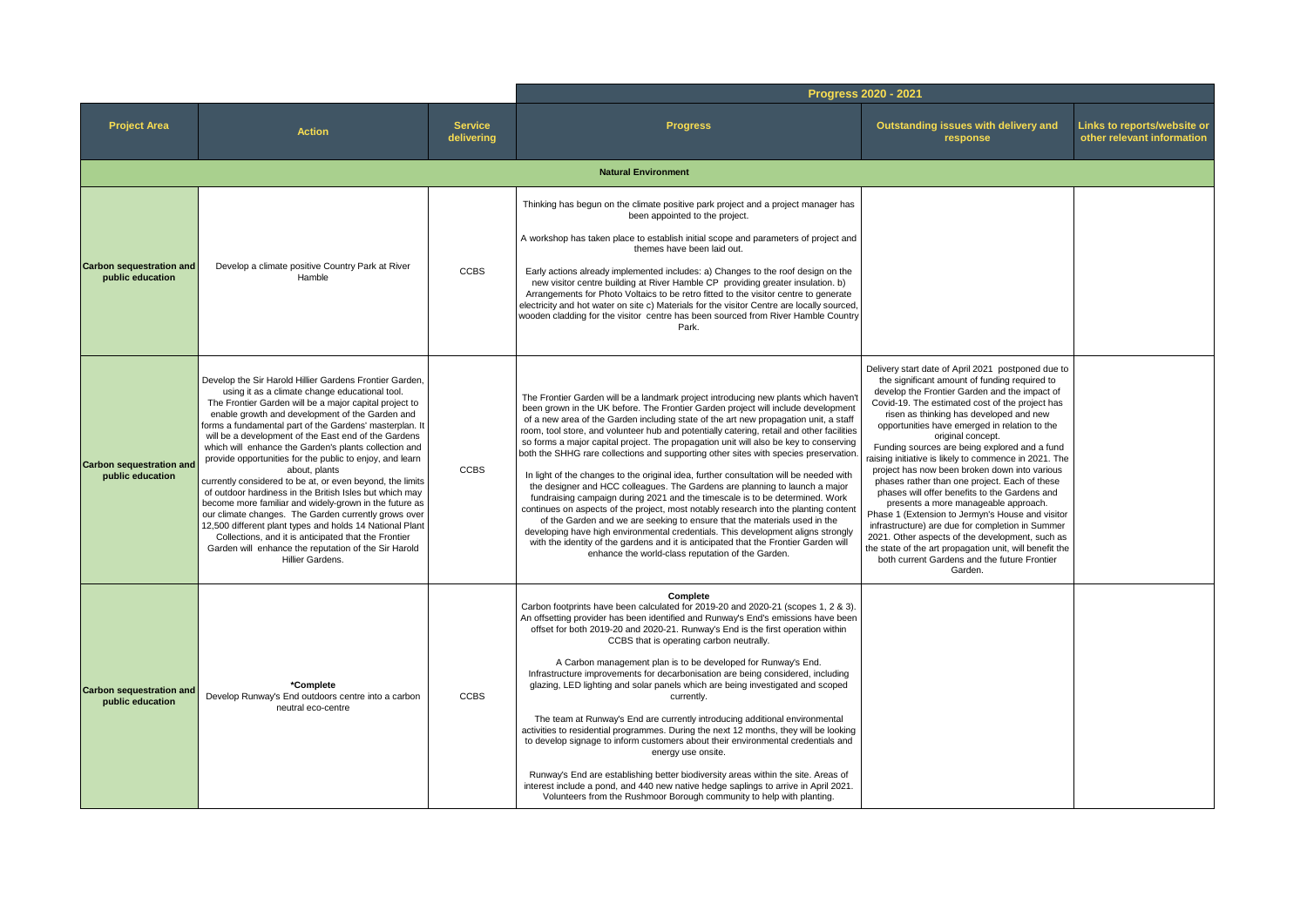|  |                                                     |                                                                                                                                                                                                                                                                                                                                                                                                                                                                                                                                                                                                                                                                                                                                                                                                                                                                                                                           |                              | Progress 2020 - 2021                                                                                                                                                                                                                                                                                                                                                                                                                                                                                                                                                                                                                                                                                                                                                                                                                                                                                                                                                                                                                                                                                                                                                                                          |                                                                                                                                                                                                                                                                                                                                                                                                                                                                                                                                                                                                                                                                                                                                                                                                                                                                                                                |                                                           |
|--|-----------------------------------------------------|---------------------------------------------------------------------------------------------------------------------------------------------------------------------------------------------------------------------------------------------------------------------------------------------------------------------------------------------------------------------------------------------------------------------------------------------------------------------------------------------------------------------------------------------------------------------------------------------------------------------------------------------------------------------------------------------------------------------------------------------------------------------------------------------------------------------------------------------------------------------------------------------------------------------------|------------------------------|---------------------------------------------------------------------------------------------------------------------------------------------------------------------------------------------------------------------------------------------------------------------------------------------------------------------------------------------------------------------------------------------------------------------------------------------------------------------------------------------------------------------------------------------------------------------------------------------------------------------------------------------------------------------------------------------------------------------------------------------------------------------------------------------------------------------------------------------------------------------------------------------------------------------------------------------------------------------------------------------------------------------------------------------------------------------------------------------------------------------------------------------------------------------------------------------------------------|----------------------------------------------------------------------------------------------------------------------------------------------------------------------------------------------------------------------------------------------------------------------------------------------------------------------------------------------------------------------------------------------------------------------------------------------------------------------------------------------------------------------------------------------------------------------------------------------------------------------------------------------------------------------------------------------------------------------------------------------------------------------------------------------------------------------------------------------------------------------------------------------------------------|-----------------------------------------------------------|
|  | <b>Project Area</b>                                 | <b>Action</b>                                                                                                                                                                                                                                                                                                                                                                                                                                                                                                                                                                                                                                                                                                                                                                                                                                                                                                             | <b>Service</b><br>delivering | <b>Progress</b>                                                                                                                                                                                                                                                                                                                                                                                                                                                                                                                                                                                                                                                                                                                                                                                                                                                                                                                                                                                                                                                                                                                                                                                               | Outstanding issues with delivery and<br>response                                                                                                                                                                                                                                                                                                                                                                                                                                                                                                                                                                                                                                                                                                                                                                                                                                                               | Links to reports/website or<br>other relevant information |
|  |                                                     |                                                                                                                                                                                                                                                                                                                                                                                                                                                                                                                                                                                                                                                                                                                                                                                                                                                                                                                           |                              | <b>Natural Environment</b>                                                                                                                                                                                                                                                                                                                                                                                                                                                                                                                                                                                                                                                                                                                                                                                                                                                                                                                                                                                                                                                                                                                                                                                    |                                                                                                                                                                                                                                                                                                                                                                                                                                                                                                                                                                                                                                                                                                                                                                                                                                                                                                                |                                                           |
|  | <b>Carbon sequestration and</b><br>public education | Develop a climate positive Country Park at River<br>Hamble                                                                                                                                                                                                                                                                                                                                                                                                                                                                                                                                                                                                                                                                                                                                                                                                                                                                | <b>CCBS</b>                  | Thinking has begun on the climate positive park project and a project manager has<br>been appointed to the project.<br>A workshop has taken place to establish initial scope and parameters of project and<br>themes have been laid out.<br>Early actions already implemented includes: a) Changes to the roof design on the<br>new visitor centre building at River Hamble CP providing greater insulation. b)<br>Arrangements for Photo Voltaics to be retro fitted to the visitor centre to generate<br>electricity and hot water on site c) Materials for the visitor Centre are locally sourced,<br>wooden cladding for the visitor centre has been sourced from River Hamble Country<br>Park.                                                                                                                                                                                                                                                                                                                                                                                                                                                                                                           |                                                                                                                                                                                                                                                                                                                                                                                                                                                                                                                                                                                                                                                                                                                                                                                                                                                                                                                |                                                           |
|  | <b>Carbon sequestration and</b><br>public education | Develop the Sir Harold Hillier Gardens Frontier Garden.<br>using it as a climate change educational tool.<br>The Frontier Garden will be a major capital project to<br>enable growth and development of the Garden and<br>forms a fundamental part of the Gardens' masterplan. It<br>will be a development of the East end of the Gardens<br>which will enhance the Garden's plants collection and<br>provide opportunities for the public to enjoy, and learn<br>about, plants<br>currently considered to be at, or even beyond, the limits<br>of outdoor hardiness in the British Isles but which may<br>become more familiar and widely-grown in the future as<br>our climate changes. The Garden currently grows over<br>12,500 different plant types and holds 14 National Plant<br>Collections, and it is anticipated that the Frontier<br>Garden will enhance the reputation of the Sir Harold<br>Hillier Gardens. | <b>CCBS</b>                  | The Frontier Garden will be a landmark project introducing new plants which haven't<br>been grown in the UK before. The Frontier Garden project will include development<br>of a new area of the Garden including state of the art new propagation unit, a staff<br>room, tool store, and volunteer hub and potentially catering, retail and other facilities<br>so forms a major capital project. The propagation unit will also be key to conserving<br>both the SHHG rare collections and supporting other sites with species preservation.<br>In light of the changes to the original idea, further consultation will be needed with<br>the designer and HCC colleagues. The Gardens are planning to launch a major<br>fundraising campaign during 2021 and the timescale is to be determined. Work<br>continues on aspects of the project, most notably research into the planting content<br>of the Garden and we are seeking to ensure that the materials used in the<br>developing have high environmental credentials. This development aligns strongly<br>with the identity of the gardens and it is anticipated that the Frontier Garden will<br>enhance the world-class reputation of the Garden. | Delivery start date of April 2021 postponed due to<br>the significant amount of funding required to<br>develop the Frontier Garden and the impact of<br>Covid-19. The estimated cost of the project has<br>risen as thinking has developed and new<br>opportunities have emerged in relation to the<br>original concept.<br>Funding sources are being explored and a fund<br>raising initiative is likely to commence in 2021. The<br>project has now been broken down into various<br>phases rather than one project. Each of these<br>phases will offer benefits to the Gardens and<br>presents a more manageable approach.<br>Phase 1 (Extension to Jermyn's House and visitor<br>infrastructure) are due for completion in Summer<br>2021. Other aspects of the development, such as<br>the state of the art propagation unit, will benefit the<br>both current Gardens and the future Frontier<br>Garden. |                                                           |
|  | <b>Carbon sequestration and</b><br>public education | *Complete<br>Develop Runway's End outdoors centre into a carbon<br>neutral eco-centre                                                                                                                                                                                                                                                                                                                                                                                                                                                                                                                                                                                                                                                                                                                                                                                                                                     | <b>CCBS</b>                  | Complete<br>Carbon footprints have been calculated for 2019-20 and 2020-21 (scopes 1, 2 & 3).<br>An offsetting provider has been identified and Runway's End's emissions have been<br>offset for both 2019-20 and 2020-21. Runway's End is the first operation within<br>CCBS that is operating carbon neutrally.<br>A Carbon management plan is to be developed for Runway's End.<br>Infrastructure improvements for decarbonisation are being considered, including<br>glazing, LED lighting and solar panels which are being investigated and scoped<br>currently.<br>The team at Runway's End are currently introducing additional environmental<br>activities to residential programmes. During the next 12 months, they will be looking<br>to develop signage to inform customers about their environmental credentials and<br>energy use onsite.<br>Runway's End are establishing better biodiversity areas within the site. Areas of<br>interest include a pond, and 440 new native hedge saplings to arrive in April 2021.<br>Volunteers from the Rushmoor Borough community to help with planting.                                                                                                  |                                                                                                                                                                                                                                                                                                                                                                                                                                                                                                                                                                                                                                                                                                                                                                                                                                                                                                                |                                                           |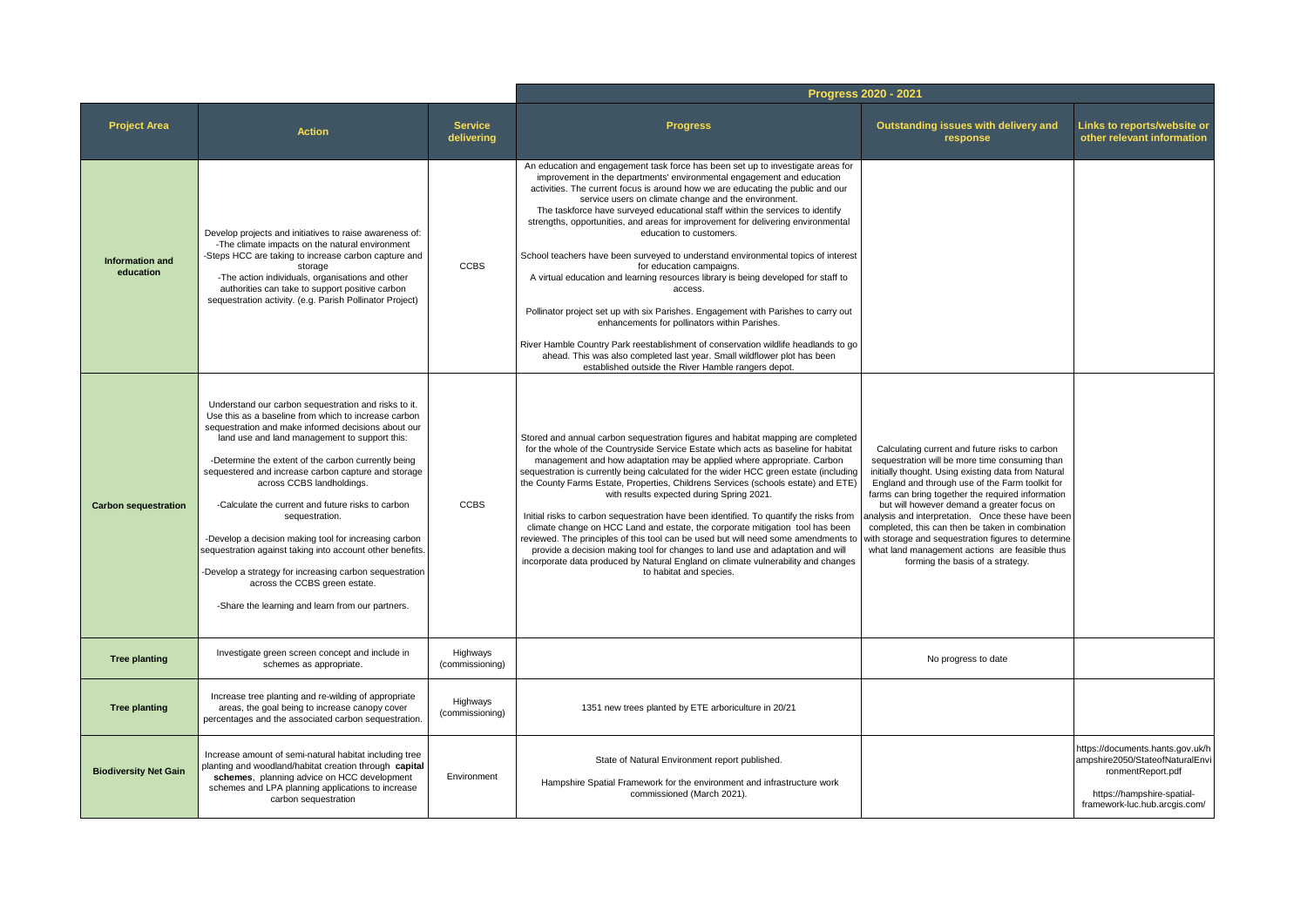|                                     |                                                                                                                                                                                                                                                                                                                                                                                                                                                                                                                                                                                                                                                                                                              |                              |                                                                                                                                                                                                                                                                                                                                                                                                                                                                                                                                                                                                                                                                                                                                                                                                                                                                                                                                                                                                                                                                                        | Progress 2020 - 2021                                                                                                                                                                                                                                                                                                                                                                                                                                                                                                                                                |                                                                                                                                                         |
|-------------------------------------|--------------------------------------------------------------------------------------------------------------------------------------------------------------------------------------------------------------------------------------------------------------------------------------------------------------------------------------------------------------------------------------------------------------------------------------------------------------------------------------------------------------------------------------------------------------------------------------------------------------------------------------------------------------------------------------------------------------|------------------------------|----------------------------------------------------------------------------------------------------------------------------------------------------------------------------------------------------------------------------------------------------------------------------------------------------------------------------------------------------------------------------------------------------------------------------------------------------------------------------------------------------------------------------------------------------------------------------------------------------------------------------------------------------------------------------------------------------------------------------------------------------------------------------------------------------------------------------------------------------------------------------------------------------------------------------------------------------------------------------------------------------------------------------------------------------------------------------------------|---------------------------------------------------------------------------------------------------------------------------------------------------------------------------------------------------------------------------------------------------------------------------------------------------------------------------------------------------------------------------------------------------------------------------------------------------------------------------------------------------------------------------------------------------------------------|---------------------------------------------------------------------------------------------------------------------------------------------------------|
| <b>Project Area</b>                 | <b>Action</b>                                                                                                                                                                                                                                                                                                                                                                                                                                                                                                                                                                                                                                                                                                | <b>Service</b><br>delivering | <b>Progress</b>                                                                                                                                                                                                                                                                                                                                                                                                                                                                                                                                                                                                                                                                                                                                                                                                                                                                                                                                                                                                                                                                        | Outstanding issues with delivery and<br>response                                                                                                                                                                                                                                                                                                                                                                                                                                                                                                                    | Links to reports/website or<br>other relevant information                                                                                               |
| <b>Information and</b><br>education | Develop projects and initiatives to raise awareness of:<br>-The climate impacts on the natural environment<br>-Steps HCC are taking to increase carbon capture and<br>storage<br>-The action individuals, organisations and other<br>authorities can take to support positive carbon<br>sequestration activity. (e.g. Parish Pollinator Project)                                                                                                                                                                                                                                                                                                                                                             | <b>CCBS</b>                  | An education and engagement task force has been set up to investigate areas for<br>improvement in the departments' environmental engagement and education<br>activities. The current focus is around how we are educating the public and our<br>service users on climate change and the environment.<br>The taskforce have surveyed educational staff within the services to identify<br>strengths, opportunities, and areas for improvement for delivering environmental<br>education to customers.<br>School teachers have been surveyed to understand environmental topics of interest<br>for education campaigns.<br>A virtual education and learning resources library is being developed for staff to<br>access.<br>Pollinator project set up with six Parishes. Engagement with Parishes to carry out<br>enhancements for pollinators within Parishes.<br>River Hamble Country Park reestablishment of conservation wildlife headlands to go<br>ahead. This was also completed last year. Small wildflower plot has been<br>established outside the River Hamble rangers depot. |                                                                                                                                                                                                                                                                                                                                                                                                                                                                                                                                                                     |                                                                                                                                                         |
| <b>Carbon sequestration</b>         | Understand our carbon sequestration and risks to it.<br>Use this as a baseline from which to increase carbon<br>sequestration and make informed decisions about our<br>land use and land management to support this:<br>-Determine the extent of the carbon currently being<br>sequestered and increase carbon capture and storage<br>across CCBS landholdings.<br>-Calculate the current and future risks to carbon<br>sequestration.<br>-Develop a decision making tool for increasing carbon<br>sequestration against taking into account other benefits.<br>-Develop a strategy for increasing carbon sequestration<br>across the CCBS green estate.<br>-Share the learning and learn from our partners. | <b>CCBS</b>                  | Stored and annual carbon sequestration figures and habitat mapping are completed<br>for the whole of the Countryside Service Estate which acts as baseline for habitat<br>management and how adaptation may be applied where appropriate. Carbon<br>sequestration is currently being calculated for the wider HCC green estate (including<br>the County Farms Estate, Properties, Childrens Services (schools estate) and ETE)<br>with results expected during Spring 2021.<br>Initial risks to carbon sequestration have been identified. To quantify the risks from<br>climate change on HCC Land and estate, the corporate mitigation tool has been<br>reviewed. The principles of this tool can be used but will need some amendments to<br>provide a decision making tool for changes to land use and adaptation and will<br>incorporate data produced by Natural England on climate vulnerability and changes<br>to habitat and species.                                                                                                                                         | Calculating current and future risks to carbon<br>sequestration will be more time consuming than<br>initially thought. Using existing data from Natural<br>England and through use of the Farm toolkit for<br>farms can bring together the required information<br>but will however demand a greater focus on<br>analysis and interpretation. Once these have been<br>completed, this can then be taken in combination<br>with storage and sequestration figures to determine<br>what land management actions are feasible thus<br>forming the basis of a strategy. |                                                                                                                                                         |
| <b>Tree planting</b>                | Investigate green screen concept and include in<br>schemes as appropriate.                                                                                                                                                                                                                                                                                                                                                                                                                                                                                                                                                                                                                                   | Highways<br>(commissioning)  |                                                                                                                                                                                                                                                                                                                                                                                                                                                                                                                                                                                                                                                                                                                                                                                                                                                                                                                                                                                                                                                                                        | No progress to date                                                                                                                                                                                                                                                                                                                                                                                                                                                                                                                                                 |                                                                                                                                                         |
| <b>Tree planting</b>                | Increase tree planting and re-wilding of appropriate<br>areas, the goal being to increase canopy cover<br>percentages and the associated carbon sequestration.                                                                                                                                                                                                                                                                                                                                                                                                                                                                                                                                               | Highways<br>(commissioning)  | 1351 new trees planted by ETE arboriculture in 20/21                                                                                                                                                                                                                                                                                                                                                                                                                                                                                                                                                                                                                                                                                                                                                                                                                                                                                                                                                                                                                                   |                                                                                                                                                                                                                                                                                                                                                                                                                                                                                                                                                                     |                                                                                                                                                         |
| <b>Biodiversity Net Gain</b>        | Increase amount of semi-natural habitat including tree<br>planting and woodland/habitat creation through capital<br>schemes, planning advice on HCC development<br>schemes and LPA planning applications to increase<br>carbon sequestration                                                                                                                                                                                                                                                                                                                                                                                                                                                                 | Environment                  | State of Natural Environment report published.<br>Hampshire Spatial Framework for the environment and infrastructure work<br>commissioned (March 2021).                                                                                                                                                                                                                                                                                                                                                                                                                                                                                                                                                                                                                                                                                                                                                                                                                                                                                                                                |                                                                                                                                                                                                                                                                                                                                                                                                                                                                                                                                                                     | https://documents.hants.gov.uk/h<br>ampshire2050/StateofNaturalEnvi<br>ronmentReport.pdf<br>https://hampshire-spatial-<br>framework-luc.hub.arcgis.com/ |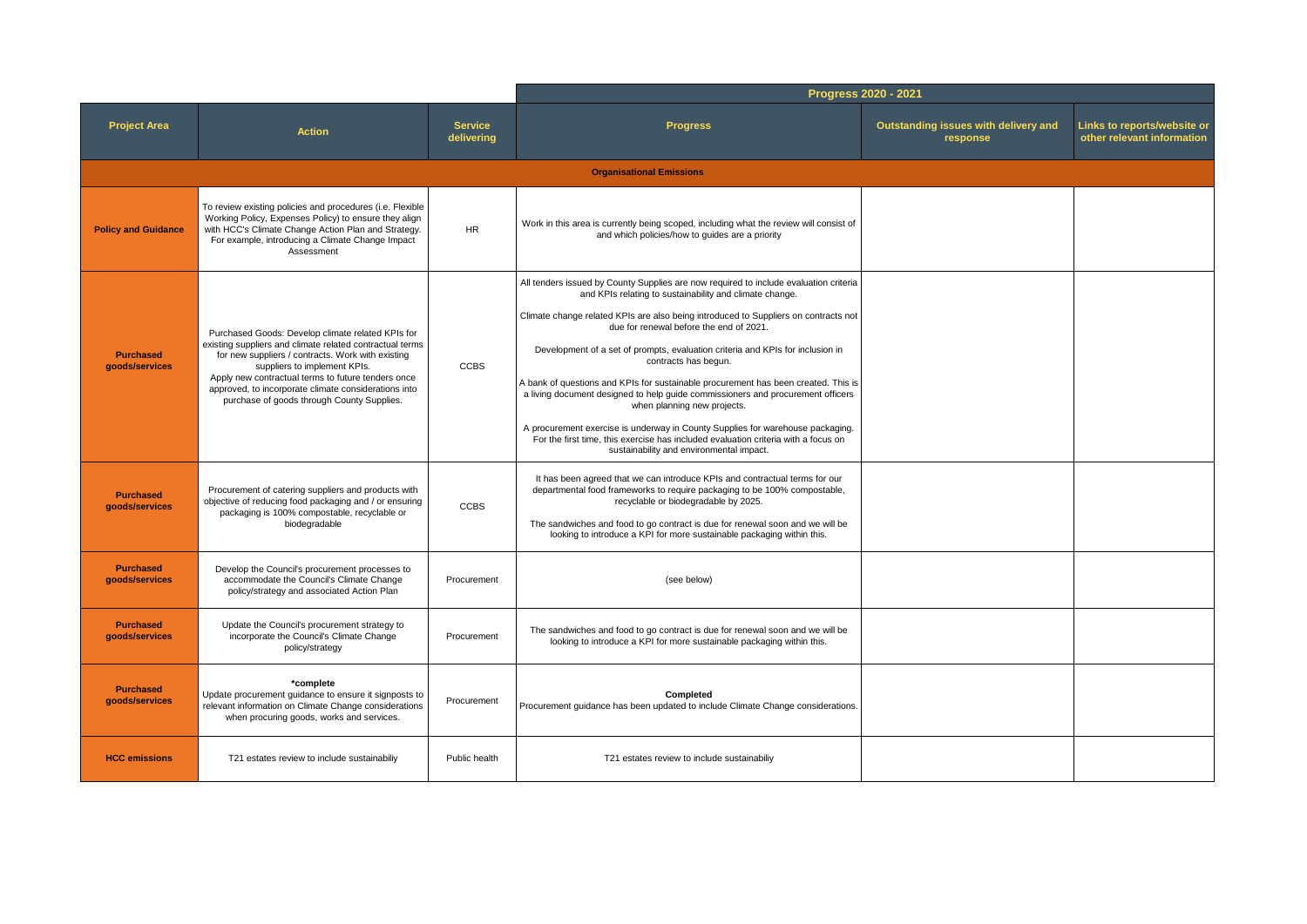|                                    |                                                                                                                                                                                                                                                                                                                                                                |                              | Progress 2020 - 2021                                                                                                                                                                                                                                                                                                                                                                                                                                                                                                                                                                                                                                                                                                                                                                                                     |                                                  |                                                           |  |
|------------------------------------|----------------------------------------------------------------------------------------------------------------------------------------------------------------------------------------------------------------------------------------------------------------------------------------------------------------------------------------------------------------|------------------------------|--------------------------------------------------------------------------------------------------------------------------------------------------------------------------------------------------------------------------------------------------------------------------------------------------------------------------------------------------------------------------------------------------------------------------------------------------------------------------------------------------------------------------------------------------------------------------------------------------------------------------------------------------------------------------------------------------------------------------------------------------------------------------------------------------------------------------|--------------------------------------------------|-----------------------------------------------------------|--|
| <b>Project Area</b>                | <b>Action</b>                                                                                                                                                                                                                                                                                                                                                  | <b>Service</b><br>delivering | <b>Progress</b>                                                                                                                                                                                                                                                                                                                                                                                                                                                                                                                                                                                                                                                                                                                                                                                                          | Outstanding issues with delivery and<br>response | Links to reports/website or<br>other relevant information |  |
|                                    |                                                                                                                                                                                                                                                                                                                                                                |                              | <b>Organisational Emissions</b>                                                                                                                                                                                                                                                                                                                                                                                                                                                                                                                                                                                                                                                                                                                                                                                          |                                                  |                                                           |  |
| <b>Policy and Guidance</b>         | To review existing policies and procedures (i.e. Flexible<br>Working Policy, Expenses Policy) to ensure they align<br>with HCC's Climate Change Action Plan and Strategy.<br>For example, introducing a Climate Change Impact<br>Assessment                                                                                                                    | <b>HR</b>                    | Work in this area is currently being scoped, including what the review will consist of<br>and which policies/how to guides are a priority                                                                                                                                                                                                                                                                                                                                                                                                                                                                                                                                                                                                                                                                                |                                                  |                                                           |  |
| <b>Purchased</b><br>goods/services | Purchased Goods: Develop climate related KPIs for<br>existing suppliers and climate related contractual terms<br>for new suppliers / contracts. Work with existing<br>suppliers to implement KPIs.<br>Apply new contractual terms to future tenders once<br>approved, to incorporate climate considerations into<br>purchase of goods through County Supplies. | <b>CCBS</b>                  | All tenders issued by County Supplies are now required to include evaluation criteria<br>and KPIs relating to sustainability and climate change.<br>Climate change related KPIs are also being introduced to Suppliers on contracts not<br>due for renewal before the end of 2021.<br>Development of a set of prompts, evaluation criteria and KPIs for inclusion in<br>contracts has begun.<br>A bank of questions and KPIs for sustainable procurement has been created. This is<br>a living document designed to help guide commissioners and procurement officers<br>when planning new projects.<br>A procurement exercise is underway in County Supplies for warehouse packaging.<br>For the first time, this exercise has included evaluation criteria with a focus on<br>sustainability and environmental impact. |                                                  |                                                           |  |
| <b>Purchased</b><br>goods/services | Procurement of catering suppliers and products with<br>objective of reducing food packaging and / or ensuring<br>packaging is 100% compostable, recyclable or<br>biodegradable                                                                                                                                                                                 | <b>CCBS</b>                  | It has been agreed that we can introduce KPIs and contractual terms for our<br>departmental food frameworks to require packaging to be 100% compostable,<br>recyclable or biodegradable by 2025.<br>The sandwiches and food to go contract is due for renewal soon and we will be<br>looking to introduce a KPI for more sustainable packaging within this.                                                                                                                                                                                                                                                                                                                                                                                                                                                              |                                                  |                                                           |  |
| <b>Purchased</b><br>goods/services | Develop the Council's procurement processes to<br>accommodate the Council's Climate Change<br>policy/strategy and associated Action Plan                                                                                                                                                                                                                       | Procurement                  | (see below)                                                                                                                                                                                                                                                                                                                                                                                                                                                                                                                                                                                                                                                                                                                                                                                                              |                                                  |                                                           |  |
| <b>Purchased</b><br>goods/services | Update the Council's procurement strategy to<br>incorporate the Council's Climate Change<br>policy/strategy                                                                                                                                                                                                                                                    | Procurement                  | The sandwiches and food to go contract is due for renewal soon and we will be<br>looking to introduce a KPI for more sustainable packaging within this.                                                                                                                                                                                                                                                                                                                                                                                                                                                                                                                                                                                                                                                                  |                                                  |                                                           |  |
| <b>Purchased</b><br>goods/services | *complete<br>Update procurement guidance to ensure it signposts to<br>relevant information on Climate Change considerations<br>when procuring goods, works and services.                                                                                                                                                                                       | Procurement                  | Completed<br>Procurement guidance has been updated to include Climate Change considerations.                                                                                                                                                                                                                                                                                                                                                                                                                                                                                                                                                                                                                                                                                                                             |                                                  |                                                           |  |
| <b>HCC emissions</b>               | T21 estates review to include sustainabiliy                                                                                                                                                                                                                                                                                                                    | Public health                | T21 estates review to include sustainabiliy                                                                                                                                                                                                                                                                                                                                                                                                                                                                                                                                                                                                                                                                                                                                                                              |                                                  |                                                           |  |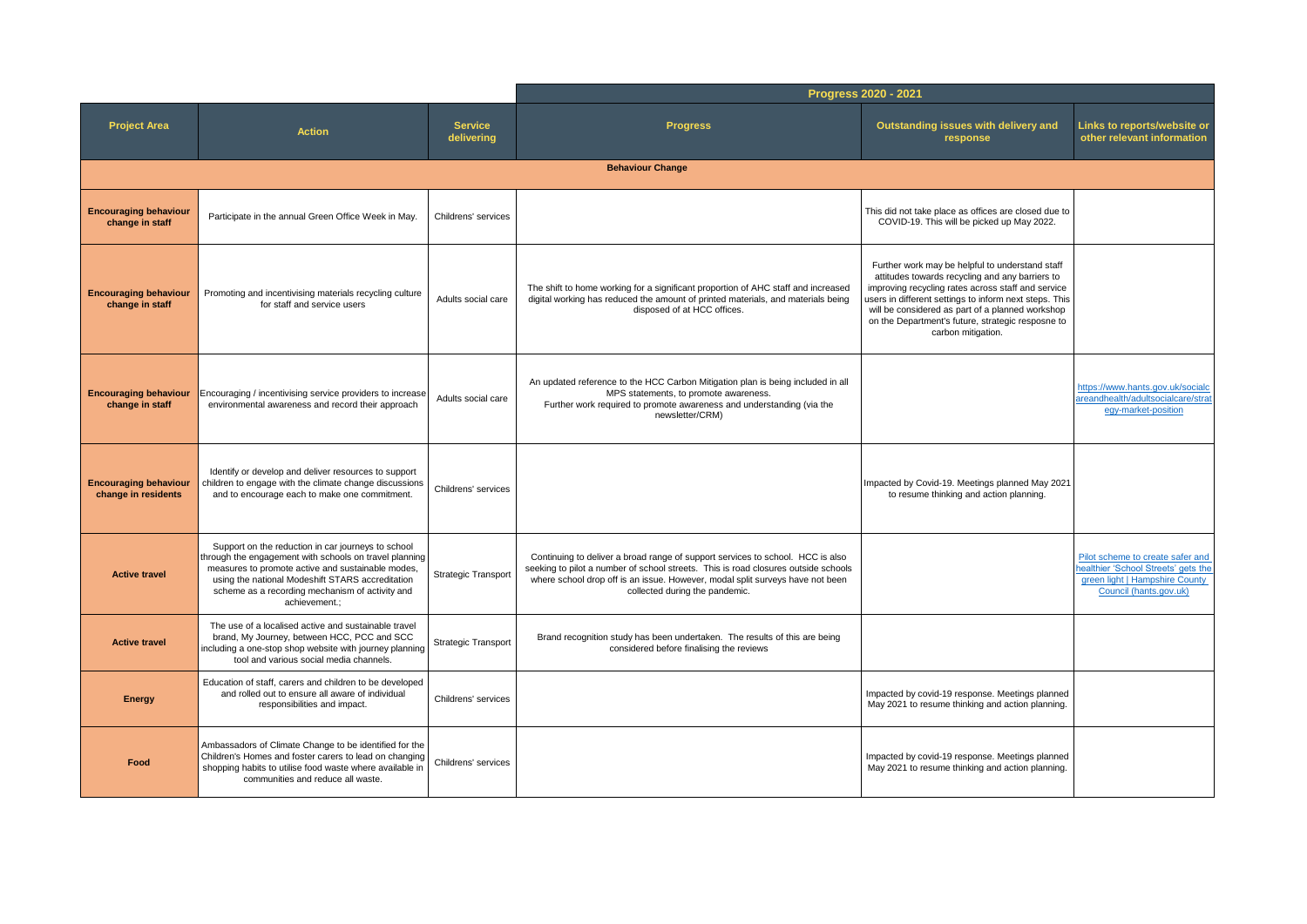|                                                     |                                                                                                                                                                                                                                                                                           |                              | Progress 2020 - 2021                                                                                                                                                                                                                                                                    |                                                                                                                                                                                                                                                                                                                                                   |                                                                                                                                     |
|-----------------------------------------------------|-------------------------------------------------------------------------------------------------------------------------------------------------------------------------------------------------------------------------------------------------------------------------------------------|------------------------------|-----------------------------------------------------------------------------------------------------------------------------------------------------------------------------------------------------------------------------------------------------------------------------------------|---------------------------------------------------------------------------------------------------------------------------------------------------------------------------------------------------------------------------------------------------------------------------------------------------------------------------------------------------|-------------------------------------------------------------------------------------------------------------------------------------|
| <b>Project Area</b>                                 | <b>Action</b>                                                                                                                                                                                                                                                                             | <b>Service</b><br>delivering | <b>Progress</b>                                                                                                                                                                                                                                                                         | Outstanding issues with delivery and<br>response                                                                                                                                                                                                                                                                                                  | Links to reports/website or<br>other relevant information                                                                           |
|                                                     |                                                                                                                                                                                                                                                                                           |                              | <b>Behaviour Change</b>                                                                                                                                                                                                                                                                 |                                                                                                                                                                                                                                                                                                                                                   |                                                                                                                                     |
| <b>Encouraging behaviour</b><br>change in staff     | Participate in the annual Green Office Week in May.                                                                                                                                                                                                                                       | Childrens' services          |                                                                                                                                                                                                                                                                                         | This did not take place as offices are closed due to<br>COVID-19. This will be picked up May 2022.                                                                                                                                                                                                                                                |                                                                                                                                     |
| <b>Encouraging behaviour</b><br>change in staff     | Promoting and incentivising materials recycling culture<br>for staff and service users                                                                                                                                                                                                    | Adults social care           | The shift to home working for a significant proportion of AHC staff and increased<br>digital working has reduced the amount of printed materials, and materials being<br>disposed of at HCC offices.                                                                                    | Further work may be helpful to understand staff<br>attitudes towards recycling and any barriers to<br>improving recycling rates across staff and service<br>users in different settings to inform next steps. This<br>will be considered as part of a planned workshop<br>on the Department's future, strategic resposne to<br>carbon mitigation. |                                                                                                                                     |
| <b>Encouraging behaviour</b><br>change in staff     | Encouraging / incentivising service providers to increase<br>environmental awareness and record their approach                                                                                                                                                                            | Adults social care           | An updated reference to the HCC Carbon Mitigation plan is being included in all<br>MPS statements, to promote awareness.<br>Further work required to promote awareness and understanding (via the<br>newsletter/CRM)                                                                    |                                                                                                                                                                                                                                                                                                                                                   | https://www.hants.gov.uk/socialc<br>areandhealth/adultsocialcare/strat<br>eqy-market-position                                       |
| <b>Encouraging behaviour</b><br>change in residents | Identify or develop and deliver resources to support<br>children to engage with the climate change discussions<br>and to encourage each to make one commitment.                                                                                                                           | Childrens' services          |                                                                                                                                                                                                                                                                                         | Impacted by Covid-19. Meetings planned May 2021<br>to resume thinking and action planning.                                                                                                                                                                                                                                                        |                                                                                                                                     |
| <b>Active travel</b>                                | Support on the reduction in car journeys to school<br>through the engagement with schools on travel planning<br>measures to promote active and sustainable modes,<br>using the national Modeshift STARS accreditation<br>scheme as a recording mechanism of activity and<br>achievement.; | <b>Strategic Transport</b>   | Continuing to deliver a broad range of support services to school. HCC is also<br>seeking to pilot a number of school streets. This is road closures outside schools<br>where school drop off is an issue. However, modal split surveys have not been<br>collected during the pandemic. |                                                                                                                                                                                                                                                                                                                                                   | Pilot scheme to create safer and<br>healthier 'School Streets' gets the<br>green light   Hampshire County<br>Council (hants.gov.uk) |
| <b>Active travel</b>                                | The use of a localised active and sustainable travel<br>brand, My Journey, between HCC, PCC and SCC<br>including a one-stop shop website with journey planning<br>tool and various social media channels.                                                                                 | <b>Strategic Transport</b>   | Brand recognition study has been undertaken. The results of this are being<br>considered before finalising the reviews                                                                                                                                                                  |                                                                                                                                                                                                                                                                                                                                                   |                                                                                                                                     |
| <b>Energy</b>                                       | Education of staff, carers and children to be developed<br>and rolled out to ensure all aware of individual<br>responsibilities and impact.                                                                                                                                               | Childrens' services          |                                                                                                                                                                                                                                                                                         | Impacted by covid-19 response. Meetings planned<br>May 2021 to resume thinking and action planning.                                                                                                                                                                                                                                               |                                                                                                                                     |
| Food                                                | Ambassadors of Climate Change to be identified for the<br>Children's Homes and foster carers to lead on changing<br>shopping habits to utilise food waste where available in<br>communities and reduce all waste.                                                                         | Childrens' services          |                                                                                                                                                                                                                                                                                         | Impacted by covid-19 response. Meetings planned<br>May 2021 to resume thinking and action planning.                                                                                                                                                                                                                                               |                                                                                                                                     |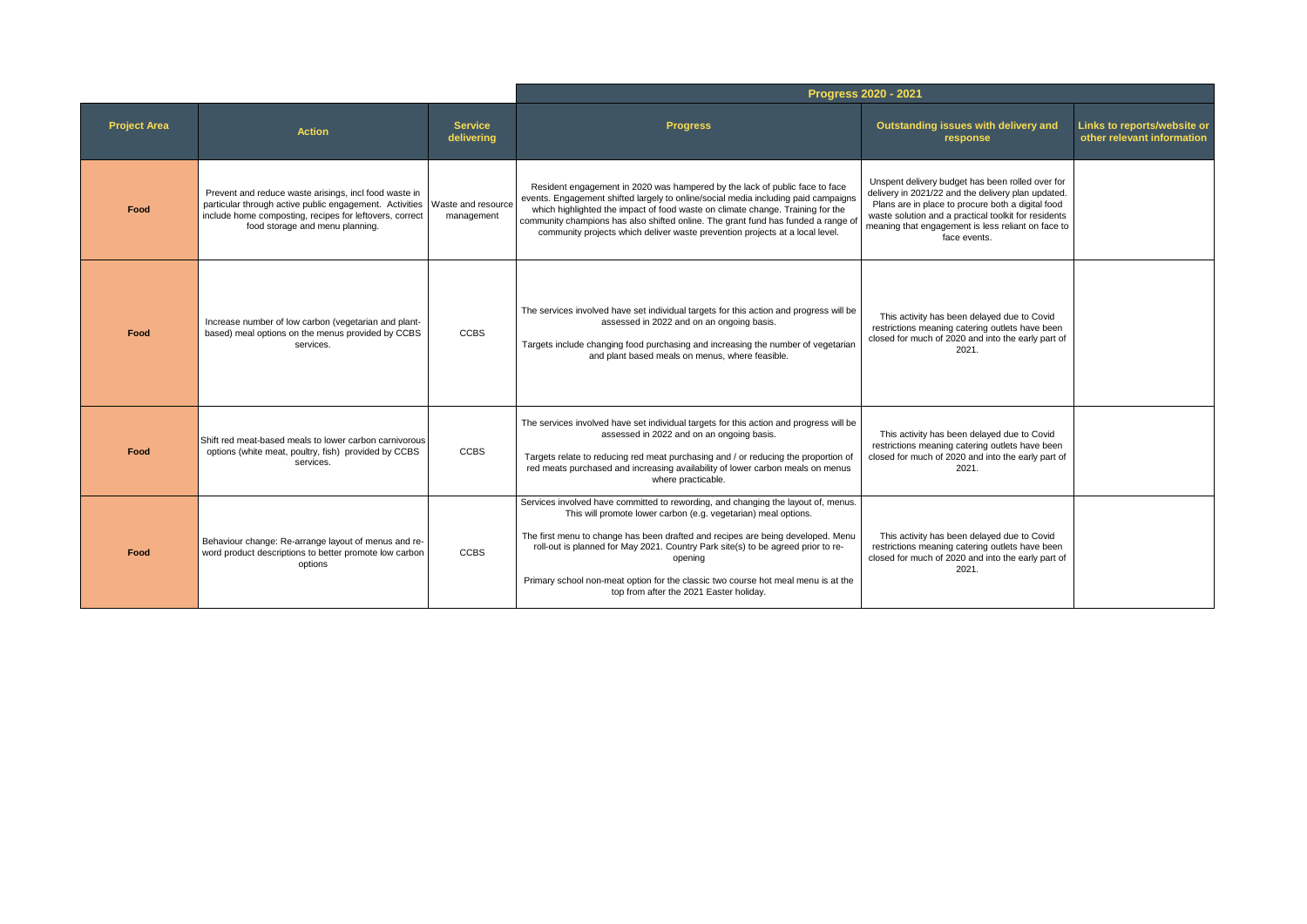|                     |                                                                                                                                                                                                                |                                  |                                                                                                                                                                                                                                                                                                                                                                                                                                                                       | Progress 2020 - 2021                                                                                                                                                                                                                                                                      |                                                           |
|---------------------|----------------------------------------------------------------------------------------------------------------------------------------------------------------------------------------------------------------|----------------------------------|-----------------------------------------------------------------------------------------------------------------------------------------------------------------------------------------------------------------------------------------------------------------------------------------------------------------------------------------------------------------------------------------------------------------------------------------------------------------------|-------------------------------------------------------------------------------------------------------------------------------------------------------------------------------------------------------------------------------------------------------------------------------------------|-----------------------------------------------------------|
| <b>Project Area</b> | <b>Action</b>                                                                                                                                                                                                  | <b>Service</b><br>delivering     | <b>Progress</b>                                                                                                                                                                                                                                                                                                                                                                                                                                                       | Outstanding issues with delivery and<br>response                                                                                                                                                                                                                                          | Links to reports/website or<br>other relevant information |
| Food                | Prevent and reduce waste arisings, incl food waste in<br>particular through active public engagement. Activities<br>include home composting, recipes for leftovers, correct<br>food storage and menu planning. | Waste and resource<br>management | Resident engagement in 2020 was hampered by the lack of public face to face<br>events. Engagement shifted largely to online/social media including paid campaigns<br>which highlighted the impact of food waste on climate change. Training for the<br>community champions has also shifted online. The grant fund has funded a range of<br>community projects which deliver waste prevention projects at a local level.                                              | Unspent delivery budget has been rolled over for<br>delivery in 2021/22 and the delivery plan updated.<br>Plans are in place to procure both a digital food<br>waste solution and a practical toolkit for residents<br>meaning that engagement is less reliant on face to<br>face events. |                                                           |
| Food                | Increase number of low carbon (vegetarian and plant-<br>based) meal options on the menus provided by CCBS<br>services.                                                                                         | <b>CCBS</b>                      | The services involved have set individual targets for this action and progress will be<br>assessed in 2022 and on an ongoing basis.<br>Targets include changing food purchasing and increasing the number of vegetarian<br>and plant based meals on menus, where feasible.                                                                                                                                                                                            | This activity has been delayed due to Covid<br>restrictions meaning catering outlets have been<br>closed for much of 2020 and into the early part of<br>2021.                                                                                                                             |                                                           |
| Food                | Shift red meat-based meals to lower carbon carnivorous<br>options (white meat, poultry, fish) provided by CCBS<br>services.                                                                                    | <b>CCBS</b>                      | The services involved have set individual targets for this action and progress will be<br>assessed in 2022 and on an ongoing basis.<br>Targets relate to reducing red meat purchasing and / or reducing the proportion of<br>red meats purchased and increasing availability of lower carbon meals on menus<br>where practicable.                                                                                                                                     | This activity has been delayed due to Covid<br>restrictions meaning catering outlets have been<br>closed for much of 2020 and into the early part of<br>2021.                                                                                                                             |                                                           |
| Food                | Behaviour change: Re-arrange layout of menus and re-<br>word product descriptions to better promote low carbon<br>options                                                                                      | <b>CCBS</b>                      | Services involved have committed to rewording, and changing the layout of, menus.<br>This will promote lower carbon (e.g. vegetarian) meal options.<br>The first menu to change has been drafted and recipes are being developed. Menu<br>roll-out is planned for May 2021. Country Park site(s) to be agreed prior to re-<br>opening<br>Primary school non-meat option for the classic two course hot meal menu is at the<br>top from after the 2021 Easter holiday. | This activity has been delayed due to Covid<br>restrictions meaning catering outlets have been<br>closed for much of 2020 and into the early part of<br>2021.                                                                                                                             |                                                           |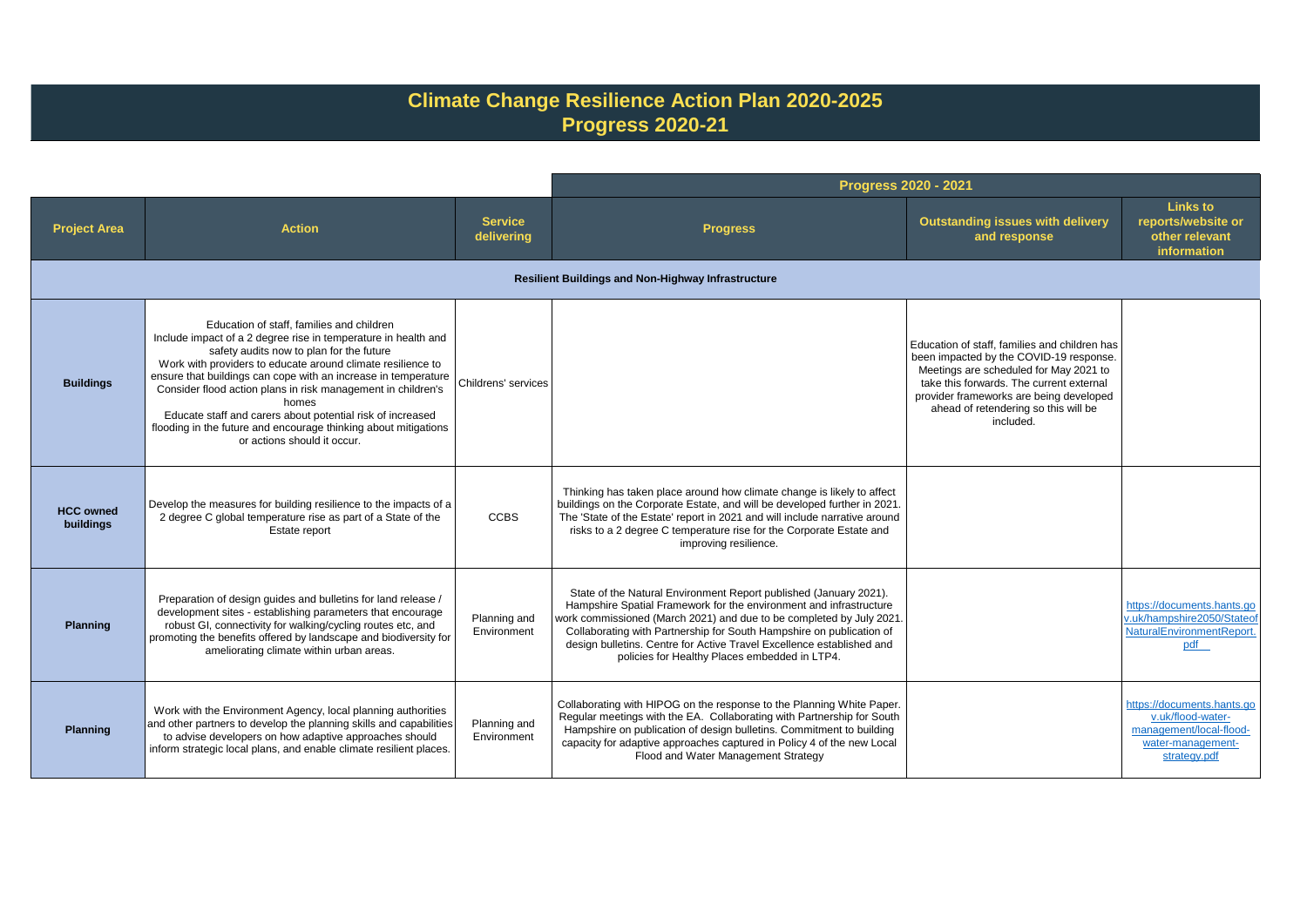## **Climate Change Resilience Action Plan 2020-2025 Progress 2020-21**

|                               |                                                                                                                                                                                                                                                                                                                                                                                                                                                                                                                                   |                              | <b>Progress 2020 - 2021</b>                                                                                                                                                                                                                                                                                                                                                                                       |                                                                                                                                                                                                                                                                                |                                                                                                                 |
|-------------------------------|-----------------------------------------------------------------------------------------------------------------------------------------------------------------------------------------------------------------------------------------------------------------------------------------------------------------------------------------------------------------------------------------------------------------------------------------------------------------------------------------------------------------------------------|------------------------------|-------------------------------------------------------------------------------------------------------------------------------------------------------------------------------------------------------------------------------------------------------------------------------------------------------------------------------------------------------------------------------------------------------------------|--------------------------------------------------------------------------------------------------------------------------------------------------------------------------------------------------------------------------------------------------------------------------------|-----------------------------------------------------------------------------------------------------------------|
| <b>Project Area</b>           | <b>Action</b>                                                                                                                                                                                                                                                                                                                                                                                                                                                                                                                     | <b>Service</b><br>delivering | <b>Progress</b>                                                                                                                                                                                                                                                                                                                                                                                                   | <b>Outstanding issues with delivery</b><br>and response                                                                                                                                                                                                                        | Links to<br>reports/website or<br>other relevant<br>information                                                 |
|                               |                                                                                                                                                                                                                                                                                                                                                                                                                                                                                                                                   |                              | <b>Resilient Buildings and Non-Highway Infrastructure</b>                                                                                                                                                                                                                                                                                                                                                         |                                                                                                                                                                                                                                                                                |                                                                                                                 |
| <b>Buildings</b>              | Education of staff, families and children<br>Include impact of a 2 degree rise in temperature in health and<br>safety audits now to plan for the future<br>Work with providers to educate around climate resilience to<br>ensure that buildings can cope with an increase in temperature<br>Consider flood action plans in risk management in children's<br>homes<br>Educate staff and carers about potential risk of increased<br>flooding in the future and encourage thinking about mitigations<br>or actions should it occur. | Childrens' services          |                                                                                                                                                                                                                                                                                                                                                                                                                   | Education of staff, families and children has<br>been impacted by the COVID-19 response.<br>Meetings are scheduled for May 2021 to<br>take this forwards. The current external<br>provider frameworks are being developed<br>ahead of retendering so this will be<br>included. |                                                                                                                 |
| <b>HCC owned</b><br>buildings | Develop the measures for building resilience to the impacts of a<br>2 degree C global temperature rise as part of a State of the<br>Estate report                                                                                                                                                                                                                                                                                                                                                                                 | <b>CCBS</b>                  | Thinking has taken place around how climate change is likely to affect<br>buildings on the Corporate Estate, and will be developed further in 2021.<br>The 'State of the Estate' report in 2021 and will include narrative around<br>risks to a 2 degree C temperature rise for the Corporate Estate and<br>improving resilience.                                                                                 |                                                                                                                                                                                                                                                                                |                                                                                                                 |
| <b>Planning</b>               | Preparation of design guides and bulletins for land release /<br>development sites - establishing parameters that encourage<br>robust GI, connectivity for walking/cycling routes etc, and<br>promoting the benefits offered by landscape and biodiversity for<br>ameliorating climate within urban areas.                                                                                                                                                                                                                        | Planning and<br>Environment  | State of the Natural Environment Report published (January 2021).<br>Hampshire Spatial Framework for the environment and infrastructure<br>work commissioned (March 2021) and due to be completed by July 2021.<br>Collaborating with Partnership for South Hampshire on publication of<br>design bulletins. Centre for Active Travel Excellence established and<br>policies for Healthy Places embedded in LTP4. |                                                                                                                                                                                                                                                                                | https://documents.hants.go<br>v.uk/hampshire2050/Stateof<br>NaturalEnvironmentReport.<br>pdf                    |
| <b>Planning</b>               | Work with the Environment Agency, local planning authorities<br>and other partners to develop the planning skills and capabilities<br>to advise developers on how adaptive approaches should<br>inform strategic local plans, and enable climate resilient places.                                                                                                                                                                                                                                                                | Planning and<br>Environment  | Collaborating with HIPOG on the response to the Planning White Paper.<br>Regular meetings with the EA. Collaborating with Partnership for South<br>Hampshire on publication of design bulletins. Commitment to building<br>capacity for adaptive approaches captured in Policy 4 of the new Local<br>Flood and Water Management Strategy                                                                          |                                                                                                                                                                                                                                                                                | https://documents.hants.go<br>v.uk/flood-water-<br>management/local-flood-<br>water-management-<br>strategy.pdf |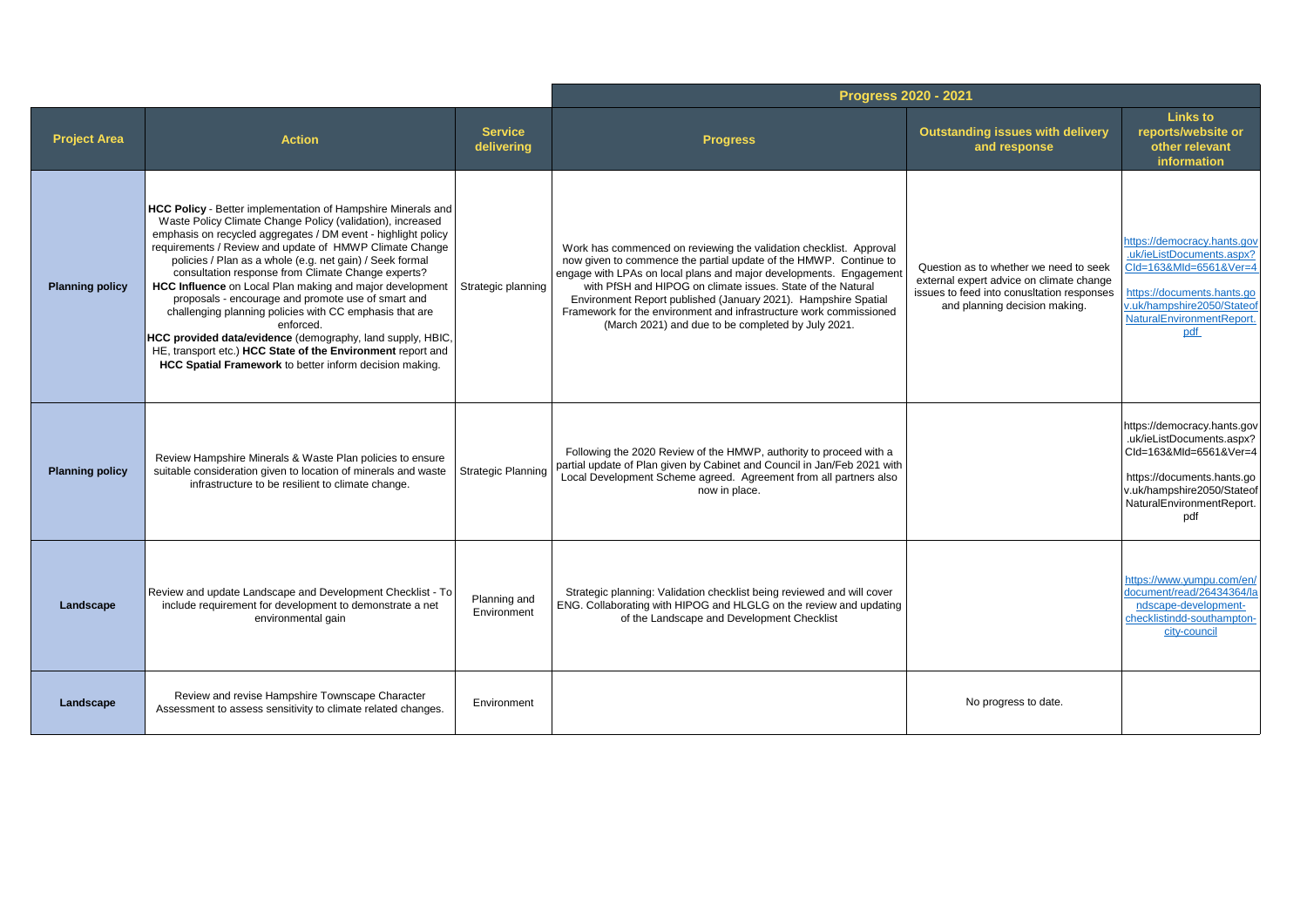|                        |                                                                                                                                                                                                                                                                                                                                                                                                                                                                                                                                                                                                                                                                                                                                                            |                              | Progress 2020 - 2021                                                                                                                                                                                                                                                                                                                                                                                                                                                       |                                                                                                                                                                   |                                                                                                                                                                                    |
|------------------------|------------------------------------------------------------------------------------------------------------------------------------------------------------------------------------------------------------------------------------------------------------------------------------------------------------------------------------------------------------------------------------------------------------------------------------------------------------------------------------------------------------------------------------------------------------------------------------------------------------------------------------------------------------------------------------------------------------------------------------------------------------|------------------------------|----------------------------------------------------------------------------------------------------------------------------------------------------------------------------------------------------------------------------------------------------------------------------------------------------------------------------------------------------------------------------------------------------------------------------------------------------------------------------|-------------------------------------------------------------------------------------------------------------------------------------------------------------------|------------------------------------------------------------------------------------------------------------------------------------------------------------------------------------|
| <b>Project Area</b>    | <b>Action</b>                                                                                                                                                                                                                                                                                                                                                                                                                                                                                                                                                                                                                                                                                                                                              | <b>Service</b><br>delivering | <b>Progress</b>                                                                                                                                                                                                                                                                                                                                                                                                                                                            | <b>Outstanding issues with delivery</b><br>and response                                                                                                           | <b>Links to</b><br>reports/website or<br>other relevant<br>information                                                                                                             |
| <b>Planning policy</b> | HCC Policy - Better implementation of Hampshire Minerals and<br>Waste Policy Climate Change Policy (validation), increased<br>emphasis on recycled aggregates / DM event - highlight policy<br>requirements / Review and update of HMWP Climate Change<br>policies / Plan as a whole (e.g. net gain) / Seek formal<br>consultation response from Climate Change experts?<br>HCC Influence on Local Plan making and major development<br>proposals - encourage and promote use of smart and<br>challenging planning policies with CC emphasis that are<br>enforced.<br>HCC provided data/evidence (demography, land supply, HBIC,<br>HE, transport etc.) HCC State of the Environment report and<br>HCC Spatial Framework to better inform decision making. | Strategic planning           | Work has commenced on reviewing the validation checklist. Approval<br>now given to commence the partial update of the HMWP. Continue to<br>engage with LPAs on local plans and major developments. Engagement<br>with PfSH and HIPOG on climate issues. State of the Natural<br>Environment Report published (January 2021). Hampshire Spatial<br>Framework for the environment and infrastructure work commissioned<br>(March 2021) and due to be completed by July 2021. | Question as to whether we need to seek<br>external expert advice on climate change<br>issues to feed into conusltation responses<br>and planning decision making. | https://democracy.hants.gov<br>.uk/ieListDocuments.aspx?<br>Cld=163&Mld=6561&Ver=4<br>https://documents.hants.go<br>v.uk/hampshire2050/Stateof<br>NaturalEnvironmentReport.<br>pdf |
| <b>Planning policy</b> | Review Hampshire Minerals & Waste Plan policies to ensure<br>suitable consideration given to location of minerals and waste<br>infrastructure to be resilient to climate change.                                                                                                                                                                                                                                                                                                                                                                                                                                                                                                                                                                           | <b>Strategic Planning</b>    | Following the 2020 Review of the HMWP, authority to proceed with a<br>partial update of Plan given by Cabinet and Council in Jan/Feb 2021 with<br>Local Development Scheme agreed. Agreement from all partners also<br>now in place.                                                                                                                                                                                                                                       |                                                                                                                                                                   | https://democracy.hants.gov<br>.uk/ieListDocuments.aspx?<br>Cld=163&Mld=6561&Ver=4<br>https://documents.hants.go<br>v.uk/hampshire2050/Stateof<br>NaturalEnvironmentReport.<br>pdf |
| Landscape              | Review and update Landscape and Development Checklist - To<br>include requirement for development to demonstrate a net<br>environmental gain                                                                                                                                                                                                                                                                                                                                                                                                                                                                                                                                                                                                               | Planning and<br>Environment  | Strategic planning: Validation checklist being reviewed and will cover<br>ENG. Collaborating with HIPOG and HLGLG on the review and updating<br>of the Landscape and Development Checklist                                                                                                                                                                                                                                                                                 |                                                                                                                                                                   | https://www.vumpu.com/en/<br>document/read/26434364/la<br>ndscape-development-<br>checklistindd-southampton-<br>city-council                                                       |
| Landscape              | Review and revise Hampshire Townscape Character<br>Assessment to assess sensitivity to climate related changes.                                                                                                                                                                                                                                                                                                                                                                                                                                                                                                                                                                                                                                            | Environment                  |                                                                                                                                                                                                                                                                                                                                                                                                                                                                            | No progress to date.                                                                                                                                              |                                                                                                                                                                                    |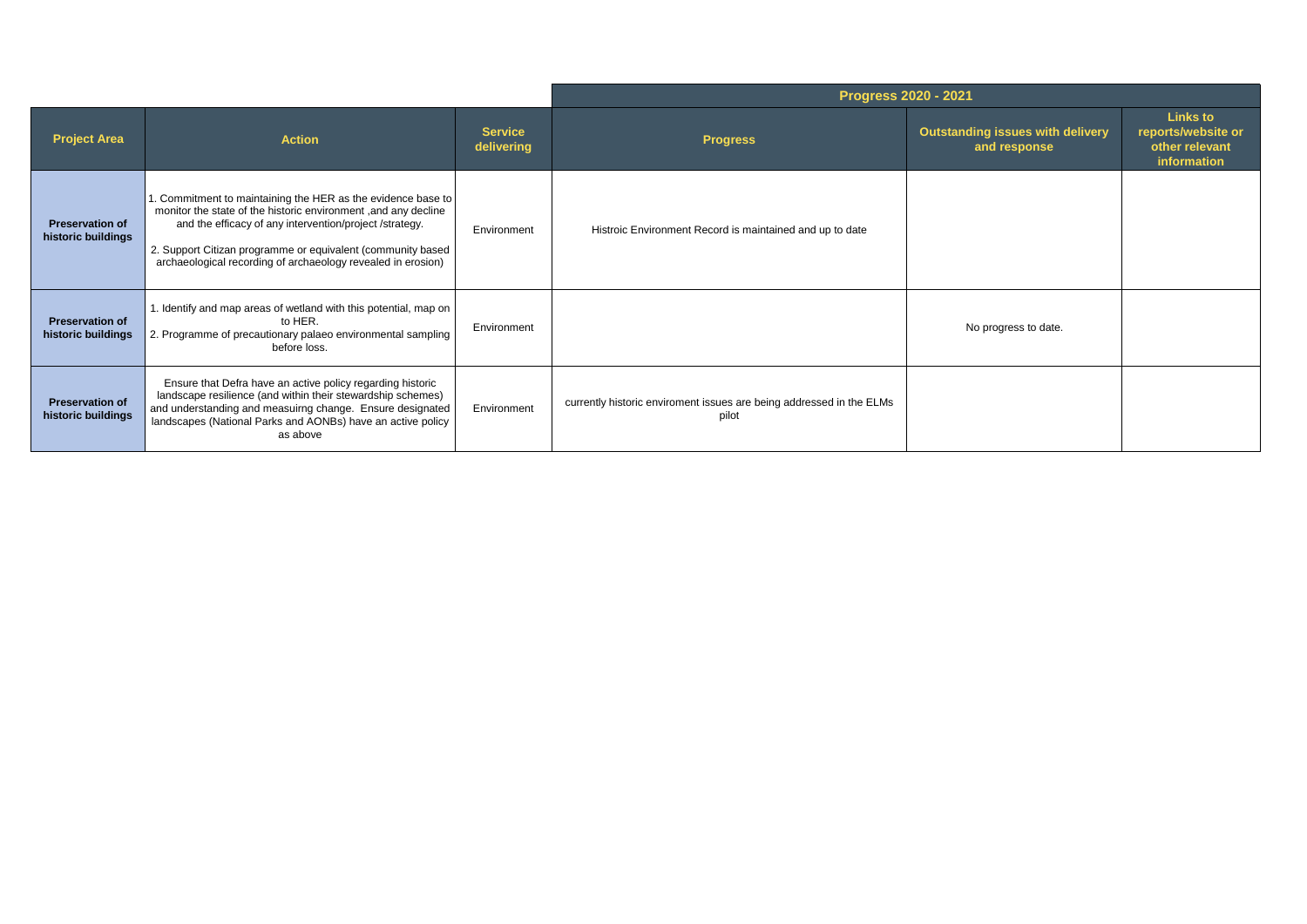|                                              |                                                                                                                                                                                                                                                                                                                         | Progress 2020 - 2021         |                                                                               |                                                         |                                                                        |
|----------------------------------------------|-------------------------------------------------------------------------------------------------------------------------------------------------------------------------------------------------------------------------------------------------------------------------------------------------------------------------|------------------------------|-------------------------------------------------------------------------------|---------------------------------------------------------|------------------------------------------------------------------------|
| <b>Project Area</b>                          | <b>Action</b>                                                                                                                                                                                                                                                                                                           | <b>Service</b><br>delivering | <b>Progress</b>                                                               | <b>Outstanding issues with delivery</b><br>and response | <b>Links to</b><br>reports/website or<br>other relevant<br>information |
| <b>Preservation of</b><br>historic buildings | . Commitment to maintaining the HER as the evidence base to<br>monitor the state of the historic environment, and any decline<br>and the efficacy of any intervention/project /strategy.<br>2. Support Citizan programme or equivalent (community based<br>archaeological recording of archaeology revealed in erosion) | Environment                  | Histroic Environment Record is maintained and up to date                      |                                                         |                                                                        |
| <b>Preservation of</b><br>historic buildings | 1. Identify and map areas of wetland with this potential, map on<br>to HER.<br>2. Programme of precautionary palaeo environmental sampling<br>before loss.                                                                                                                                                              | Environment                  |                                                                               | No progress to date.                                    |                                                                        |
| <b>Preservation of</b><br>historic buildings | Ensure that Defra have an active policy regarding historic<br>landscape resilience (and within their stewardship schemes)<br>and understanding and measuirng change. Ensure designated<br>landscapes (National Parks and AONBs) have an active policy<br>as above                                                       | Environment                  | currently historic enviroment issues are being addressed in the ELMs<br>pilot |                                                         |                                                                        |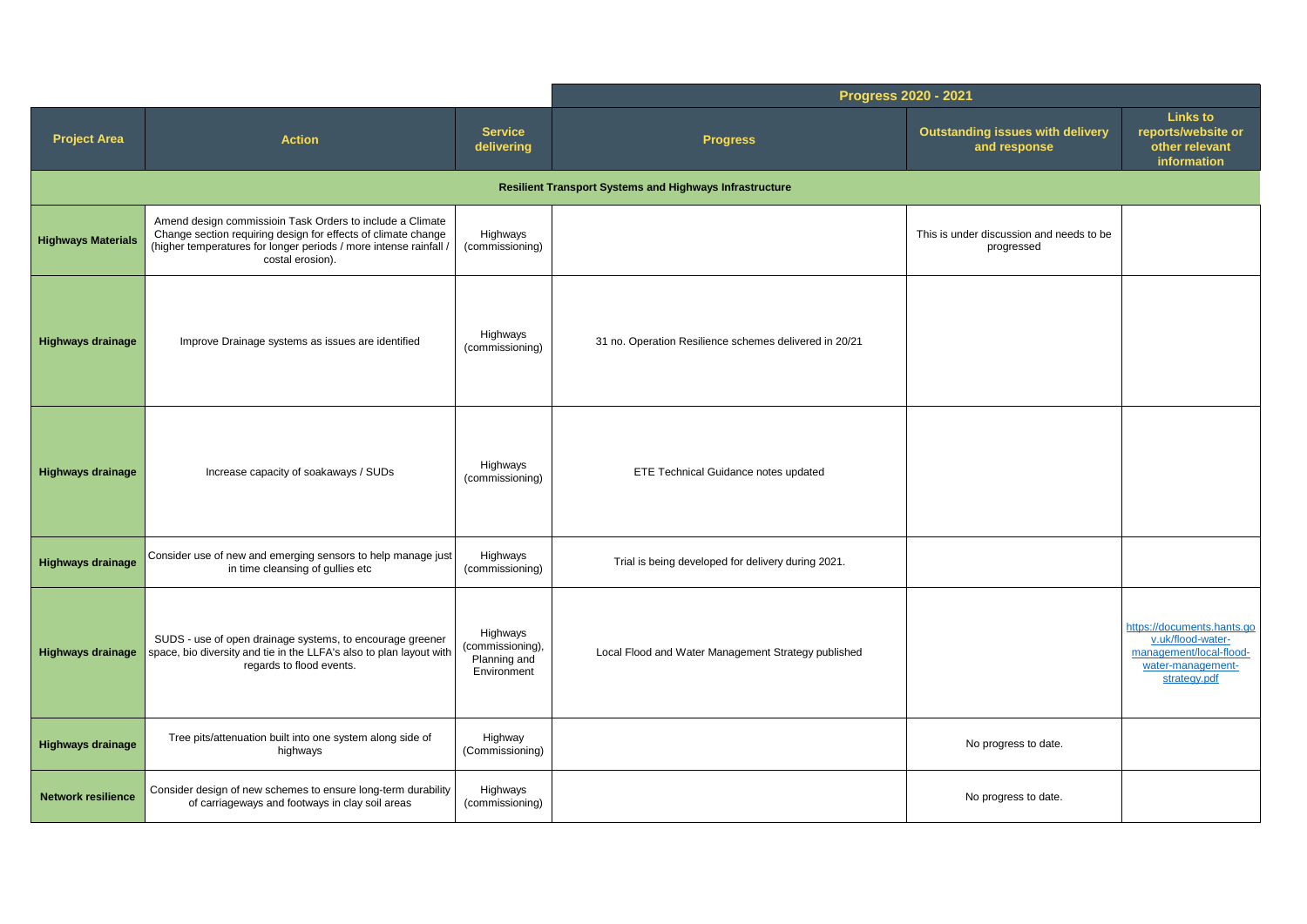|                           |                                                                                                                                                                                                                     |                                                             | Progress 2020 - 2021                                           |                                                         |                                                                                                                 |
|---------------------------|---------------------------------------------------------------------------------------------------------------------------------------------------------------------------------------------------------------------|-------------------------------------------------------------|----------------------------------------------------------------|---------------------------------------------------------|-----------------------------------------------------------------------------------------------------------------|
| <b>Project Area</b>       | <b>Action</b>                                                                                                                                                                                                       | <b>Service</b><br>delivering                                | <b>Progress</b>                                                | <b>Outstanding issues with delivery</b><br>and response | Links to<br>reports/website or<br>other relevant<br>information                                                 |
|                           |                                                                                                                                                                                                                     |                                                             | <b>Resilient Transport Systems and Highways Infrastructure</b> |                                                         |                                                                                                                 |
| <b>Highways Materials</b> | Amend design commissioin Task Orders to include a Climate<br>Change section requiring design for effects of climate change<br>(higher temperatures for longer periods / more intense rainfall /<br>costal erosion). | Highways<br>(commissioning)                                 |                                                                | This is under discussion and needs to be<br>progressed  |                                                                                                                 |
| <b>Highways drainage</b>  | Improve Drainage systems as issues are identified                                                                                                                                                                   | Highways<br>(commissioning)                                 | 31 no. Operation Resilience schemes delivered in 20/21         |                                                         |                                                                                                                 |
| <b>Highways drainage</b>  | Increase capacity of soakaways / SUDs                                                                                                                                                                               | Highways<br>(commissioning)                                 | ETE Technical Guidance notes updated                           |                                                         |                                                                                                                 |
| <b>Highways drainage</b>  | Consider use of new and emerging sensors to help manage just<br>in time cleansing of gullies etc                                                                                                                    | Highways<br>(commissioning)                                 | Trial is being developed for delivery during 2021.             |                                                         |                                                                                                                 |
| <b>Highways drainage</b>  | SUDS - use of open drainage systems, to encourage greener<br>space, bio diversity and tie in the LLFA's also to plan layout with<br>regards to flood events.                                                        | Highways<br>(commissioning),<br>Planning and<br>Environment | Local Flood and Water Management Strategy published            |                                                         | https://documents.hants.go<br>v.uk/flood-water-<br>management/local-flood-<br>water-management-<br>strategy.pdf |
| <b>Highways drainage</b>  | Tree pits/attenuation built into one system along side of<br>highways                                                                                                                                               | Highway<br>(Commissioning)                                  |                                                                | No progress to date.                                    |                                                                                                                 |
| <b>Network resilience</b> | Consider design of new schemes to ensure long-term durability<br>of carriageways and footways in clay soil areas                                                                                                    | Highways<br>(commissioning)                                 |                                                                | No progress to date.                                    |                                                                                                                 |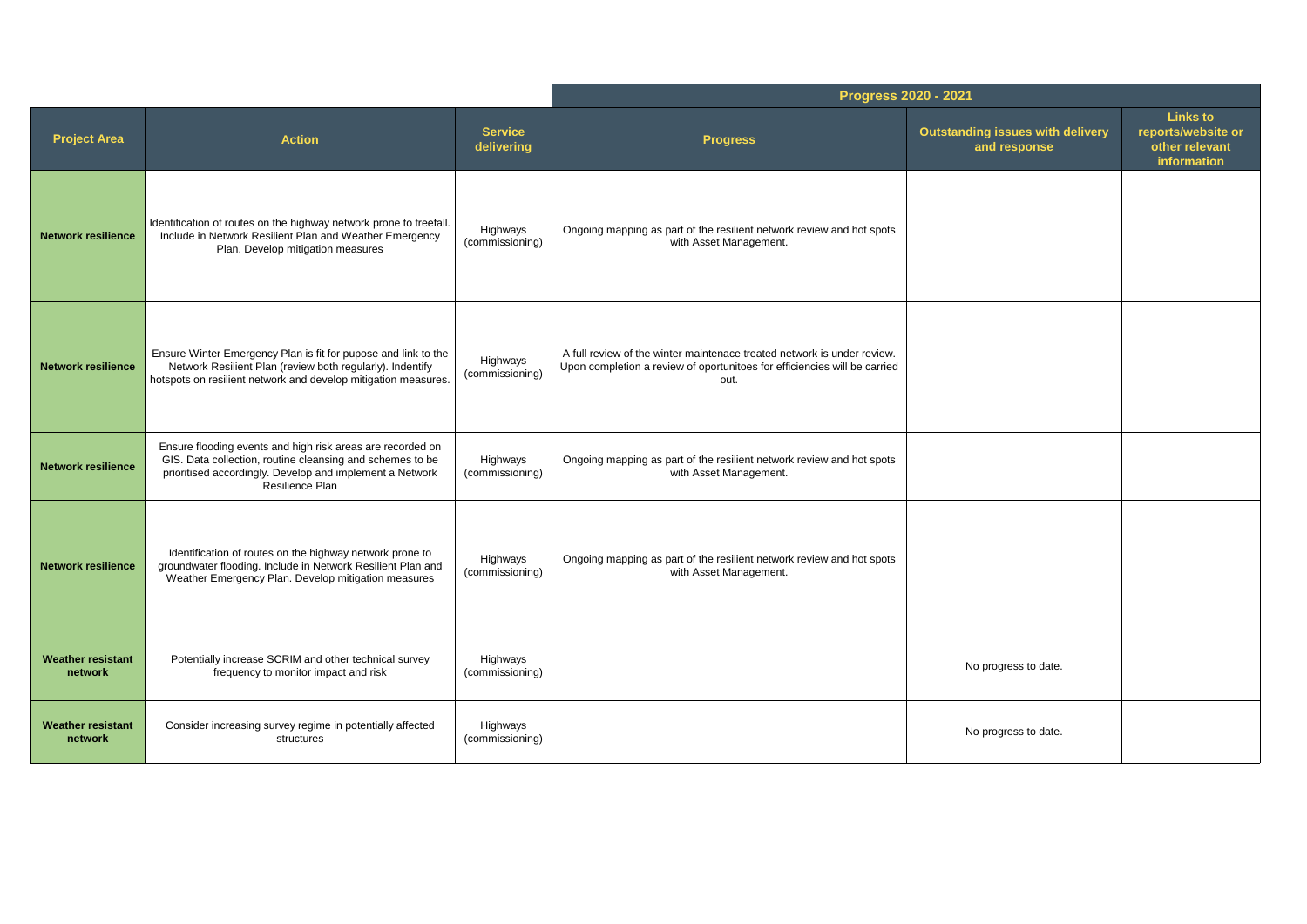|                                     |                                                                                                                                                                                                        |                              | Progress 2020 - 2021                                                                                                                                         |                                                         |                                                                        |
|-------------------------------------|--------------------------------------------------------------------------------------------------------------------------------------------------------------------------------------------------------|------------------------------|--------------------------------------------------------------------------------------------------------------------------------------------------------------|---------------------------------------------------------|------------------------------------------------------------------------|
| <b>Project Area</b>                 | <b>Action</b>                                                                                                                                                                                          | <b>Service</b><br>delivering | <b>Progress</b>                                                                                                                                              | <b>Outstanding issues with delivery</b><br>and response | <b>Links to</b><br>reports/website or<br>other relevant<br>information |
| <b>Network resilience</b>           | Identification of routes on the highway network prone to treefall.<br>Include in Network Resilient Plan and Weather Emergency<br>Plan. Develop mitigation measures                                     | Highways<br>(commissioning)  | Ongoing mapping as part of the resilient network review and hot spots<br>with Asset Management.                                                              |                                                         |                                                                        |
| <b>Network resilience</b>           | Ensure Winter Emergency Plan is fit for pupose and link to the<br>Network Resilient Plan (review both regularly). Indentify<br>hotspots on resilient network and develop mitigation measures.          | Highways<br>(commissioning)  | A full review of the winter maintenace treated network is under review.<br>Upon completion a review of oportunitoes for efficiencies will be carried<br>out. |                                                         |                                                                        |
| <b>Network resilience</b>           | Ensure flooding events and high risk areas are recorded on<br>GIS. Data collection, routine cleansing and schemes to be<br>prioritised accordingly. Develop and implement a Network<br>Resilience Plan | Highways<br>(commissioning)  | Ongoing mapping as part of the resilient network review and hot spots<br>with Asset Management.                                                              |                                                         |                                                                        |
| <b>Network resilience</b>           | Identification of routes on the highway network prone to<br>groundwater flooding. Include in Network Resilient Plan and<br>Weather Emergency Plan. Develop mitigation measures                         | Highways<br>(commissioning)  | Ongoing mapping as part of the resilient network review and hot spots<br>with Asset Management.                                                              |                                                         |                                                                        |
| <b>Weather resistant</b><br>network | Potentially increase SCRIM and other technical survey<br>frequency to monitor impact and risk                                                                                                          | Highways<br>(commissioning)  |                                                                                                                                                              | No progress to date.                                    |                                                                        |
| <b>Weather resistant</b><br>network | Consider increasing survey regime in potentially affected<br>structures                                                                                                                                | Highways<br>(commissioning)  |                                                                                                                                                              | No progress to date.                                    |                                                                        |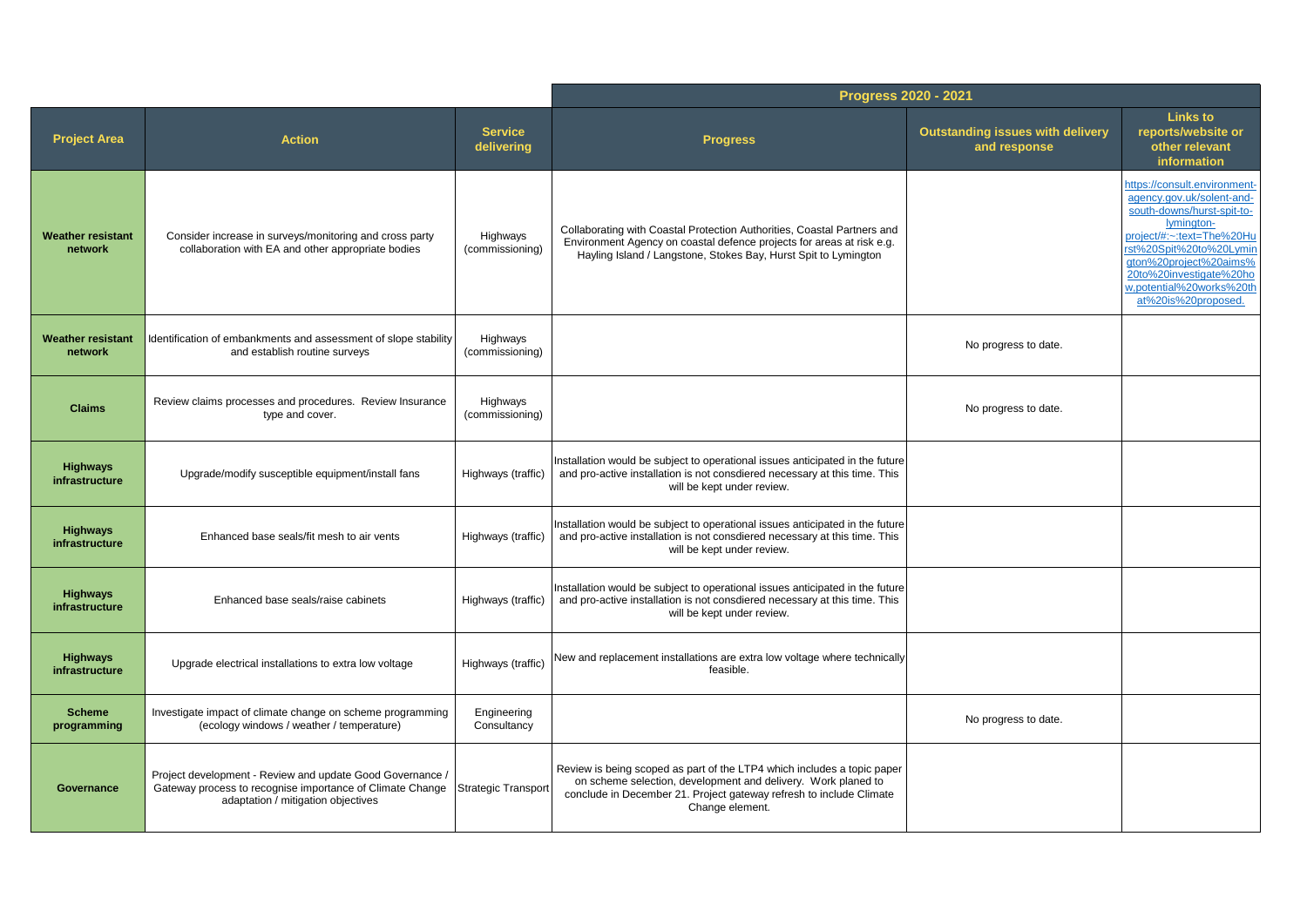|                                     |                                                                                                                                                                                  |                              | Progress 2020 - 2021                                                                                                                                                                                                               |                                                         |                                                                                                                                                                                                                                                                       |
|-------------------------------------|----------------------------------------------------------------------------------------------------------------------------------------------------------------------------------|------------------------------|------------------------------------------------------------------------------------------------------------------------------------------------------------------------------------------------------------------------------------|---------------------------------------------------------|-----------------------------------------------------------------------------------------------------------------------------------------------------------------------------------------------------------------------------------------------------------------------|
| <b>Project Area</b>                 | <b>Action</b>                                                                                                                                                                    | <b>Service</b><br>delivering | <b>Progress</b>                                                                                                                                                                                                                    | <b>Outstanding issues with delivery</b><br>and response | <b>Links to</b><br>reports/website or<br>other relevant<br>information                                                                                                                                                                                                |
| <b>Weather resistant</b><br>network | Consider increase in surveys/monitoring and cross party<br>collaboration with EA and other appropriate bodies                                                                    | Highways<br>(commissioning)  | Collaborating with Coastal Protection Authorities, Coastal Partners and<br>Environment Agency on coastal defence projects for areas at risk e.g.<br>Hayling Island / Langstone, Stokes Bay, Hurst Spit to Lymington                |                                                         | https://consult.environment-<br>agency.gov.uk/solent-and-<br>south-downs/hurst-spit-to-<br>lymington-<br>project/#:~:text=The%20Hu<br>rst%20Spit%20to%20Lvmin<br>gton%20project%20aims%<br>20to%20investigate%20ho<br>w.potential%20works%20th<br>at%20is%20proposed. |
| <b>Weather resistant</b><br>network | Identification of embankments and assessment of slope stability<br>and establish routine surveys                                                                                 | Highways<br>(commissioning)  |                                                                                                                                                                                                                                    | No progress to date.                                    |                                                                                                                                                                                                                                                                       |
| <b>Claims</b>                       | Review claims processes and procedures. Review Insurance<br>type and cover.                                                                                                      | Highways<br>(commissioning)  |                                                                                                                                                                                                                                    | No progress to date.                                    |                                                                                                                                                                                                                                                                       |
| <b>Highways</b><br>infrastructure   | Upgrade/modify susceptible equipment/install fans                                                                                                                                | Highways (traffic)           | Installation would be subject to operational issues anticipated in the future<br>and pro-active installation is not consdiered necessary at this time. This<br>will be kept under review.                                          |                                                         |                                                                                                                                                                                                                                                                       |
| <b>Highways</b><br>infrastructure   | Enhanced base seals/fit mesh to air vents                                                                                                                                        | Highways (traffic)           | Installation would be subject to operational issues anticipated in the future<br>and pro-active installation is not consdiered necessary at this time. This<br>will be kept under review.                                          |                                                         |                                                                                                                                                                                                                                                                       |
| <b>Highways</b><br>infrastructure   | Enhanced base seals/raise cabinets                                                                                                                                               | Highways (traffic)           | Installation would be subject to operational issues anticipated in the future<br>and pro-active installation is not consdiered necessary at this time. This<br>will be kept under review.                                          |                                                         |                                                                                                                                                                                                                                                                       |
| <b>Highways</b><br>infrastructure   | Upgrade electrical installations to extra low voltage                                                                                                                            | Highways (traffic)           | New and replacement installations are extra low voltage where technically<br>feasible.                                                                                                                                             |                                                         |                                                                                                                                                                                                                                                                       |
| <b>Scheme</b><br>programming        | Investigate impact of climate change on scheme programming<br>(ecology windows / weather / temperature)                                                                          | Engineering<br>Consultancy   |                                                                                                                                                                                                                                    | No progress to date.                                    |                                                                                                                                                                                                                                                                       |
| Governance                          | Project development - Review and update Good Governance /<br>Gateway process to recognise importance of Climate Change Strategic Transport<br>adaptation / mitigation objectives |                              | Review is being scoped as part of the LTP4 which includes a topic paper<br>on scheme selection, development and delivery. Work planed to<br>conclude in December 21. Project gateway refresh to include Climate<br>Change element. |                                                         |                                                                                                                                                                                                                                                                       |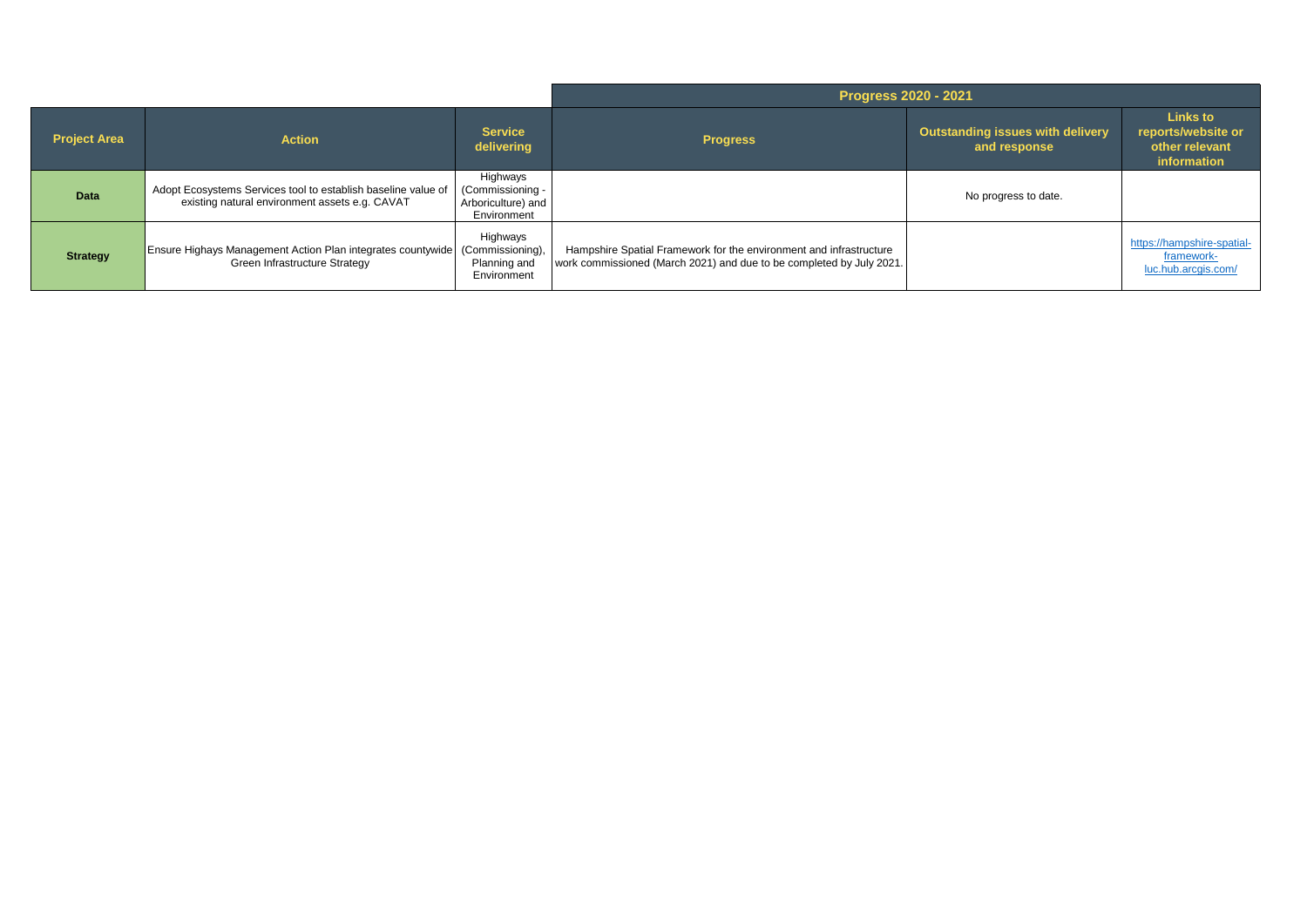|                     |                                                                                                                      |                                                                   | <b>Progress 2020 - 2021</b>                                                                                                                |                                                  |                                                                        |
|---------------------|----------------------------------------------------------------------------------------------------------------------|-------------------------------------------------------------------|--------------------------------------------------------------------------------------------------------------------------------------------|--------------------------------------------------|------------------------------------------------------------------------|
| <b>Project Area</b> | <b>Action</b>                                                                                                        | <b>Service</b><br>delivering                                      | <b>Progress</b>                                                                                                                            | Outstanding issues with delivery<br>and response | <b>Links to</b><br>reports/website or<br>other relevant<br>information |
| Data                | Adopt Ecosystems Services tool to establish baseline value of<br>existing natural environment assets e.g. CAVAT      | Highways<br>(Commissioning -<br>Arboriculture) and<br>Environment |                                                                                                                                            | No progress to date.                             |                                                                        |
| <b>Strategy</b>     | <b>Ensure Highays Management Action Plan integrates countywide (Commissioning),</b><br>Green Infrastructure Strategy | Highways<br>Planning and<br>Environment                           | Hampshire Spatial Framework for the environment and infrastructure<br>work commissioned (March 2021) and due to be completed by July 2021. |                                                  | https://hampshire-spatial-<br>framework-<br>luc.hub.arcgis.com/        |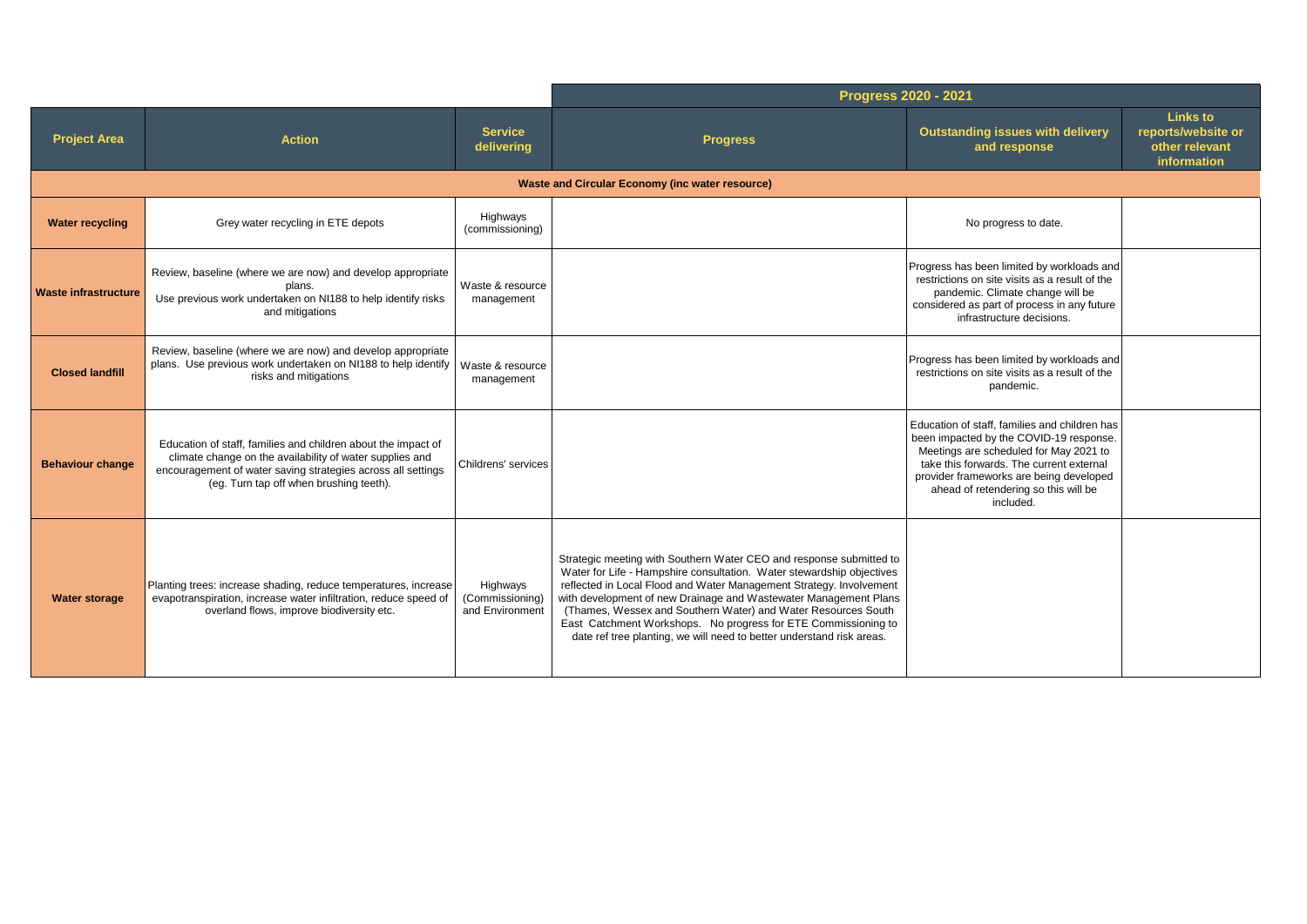|                             |                                                                                                                                                                                                                                      |                                                | <b>Progress 2020 - 2021</b>                                                                                                                                                                                                                                                                                                                                                                                                                                                                         |                                                                                                                                                                                                                                                                                |                                                                        |
|-----------------------------|--------------------------------------------------------------------------------------------------------------------------------------------------------------------------------------------------------------------------------------|------------------------------------------------|-----------------------------------------------------------------------------------------------------------------------------------------------------------------------------------------------------------------------------------------------------------------------------------------------------------------------------------------------------------------------------------------------------------------------------------------------------------------------------------------------------|--------------------------------------------------------------------------------------------------------------------------------------------------------------------------------------------------------------------------------------------------------------------------------|------------------------------------------------------------------------|
| <b>Project Area</b>         | <b>Action</b>                                                                                                                                                                                                                        | <b>Service</b><br>delivering                   | <b>Progress</b>                                                                                                                                                                                                                                                                                                                                                                                                                                                                                     | <b>Outstanding issues with delivery</b><br>and response                                                                                                                                                                                                                        | <b>Links to</b><br>reports/website or<br>other relevant<br>information |
|                             |                                                                                                                                                                                                                                      |                                                | <b>Waste and Circular Economy (inc water resource)</b>                                                                                                                                                                                                                                                                                                                                                                                                                                              |                                                                                                                                                                                                                                                                                |                                                                        |
| <b>Water recycling</b>      | Grey water recycling in ETE depots                                                                                                                                                                                                   | Highways<br>(commissioning)                    |                                                                                                                                                                                                                                                                                                                                                                                                                                                                                                     | No progress to date.                                                                                                                                                                                                                                                           |                                                                        |
| <b>Waste infrastructure</b> | Review, baseline (where we are now) and develop appropriate<br>plans.<br>Use previous work undertaken on NI188 to help identify risks<br>and mitigations                                                                             | Waste & resource<br>management                 |                                                                                                                                                                                                                                                                                                                                                                                                                                                                                                     | Progress has been limited by workloads and<br>restrictions on site visits as a result of the<br>pandemic. Climate change will be<br>considered as part of process in any future<br>infrastructure decisions.                                                                   |                                                                        |
| <b>Closed landfill</b>      | Review, baseline (where we are now) and develop appropriate<br>plans. Use previous work undertaken on NI188 to help identify<br>risks and mitigations                                                                                | Waste & resource<br>management                 |                                                                                                                                                                                                                                                                                                                                                                                                                                                                                                     | Progress has been limited by workloads and<br>restrictions on site visits as a result of the<br>pandemic.                                                                                                                                                                      |                                                                        |
| <b>Behaviour change</b>     | Education of staff, families and children about the impact of<br>climate change on the availability of water supplies and<br>encouragement of water saving strategies across all settings<br>(eg. Turn tap off when brushing teeth). | Childrens' services                            |                                                                                                                                                                                                                                                                                                                                                                                                                                                                                                     | Education of staff, families and children has<br>been impacted by the COVID-19 response.<br>Meetings are scheduled for May 2021 to<br>take this forwards. The current external<br>provider frameworks are being developed<br>ahead of retendering so this will be<br>included. |                                                                        |
| <b>Water storage</b>        | Planting trees: increase shading, reduce temperatures, increase<br>evapotranspiration, increase water infiltration, reduce speed of<br>overland flows, improve biodiversity etc.                                                     | Highways<br>(Commissioning)<br>and Environment | Strategic meeting with Southern Water CEO and response submitted to<br>Water for Life - Hampshire consultation. Water stewardship objectives<br>reflected in Local Flood and Water Management Strategy. Involvement<br>with development of new Drainage and Wastewater Management Plans<br>(Thames, Wessex and Southern Water) and Water Resources South<br>East Catchment Workshops. No progress for ETE Commissioning to<br>date ref tree planting, we will need to better understand risk areas. |                                                                                                                                                                                                                                                                                |                                                                        |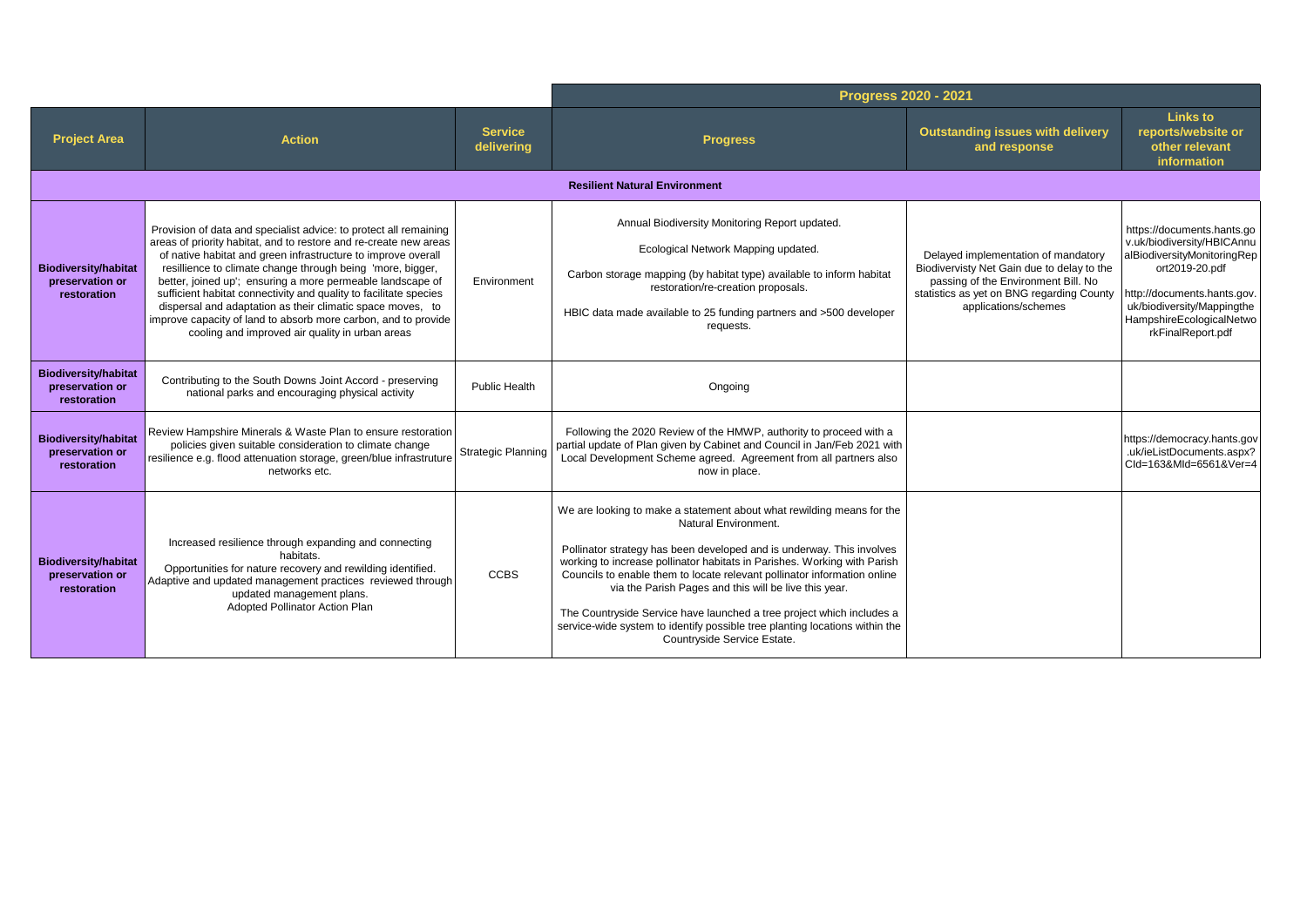|                                                               |                                                                                                                                                                                                                                                                                                                                                                                                                                                                                                                                                                                             |                              | Progress 2020 - 2021                                                                                                                                                                                                                                                                                                                                                                                                                                                                                                                                                           |                                                                                                                                                                                               |                                                                                                                                                                                                                         |
|---------------------------------------------------------------|---------------------------------------------------------------------------------------------------------------------------------------------------------------------------------------------------------------------------------------------------------------------------------------------------------------------------------------------------------------------------------------------------------------------------------------------------------------------------------------------------------------------------------------------------------------------------------------------|------------------------------|--------------------------------------------------------------------------------------------------------------------------------------------------------------------------------------------------------------------------------------------------------------------------------------------------------------------------------------------------------------------------------------------------------------------------------------------------------------------------------------------------------------------------------------------------------------------------------|-----------------------------------------------------------------------------------------------------------------------------------------------------------------------------------------------|-------------------------------------------------------------------------------------------------------------------------------------------------------------------------------------------------------------------------|
| <b>Project Area</b>                                           | <b>Action</b>                                                                                                                                                                                                                                                                                                                                                                                                                                                                                                                                                                               | <b>Service</b><br>delivering | <b>Progress</b>                                                                                                                                                                                                                                                                                                                                                                                                                                                                                                                                                                | <b>Outstanding issues with delivery</b><br>and response                                                                                                                                       | <b>Links to</b><br>reports/website or<br>other relevant<br>information                                                                                                                                                  |
|                                                               |                                                                                                                                                                                                                                                                                                                                                                                                                                                                                                                                                                                             |                              | <b>Resilient Natural Environment</b>                                                                                                                                                                                                                                                                                                                                                                                                                                                                                                                                           |                                                                                                                                                                                               |                                                                                                                                                                                                                         |
| <b>Biodiversity/habitat</b><br>preservation or<br>restoration | Provision of data and specialist advice: to protect all remaining<br>areas of priority habitat, and to restore and re-create new areas<br>of native habitat and green infrastructure to improve overall<br>resillience to climate change through being 'more, bigger,<br>better, joined up'; ensuring a more permeable landscape of<br>sufficient habitat connectivity and quality to facilitate species<br>dispersal and adaptation as their climatic space moves, to<br>improve capacity of land to absorb more carbon, and to provide<br>cooling and improved air quality in urban areas | Environment                  | Annual Biodiversity Monitoring Report updated.<br>Ecological Network Mapping updated.<br>Carbon storage mapping (by habitat type) available to inform habitat<br>restoration/re-creation proposals.<br>HBIC data made available to 25 funding partners and >500 developer<br>requests.                                                                                                                                                                                                                                                                                         | Delayed implementation of mandatory<br>Biodivervisty Net Gain due to delay to the<br>passing of the Environment Bill. No<br>statistics as yet on BNG regarding County<br>applications/schemes | https://documents.hants.go<br>v.uk/biodiversity/HBICAnnu<br>alBiodiversityMonitoringRep<br>ort2019-20.pdf<br>http://documents.hants.gov.<br>uk/biodiversity/Mappingthe<br>HampshireEcologicalNetwo<br>rkFinalReport.pdf |
| <b>Biodiversity/habitat</b><br>preservation or<br>restoration | Contributing to the South Downs Joint Accord - preserving<br>national parks and encouraging physical activity                                                                                                                                                                                                                                                                                                                                                                                                                                                                               | Public Health                | Ongoing                                                                                                                                                                                                                                                                                                                                                                                                                                                                                                                                                                        |                                                                                                                                                                                               |                                                                                                                                                                                                                         |
| <b>Biodiversity/habitat</b><br>preservation or<br>restoration | Review Hampshire Minerals & Waste Plan to ensure restoration<br>policies given suitable consideration to climate change<br>resilience e.g. flood attenuation storage, green/blue infrastruture<br>networks etc.                                                                                                                                                                                                                                                                                                                                                                             | <b>Strategic Planning</b>    | Following the 2020 Review of the HMWP, authority to proceed with a<br>partial update of Plan given by Cabinet and Council in Jan/Feb 2021 with<br>Local Development Scheme agreed. Agreement from all partners also<br>now in place.                                                                                                                                                                                                                                                                                                                                           |                                                                                                                                                                                               | https://democracy.hants.gov<br>.uk/ieListDocuments.aspx?<br>Cld=163&Mld=6561&Ver=4                                                                                                                                      |
| <b>Biodiversity/habitat</b><br>preservation or<br>restoration | Increased resilience through expanding and connecting<br>habitats.<br>Opportunities for nature recovery and rewilding identified.<br>Adaptive and updated management practices reviewed through<br>updated management plans.<br>Adopted Pollinator Action Plan                                                                                                                                                                                                                                                                                                                              | <b>CCBS</b>                  | We are looking to make a statement about what rewilding means for the<br>Natural Environment.<br>Pollinator strategy has been developed and is underway. This involves<br>working to increase pollinator habitats in Parishes. Working with Parish<br>Councils to enable them to locate relevant pollinator information online<br>via the Parish Pages and this will be live this year.<br>The Countryside Service have launched a tree project which includes a<br>service-wide system to identify possible tree planting locations within the<br>Countryside Service Estate. |                                                                                                                                                                                               |                                                                                                                                                                                                                         |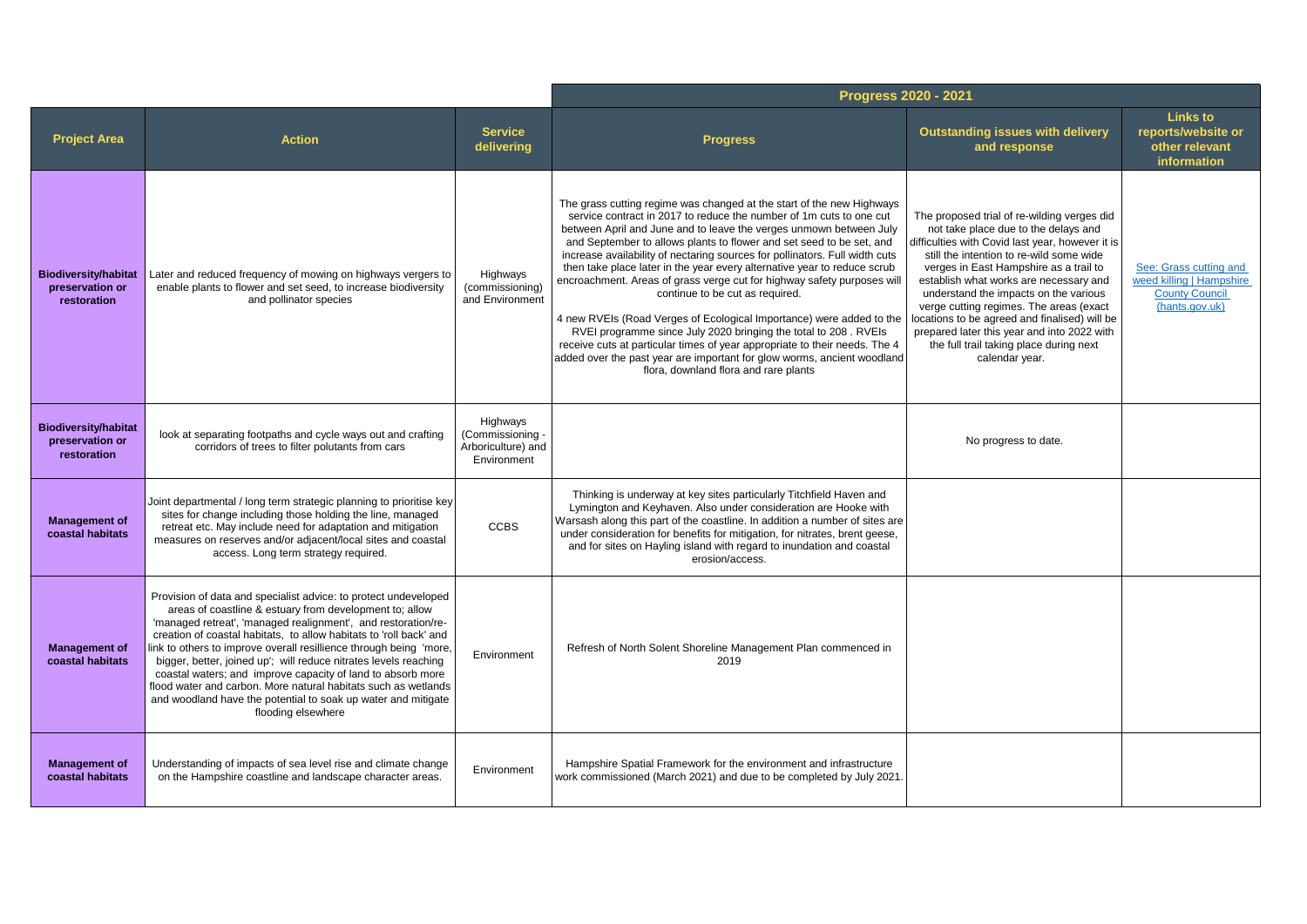|                                                               |                                                                                                                                                                                                                                                                                                                                                                                                                                                                                                                                                                                                                                     |                                                                   | Progress 2020 - 2021                                                                                                                                                                                                                                                                                                                                                                                                                                                                                                                                                                                                                                                                                                                                                                                                                                                                                             |                                                                                                                                                                                                                                                                                                                                                                                                                                                                                                                          |                                                                                               |
|---------------------------------------------------------------|-------------------------------------------------------------------------------------------------------------------------------------------------------------------------------------------------------------------------------------------------------------------------------------------------------------------------------------------------------------------------------------------------------------------------------------------------------------------------------------------------------------------------------------------------------------------------------------------------------------------------------------|-------------------------------------------------------------------|------------------------------------------------------------------------------------------------------------------------------------------------------------------------------------------------------------------------------------------------------------------------------------------------------------------------------------------------------------------------------------------------------------------------------------------------------------------------------------------------------------------------------------------------------------------------------------------------------------------------------------------------------------------------------------------------------------------------------------------------------------------------------------------------------------------------------------------------------------------------------------------------------------------|--------------------------------------------------------------------------------------------------------------------------------------------------------------------------------------------------------------------------------------------------------------------------------------------------------------------------------------------------------------------------------------------------------------------------------------------------------------------------------------------------------------------------|-----------------------------------------------------------------------------------------------|
| <b>Project Area</b>                                           | <b>Action</b>                                                                                                                                                                                                                                                                                                                                                                                                                                                                                                                                                                                                                       | <b>Service</b><br>delivering                                      | <b>Progress</b>                                                                                                                                                                                                                                                                                                                                                                                                                                                                                                                                                                                                                                                                                                                                                                                                                                                                                                  | <b>Outstanding issues with delivery</b><br>and response                                                                                                                                                                                                                                                                                                                                                                                                                                                                  | <b>Links to</b><br>reports/website or<br>other relevant<br>information                        |
| <b>Biodiversity/habitat</b><br>preservation or<br>restoration | Later and reduced frequency of mowing on highways vergers to<br>enable plants to flower and set seed, to increase biodiversity<br>and pollinator species                                                                                                                                                                                                                                                                                                                                                                                                                                                                            | Highways<br>(commissioning)<br>and Environment                    | The grass cutting regime was changed at the start of the new Highways<br>service contract in 2017 to reduce the number of 1m cuts to one cut<br>between April and June and to leave the verges unmown between July<br>and September to allows plants to flower and set seed to be set, and<br>increase availability of nectaring sources for pollinators. Full width cuts<br>then take place later in the year every alternative year to reduce scrub<br>encroachment. Areas of grass verge cut for highway safety purposes will<br>continue to be cut as required.<br>4 new RVEIs (Road Verges of Ecological Importance) were added to the<br>RVEI programme since July 2020 bringing the total to 208. RVEIs<br>receive cuts at particular times of year appropriate to their needs. The 4<br>added over the past year are important for glow worms, ancient woodland<br>flora, downland flora and rare plants | The proposed trial of re-wilding verges did<br>not take place due to the delays and<br>difficulties with Covid last year, however it is<br>still the intention to re-wild some wide<br>verges in East Hampshire as a trail to<br>establish what works are necessary and<br>understand the impacts on the various<br>verge cutting regimes. The areas (exact<br>locations to be agreed and finalised) will be<br>prepared later this year and into 2022 with<br>the full trail taking place during next<br>calendar year. | See: Grass cutting and<br>weed killing   Hampshire<br><b>County Council</b><br>(hants.gov.uk) |
| <b>Biodiversity/habitat</b><br>preservation or<br>restoration | look at separating footpaths and cycle ways out and crafting<br>corridors of trees to filter polutants from cars                                                                                                                                                                                                                                                                                                                                                                                                                                                                                                                    | Highways<br>(Commissioning -<br>Arboriculture) and<br>Environment |                                                                                                                                                                                                                                                                                                                                                                                                                                                                                                                                                                                                                                                                                                                                                                                                                                                                                                                  | No progress to date.                                                                                                                                                                                                                                                                                                                                                                                                                                                                                                     |                                                                                               |
| <b>Management of</b><br>coastal habitats                      | Joint departmental / long term strategic planning to prioritise key<br>sites for change including those holding the line, managed<br>retreat etc. May include need for adaptation and mitigation<br>measures on reserves and/or adjacent/local sites and coastal<br>access. Long term strategy required.                                                                                                                                                                                                                                                                                                                            | <b>CCBS</b>                                                       | Thinking is underway at key sites particularly Titchfield Haven and<br>Lymington and Keyhaven. Also under consideration are Hooke with<br>Warsash along this part of the coastline. In addition a number of sites are<br>under consideration for benefits for mitigation, for nitrates, brent geese,<br>and for sites on Hayling island with regard to inundation and coastal<br>erosion/access.                                                                                                                                                                                                                                                                                                                                                                                                                                                                                                                 |                                                                                                                                                                                                                                                                                                                                                                                                                                                                                                                          |                                                                                               |
| <b>Management of</b><br>coastal habitats                      | Provision of data and specialist advice: to protect undeveloped<br>areas of coastline & estuary from development to; allow<br>'managed retreat', 'managed realignment', and restoration/re-<br>creation of coastal habitats, to allow habitats to 'roll back' and<br>link to others to improve overall resillience through being 'more,<br>bigger, better, joined up'; will reduce nitrates levels reaching<br>coastal waters; and improve capacity of land to absorb more<br>flood water and carbon. More natural habitats such as wetlands<br>and woodland have the potential to soak up water and mitigate<br>flooding elsewhere | Environment                                                       | Refresh of North Solent Shoreline Management Plan commenced in<br>2019                                                                                                                                                                                                                                                                                                                                                                                                                                                                                                                                                                                                                                                                                                                                                                                                                                           |                                                                                                                                                                                                                                                                                                                                                                                                                                                                                                                          |                                                                                               |
| <b>Management of</b><br>coastal habitats                      | Understanding of impacts of sea level rise and climate change<br>on the Hampshire coastline and landscape character areas.                                                                                                                                                                                                                                                                                                                                                                                                                                                                                                          | Environment                                                       | Hampshire Spatial Framework for the environment and infrastructure<br>work commissioned (March 2021) and due to be completed by July 2021.                                                                                                                                                                                                                                                                                                                                                                                                                                                                                                                                                                                                                                                                                                                                                                       |                                                                                                                                                                                                                                                                                                                                                                                                                                                                                                                          |                                                                                               |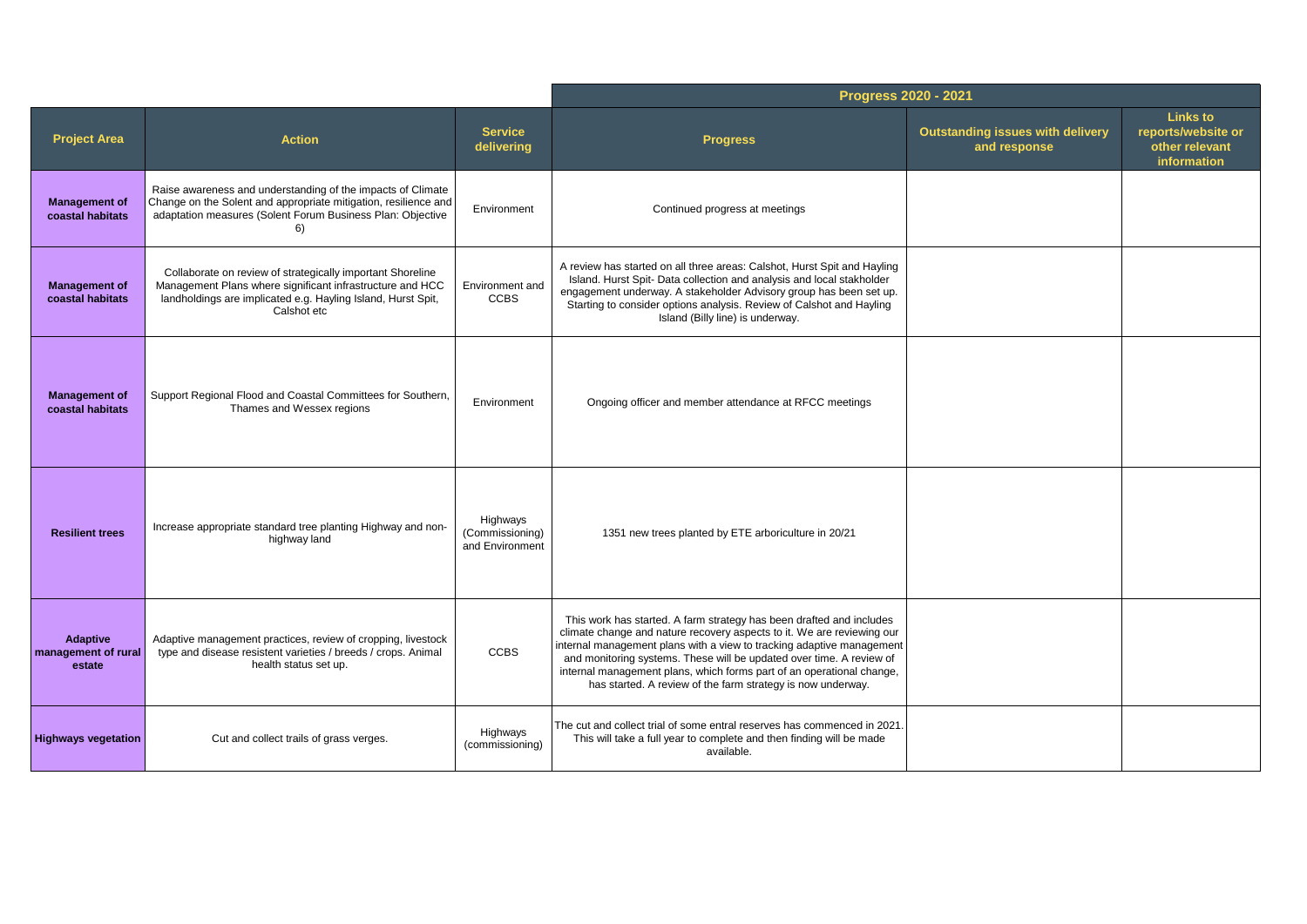|                                           |                                                                                                                                                                                                        |                                                | Progress 2020 - 2021                                                                                                                                                                                                                                                                                                                                                                                                                    |                                                         |                                                                        |
|-------------------------------------------|--------------------------------------------------------------------------------------------------------------------------------------------------------------------------------------------------------|------------------------------------------------|-----------------------------------------------------------------------------------------------------------------------------------------------------------------------------------------------------------------------------------------------------------------------------------------------------------------------------------------------------------------------------------------------------------------------------------------|---------------------------------------------------------|------------------------------------------------------------------------|
| <b>Project Area</b>                       | <b>Action</b>                                                                                                                                                                                          | <b>Service</b><br>delivering                   | <b>Progress</b>                                                                                                                                                                                                                                                                                                                                                                                                                         | <b>Outstanding issues with delivery</b><br>and response | <b>Links to</b><br>reports/website or<br>other relevant<br>information |
| <b>Management of</b><br>coastal habitats  | Raise awareness and understanding of the impacts of Climate<br>Change on the Solent and appropriate mitigation, resilience and<br>adaptation measures (Solent Forum Business Plan: Objective<br>6)     | Environment                                    | Continued progress at meetings                                                                                                                                                                                                                                                                                                                                                                                                          |                                                         |                                                                        |
| <b>Management of</b><br>coastal habitats  | Collaborate on review of strategically important Shoreline<br>Management Plans where significant infrastructure and HCC<br>landholdings are implicated e.g. Hayling Island, Hurst Spit,<br>Calshot etc | Environment and<br><b>CCBS</b>                 | A review has started on all three areas: Calshot, Hurst Spit and Hayling<br>Island. Hurst Spit-Data collection and analysis and local stakholder<br>engagement underway. A stakeholder Advisory group has been set up.<br>Starting to consider options analysis. Review of Calshot and Hayling<br>Island (Billy line) is underway.                                                                                                      |                                                         |                                                                        |
| <b>Management of</b><br>coastal habitats  | Support Regional Flood and Coastal Committees for Southern,<br>Thames and Wessex regions                                                                                                               | Environment                                    | Ongoing officer and member attendance at RFCC meetings                                                                                                                                                                                                                                                                                                                                                                                  |                                                         |                                                                        |
| <b>Resilient trees</b>                    | Increase appropriate standard tree planting Highway and non-<br>highway land                                                                                                                           | Highways<br>(Commissioning)<br>and Environment | 1351 new trees planted by ETE arboriculture in 20/21                                                                                                                                                                                                                                                                                                                                                                                    |                                                         |                                                                        |
| Adaptive<br>management of rural<br>estate | Adaptive management practices, review of cropping, livestock<br>type and disease resistent varieties / breeds / crops. Animal<br>health status set up.                                                 | <b>CCBS</b>                                    | This work has started. A farm strategy has been drafted and includes<br>climate change and nature recovery aspects to it. We are reviewing our<br>internal management plans with a view to tracking adaptive management<br>and monitoring systems. These will be updated over time. A review of<br>internal management plans, which forms part of an operational change,<br>has started. A review of the farm strategy is now underway. |                                                         |                                                                        |
| <b>Highways vegetation</b>                | Cut and collect trails of grass verges.                                                                                                                                                                | Highways<br>(commissioning)                    | The cut and collect trial of some entral reserves has commenced in 2021.<br>This will take a full year to complete and then finding will be made<br>available.                                                                                                                                                                                                                                                                          |                                                         |                                                                        |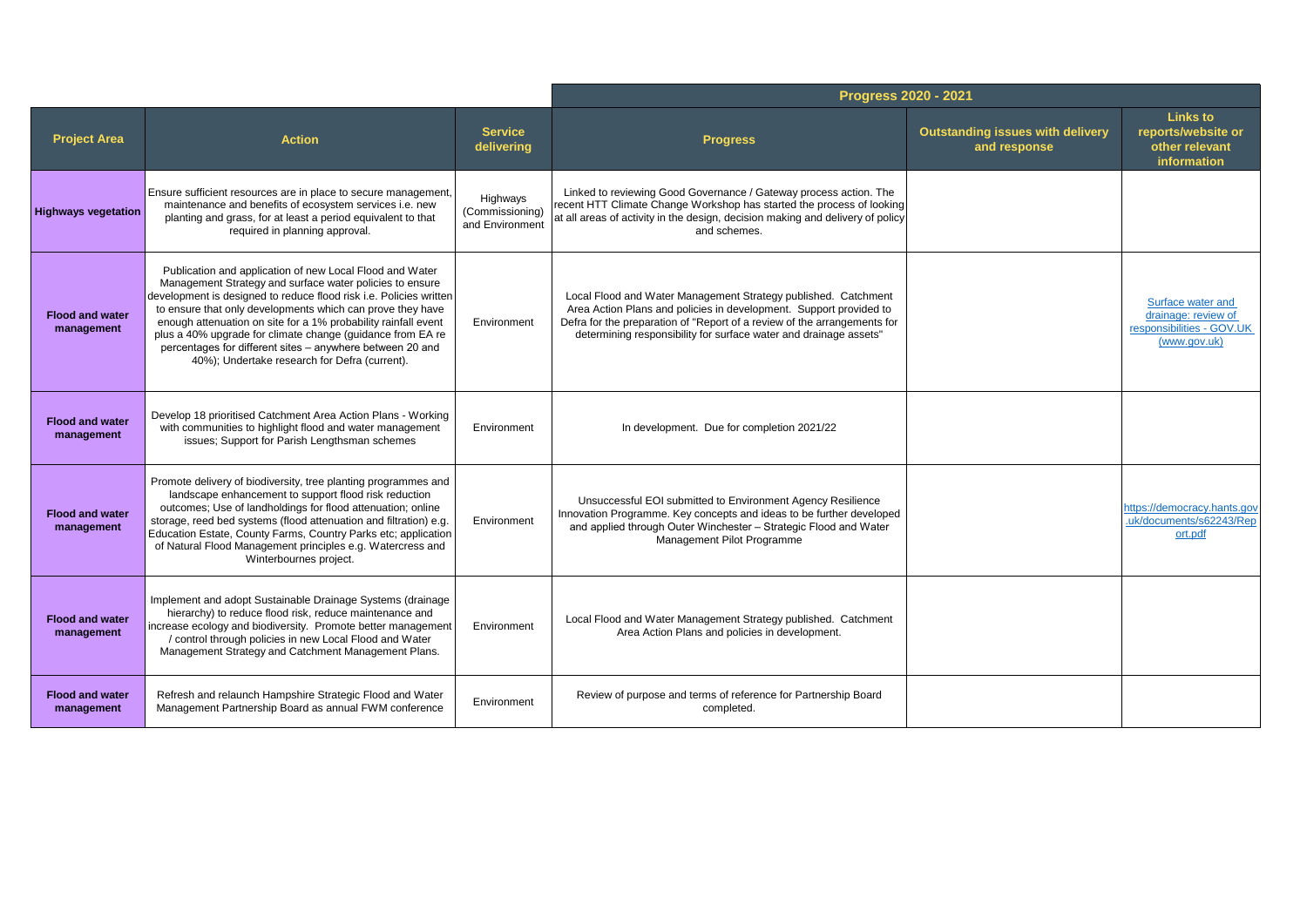|                                      |                                                                                                                                                                                                                                                                                                                                                                                                                                                                                                        |                                                | <b>Progress 2020 - 2021</b>                                                                                                                                                                                                                                                           |                                                         |                                                                                       |
|--------------------------------------|--------------------------------------------------------------------------------------------------------------------------------------------------------------------------------------------------------------------------------------------------------------------------------------------------------------------------------------------------------------------------------------------------------------------------------------------------------------------------------------------------------|------------------------------------------------|---------------------------------------------------------------------------------------------------------------------------------------------------------------------------------------------------------------------------------------------------------------------------------------|---------------------------------------------------------|---------------------------------------------------------------------------------------|
| <b>Project Area</b>                  | <b>Action</b>                                                                                                                                                                                                                                                                                                                                                                                                                                                                                          | <b>Service</b><br>delivering                   | <b>Progress</b>                                                                                                                                                                                                                                                                       | <b>Outstanding issues with delivery</b><br>and response | <b>Links to</b><br>reports/website or<br>other relevant<br>information                |
| <b>Highways vegetation</b>           | Ensure sufficient resources are in place to secure management,<br>maintenance and benefits of ecosystem services i.e. new<br>planting and grass, for at least a period equivalent to that<br>required in planning approval.                                                                                                                                                                                                                                                                            | Highways<br>(Commissioning)<br>and Environment | Linked to reviewing Good Governance / Gateway process action. The<br>recent HTT Climate Change Workshop has started the process of looking<br>at all areas of activity in the design, decision making and delivery of policy<br>and schemes.                                          |                                                         |                                                                                       |
| <b>Flood and water</b><br>management | Publication and application of new Local Flood and Water<br>Management Strategy and surface water policies to ensure<br>development is designed to reduce flood risk i.e. Policies written<br>to ensure that only developments which can prove they have<br>enough attenuation on site for a 1% probability rainfall event<br>plus a 40% upgrade for climate change (guidance from EA re<br>percentages for different sites - anywhere between 20 and<br>40%); Undertake research for Defra (current). | Environment                                    | Local Flood and Water Management Strategy published. Catchment<br>Area Action Plans and policies in development. Support provided to<br>Defra for the preparation of "Report of a review of the arrangements for<br>determining responsibility for surface water and drainage assets" |                                                         | Surface water and<br>drainage: review of<br>responsibilities - GOV.UK<br>(www.gov.uk) |
| <b>Flood and water</b><br>management | Develop 18 prioritised Catchment Area Action Plans - Working<br>with communities to highlight flood and water management<br>issues; Support for Parish Lengthsman schemes                                                                                                                                                                                                                                                                                                                              | Environment                                    | In development. Due for completion 2021/22                                                                                                                                                                                                                                            |                                                         |                                                                                       |
| <b>Flood and water</b><br>management | Promote delivery of biodiversity, tree planting programmes and<br>landscape enhancement to support flood risk reduction<br>outcomes; Use of landholdings for flood attenuation; online<br>storage, reed bed systems (flood attenuation and filtration) e.g.<br>Education Estate, County Farms, Country Parks etc; application<br>of Natural Flood Management principles e.g. Watercress and<br>Winterbournes project.                                                                                  | Environment                                    | Unsuccessful EOI submitted to Environment Agency Resilience<br>Innovation Programme. Key concepts and ideas to be further developed<br>and applied through Outer Winchester - Strategic Flood and Water<br>Management Pilot Programme                                                 |                                                         | https://democracy.hants.gov<br>.uk/documents/s62243/Rep<br>ort.pdf                    |
| <b>Flood and water</b><br>management | Implement and adopt Sustainable Drainage Systems (drainage<br>hierarchy) to reduce flood risk, reduce maintenance and<br>increase ecology and biodiversity. Promote better management<br>/ control through policies in new Local Flood and Water<br>Management Strategy and Catchment Management Plans.                                                                                                                                                                                                | Environment                                    | Local Flood and Water Management Strategy published. Catchment<br>Area Action Plans and policies in development.                                                                                                                                                                      |                                                         |                                                                                       |
| <b>Flood and water</b><br>management | Refresh and relaunch Hampshire Strategic Flood and Water<br>Management Partnership Board as annual FWM conference                                                                                                                                                                                                                                                                                                                                                                                      | Environment                                    | Review of purpose and terms of reference for Partnership Board<br>completed.                                                                                                                                                                                                          |                                                         |                                                                                       |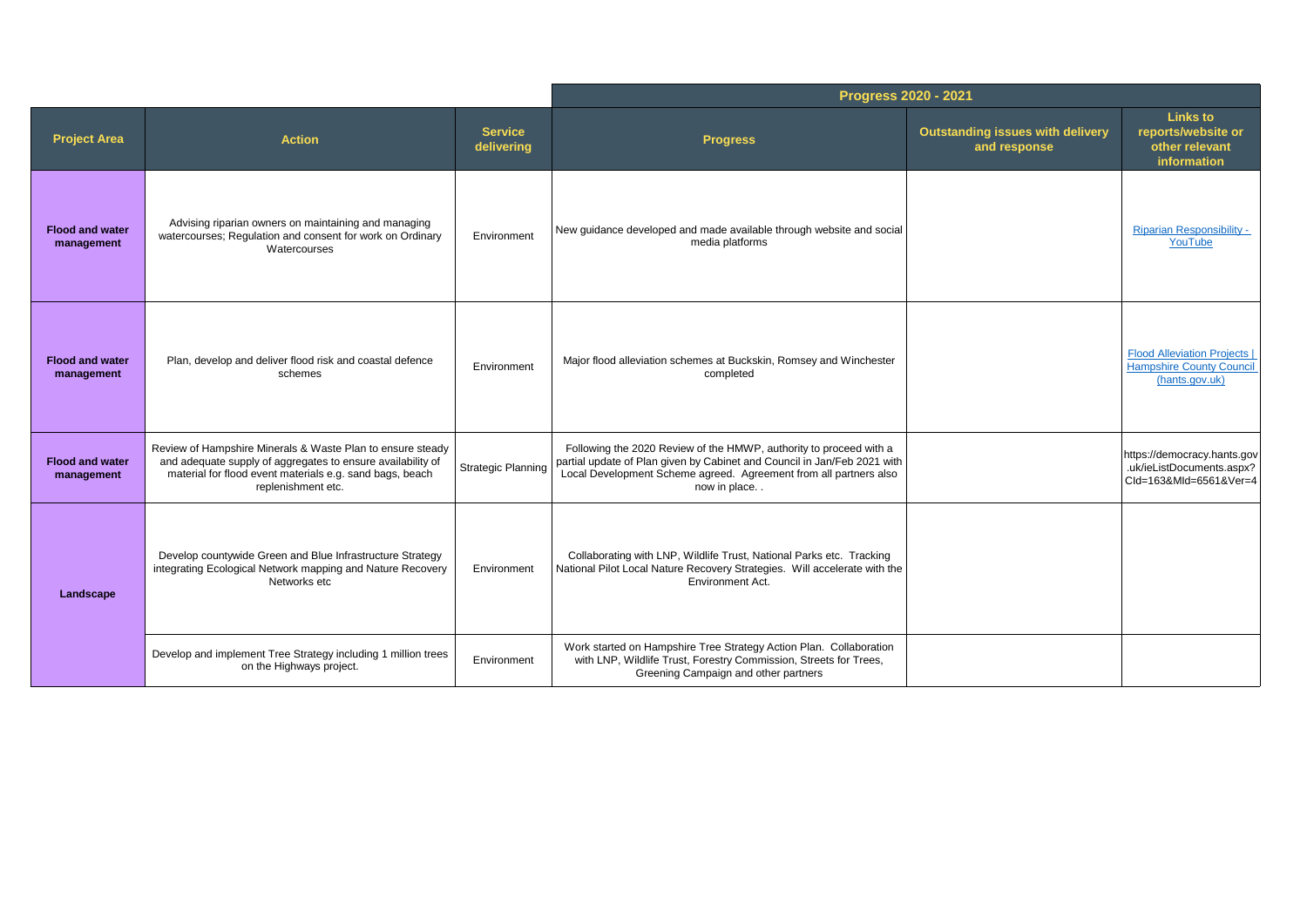|                                      |                                                                                                                                                                                                             |                              | Progress 2020 - 2021                                                                                                                                                                                                                |                                                         |                                                                                          |
|--------------------------------------|-------------------------------------------------------------------------------------------------------------------------------------------------------------------------------------------------------------|------------------------------|-------------------------------------------------------------------------------------------------------------------------------------------------------------------------------------------------------------------------------------|---------------------------------------------------------|------------------------------------------------------------------------------------------|
| <b>Project Area</b>                  | <b>Action</b>                                                                                                                                                                                               | <b>Service</b><br>delivering | <b>Progress</b>                                                                                                                                                                                                                     | <b>Outstanding issues with delivery</b><br>and response | <b>Links to</b><br>reports/website or<br>other relevant<br>information                   |
| <b>Flood and water</b><br>management | Advising riparian owners on maintaining and managing<br>watercourses; Regulation and consent for work on Ordinary<br>Watercourses                                                                           | Environment                  | New guidance developed and made available through website and social<br>media platforms                                                                                                                                             |                                                         | <b>Riparian Responsibility -</b><br>YouTube                                              |
| <b>Flood and water</b><br>management | Plan, develop and deliver flood risk and coastal defence<br>schemes                                                                                                                                         | Environment                  | Major flood alleviation schemes at Buckskin, Romsey and Winchester<br>completed                                                                                                                                                     |                                                         | <b>Flood Alleviation Projects I</b><br><b>Hampshire County Council</b><br>(hants.gov.uk) |
| <b>Flood and water</b><br>management | Review of Hampshire Minerals & Waste Plan to ensure steady<br>and adequate supply of aggregates to ensure availability of<br>material for flood event materials e.g. sand bags, beach<br>replenishment etc. | <b>Strategic Planning</b>    | Following the 2020 Review of the HMWP, authority to proceed with a<br>partial update of Plan given by Cabinet and Council in Jan/Feb 2021 with<br>Local Development Scheme agreed. Agreement from all partners also<br>now in place |                                                         | https://democracy.hants.gov<br>.uk/ieListDocuments.aspx?<br>Cld=163&Mld=6561&Ver=4       |
| Landscape                            | Develop countywide Green and Blue Infrastructure Strategy<br>integrating Ecological Network mapping and Nature Recovery<br>Networks etc                                                                     | Environment                  | Collaborating with LNP, Wildlife Trust, National Parks etc. Tracking<br>National Pilot Local Nature Recovery Strategies. Will accelerate with the<br>Environment Act.                                                               |                                                         |                                                                                          |
|                                      | Develop and implement Tree Strategy including 1 million trees<br>on the Highways project.                                                                                                                   | Environment                  | Work started on Hampshire Tree Strategy Action Plan. Collaboration<br>with LNP, Wildlife Trust, Forestry Commission, Streets for Trees,<br>Greening Campaign and other partners                                                     |                                                         |                                                                                          |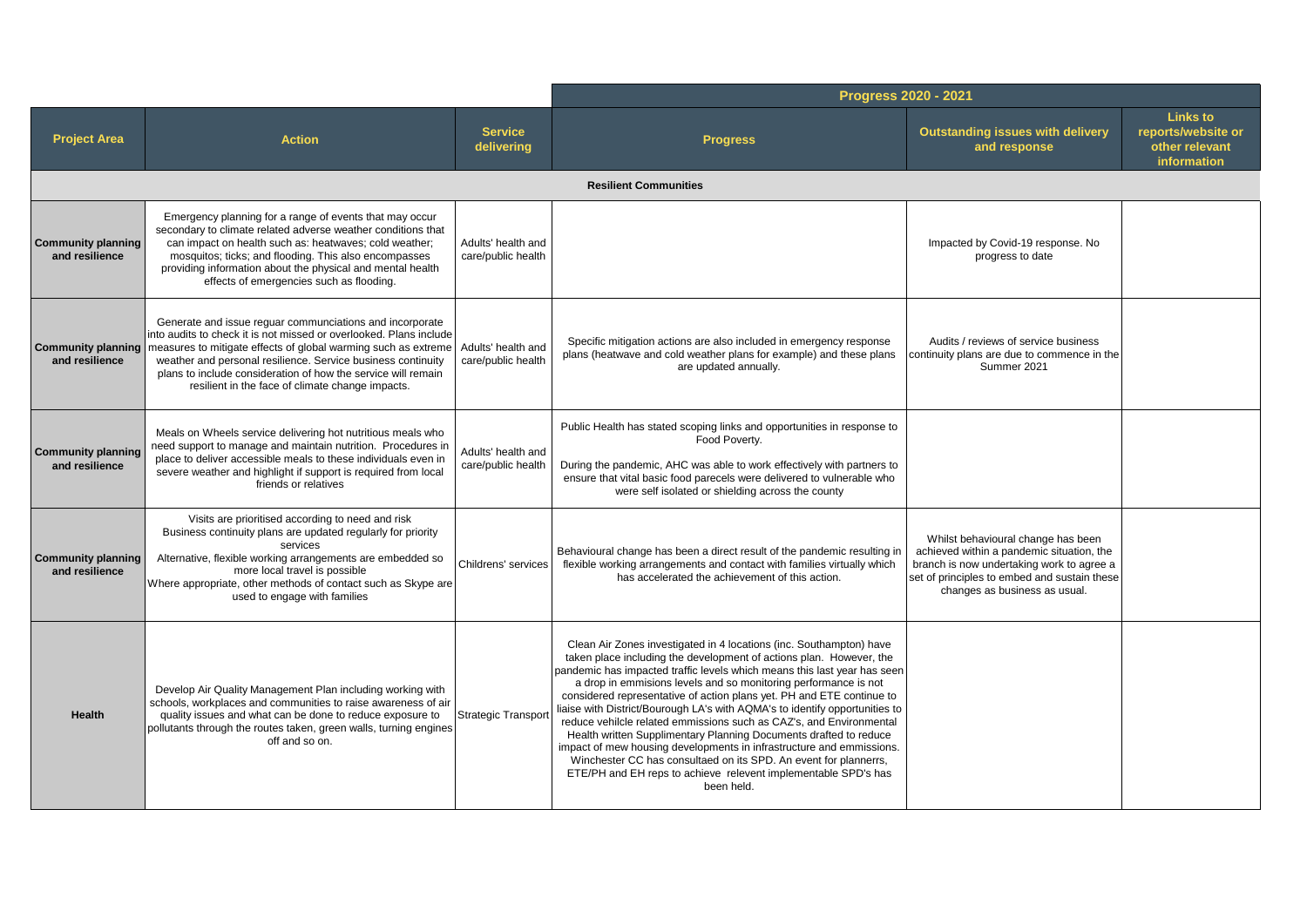|                                             |                                                                                                                                                                                                                                                                                                                                                                                       |                                          | Progress 2020 - 2021                                                                                                                                                                                                                                                                                                                                                                                                                                                                                                                                                                                                                                                                                                                                                                                                      |                                                                                                                                                                                                               |                                                                        |
|---------------------------------------------|---------------------------------------------------------------------------------------------------------------------------------------------------------------------------------------------------------------------------------------------------------------------------------------------------------------------------------------------------------------------------------------|------------------------------------------|---------------------------------------------------------------------------------------------------------------------------------------------------------------------------------------------------------------------------------------------------------------------------------------------------------------------------------------------------------------------------------------------------------------------------------------------------------------------------------------------------------------------------------------------------------------------------------------------------------------------------------------------------------------------------------------------------------------------------------------------------------------------------------------------------------------------------|---------------------------------------------------------------------------------------------------------------------------------------------------------------------------------------------------------------|------------------------------------------------------------------------|
| <b>Project Area</b>                         | <b>Action</b>                                                                                                                                                                                                                                                                                                                                                                         | <b>Service</b><br>delivering             | <b>Progress</b>                                                                                                                                                                                                                                                                                                                                                                                                                                                                                                                                                                                                                                                                                                                                                                                                           | <b>Outstanding issues with delivery</b><br>and response                                                                                                                                                       | <b>Links to</b><br>reports/website or<br>other relevant<br>information |
|                                             |                                                                                                                                                                                                                                                                                                                                                                                       |                                          | <b>Resilient Communities</b>                                                                                                                                                                                                                                                                                                                                                                                                                                                                                                                                                                                                                                                                                                                                                                                              |                                                                                                                                                                                                               |                                                                        |
| <b>Community planning</b><br>and resilience | Emergency planning for a range of events that may occur<br>secondary to climate related adverse weather conditions that<br>can impact on health such as: heatwaves; cold weather;<br>mosquitos; ticks; and flooding. This also encompasses<br>providing information about the physical and mental health<br>effects of emergencies such as flooding.                                  | Adults' health and<br>care/public health |                                                                                                                                                                                                                                                                                                                                                                                                                                                                                                                                                                                                                                                                                                                                                                                                                           | Impacted by Covid-19 response. No<br>progress to date                                                                                                                                                         |                                                                        |
| <b>Community planning</b><br>and resilience | Generate and issue reguar communciations and incorporate<br>into audits to check it is not missed or overlooked. Plans include<br>measures to mitigate effects of global warming such as extreme<br>weather and personal resilience. Service business continuity<br>plans to include consideration of how the service will remain<br>resilient in the face of climate change impacts. | Adults' health and<br>care/public health | Specific mitigation actions are also included in emergency response<br>plans (heatwave and cold weather plans for example) and these plans<br>are updated annually.                                                                                                                                                                                                                                                                                                                                                                                                                                                                                                                                                                                                                                                       | Audits / reviews of service business<br>continuity plans are due to commence in the<br>Summer 2021                                                                                                            |                                                                        |
| <b>Community planning</b><br>and resilience | Meals on Wheels service delivering hot nutritious meals who<br>need support to manage and maintain nutrition. Procedures in<br>place to deliver accessible meals to these individuals even in<br>severe weather and highlight if support is required from local<br>friends or relatives                                                                                               | Adults' health and<br>care/public health | Public Health has stated scoping links and opportunities in response to<br>Food Poverty.<br>During the pandemic, AHC was able to work effectively with partners to<br>ensure that vital basic food parecels were delivered to vulnerable who<br>were self isolated or shielding across the county                                                                                                                                                                                                                                                                                                                                                                                                                                                                                                                         |                                                                                                                                                                                                               |                                                                        |
| <b>Community planning</b><br>and resilience | Visits are prioritised according to need and risk<br>Business continuity plans are updated regularly for priority<br>services<br>Alternative, flexible working arrangements are embedded so<br>more local travel is possible<br>Where appropriate, other methods of contact such as Skype are<br>used to engage with families                                                         | Childrens' services                      | Behavioural change has been a direct result of the pandemic resulting in<br>flexible working arrangements and contact with families virtually which<br>has accelerated the achievement of this action.                                                                                                                                                                                                                                                                                                                                                                                                                                                                                                                                                                                                                    | Whilst behavioural change has been<br>achieved within a pandemic situation, the<br>branch is now undertaking work to agree a<br>set of principles to embed and sustain these<br>changes as business as usual. |                                                                        |
| Health                                      | Develop Air Quality Management Plan including working with<br>schools, workplaces and communities to raise awareness of air<br>quality issues and what can be done to reduce exposure to<br>pollutants through the routes taken, green walls, turning engines<br>off and so on.                                                                                                       | <b>Strategic Transport</b>               | Clean Air Zones investigated in 4 locations (inc. Southampton) have<br>taken place including the development of actions plan. However, the<br>pandemic has impacted traffic levels which means this last year has seen<br>a drop in emmisions levels and so monitoring performance is not<br>considered representative of action plans yet. PH and ETE continue to<br>liaise with District/Bourough LA's with AQMA's to identify opportunities to<br>reduce vehilcle related emmissions such as CAZ's, and Environmental<br>Health written Supplimentary Planning Documents drafted to reduce<br>impact of mew housing developments in infrastructure and emmissions.<br>Winchester CC has consultaed on its SPD. An event for plannerrs,<br>ETE/PH and EH reps to achieve relevent implementable SPD's has<br>been held. |                                                                                                                                                                                                               |                                                                        |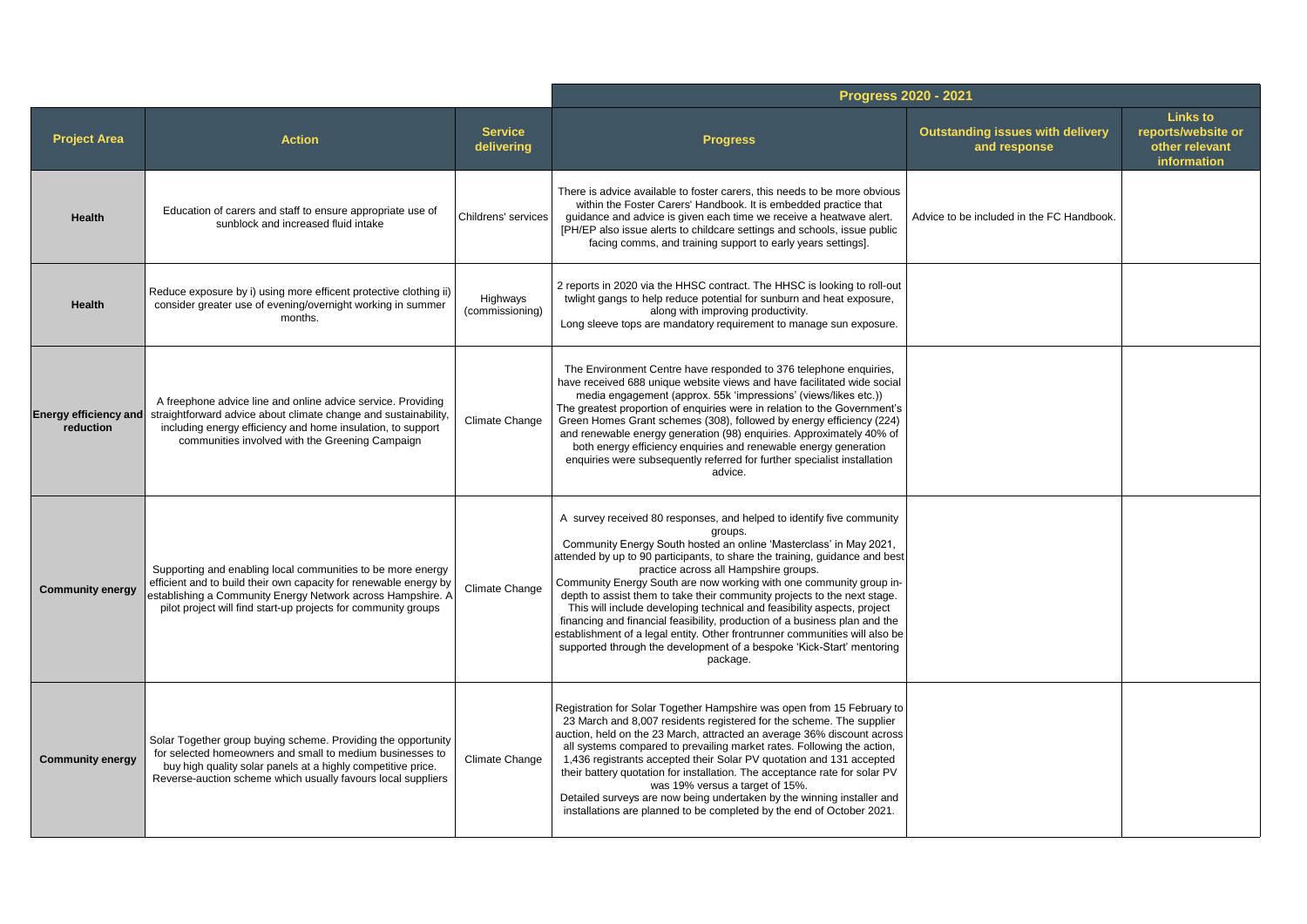|                                    |                                                                                                                                                                                                                                                                   |                              | Progress 2020 - 2021                                                                                                                                                                                                                                                                                                                                                                                                                                                                                                                                                                                                                                                                                                                                           |                                                         |                                                                        |
|------------------------------------|-------------------------------------------------------------------------------------------------------------------------------------------------------------------------------------------------------------------------------------------------------------------|------------------------------|----------------------------------------------------------------------------------------------------------------------------------------------------------------------------------------------------------------------------------------------------------------------------------------------------------------------------------------------------------------------------------------------------------------------------------------------------------------------------------------------------------------------------------------------------------------------------------------------------------------------------------------------------------------------------------------------------------------------------------------------------------------|---------------------------------------------------------|------------------------------------------------------------------------|
| <b>Project Area</b>                | <b>Action</b>                                                                                                                                                                                                                                                     | <b>Service</b><br>delivering | <b>Progress</b>                                                                                                                                                                                                                                                                                                                                                                                                                                                                                                                                                                                                                                                                                                                                                | <b>Outstanding issues with delivery</b><br>and response | <b>Links to</b><br>reports/website or<br>other relevant<br>information |
| <b>Health</b>                      | Education of carers and staff to ensure appropriate use of<br>sunblock and increased fluid intake                                                                                                                                                                 | Childrens' services          | There is advice available to foster carers, this needs to be more obvious<br>within the Foster Carers' Handbook. It is embedded practice that<br>guidance and advice is given each time we receive a heatwave alert.<br>[PH/EP also issue alerts to childcare settings and schools, issue public<br>facing comms, and training support to early years settings].                                                                                                                                                                                                                                                                                                                                                                                               | Advice to be included in the FC Handbook.               |                                                                        |
| Health                             | Reduce exposure by i) using more efficent protective clothing ii)<br>consider greater use of evening/overnight working in summer<br>months.                                                                                                                       | Highways<br>(commissioning)  | 2 reports in 2020 via the HHSC contract. The HHSC is looking to roll-out<br>twlight gangs to help reduce potential for sunburn and heat exposure,<br>along with improving productivity.<br>Long sleeve tops are mandatory requirement to manage sun exposure.                                                                                                                                                                                                                                                                                                                                                                                                                                                                                                  |                                                         |                                                                        |
| Energy efficiency and<br>reduction | A freephone advice line and online advice service. Providing<br>straightforward advice about climate change and sustainability,<br>including energy efficiency and home insulation, to support<br>communities involved with the Greening Campaign                 | Climate Change               | The Environment Centre have responded to 376 telephone enquiries,<br>have received 688 unique website views and have facilitated wide social<br>media engagement (approx. 55k 'impressions' (views/likes etc.))<br>The greatest proportion of enguiries were in relation to the Government's<br>Green Homes Grant schemes (308), followed by energy efficiency (224)<br>and renewable energy generation (98) enquiries. Approximately 40% of<br>both energy efficiency enquiries and renewable energy generation<br>enquiries were subsequently referred for further specialist installation<br>advice.                                                                                                                                                        |                                                         |                                                                        |
| <b>Community energy</b>            | Supporting and enabling local communities to be more energy<br>efficient and to build their own capacity for renewable energy by<br>establishing a Community Energy Network across Hampshire. A<br>pilot project will find start-up projects for community groups | Climate Change               | A survey received 80 responses, and helped to identify five community<br>groups.<br>Community Energy South hosted an online 'Masterclass' in May 2021,<br>attended by up to 90 participants, to share the training, guidance and best<br>practice across all Hampshire groups.<br>Community Energy South are now working with one community group in-<br>depth to assist them to take their community projects to the next stage.<br>This will include developing technical and feasibility aspects, project<br>financing and financial feasibility, production of a business plan and the<br>establishment of a legal entity. Other frontrunner communities will also be<br>supported through the development of a bespoke 'Kick-Start' mentoring<br>package. |                                                         |                                                                        |
| <b>Community energy</b>            | Solar Together group buying scheme. Providing the opportunity<br>for selected homeowners and small to medium businesses to<br>buy high quality solar panels at a highly competitive price.<br>Reverse-auction scheme which usually favours local suppliers        | Climate Change               | Registration for Solar Together Hampshire was open from 15 February to<br>23 March and 8,007 residents registered for the scheme. The supplier<br>auction, held on the 23 March, attracted an average 36% discount across<br>all systems compared to prevailing market rates. Following the action,<br>1,436 registrants accepted their Solar PV quotation and 131 accepted<br>their battery quotation for installation. The acceptance rate for solar PV<br>was 19% versus a target of 15%.<br>Detailed surveys are now being undertaken by the winning installer and<br>installations are planned to be completed by the end of October 2021.                                                                                                                |                                                         |                                                                        |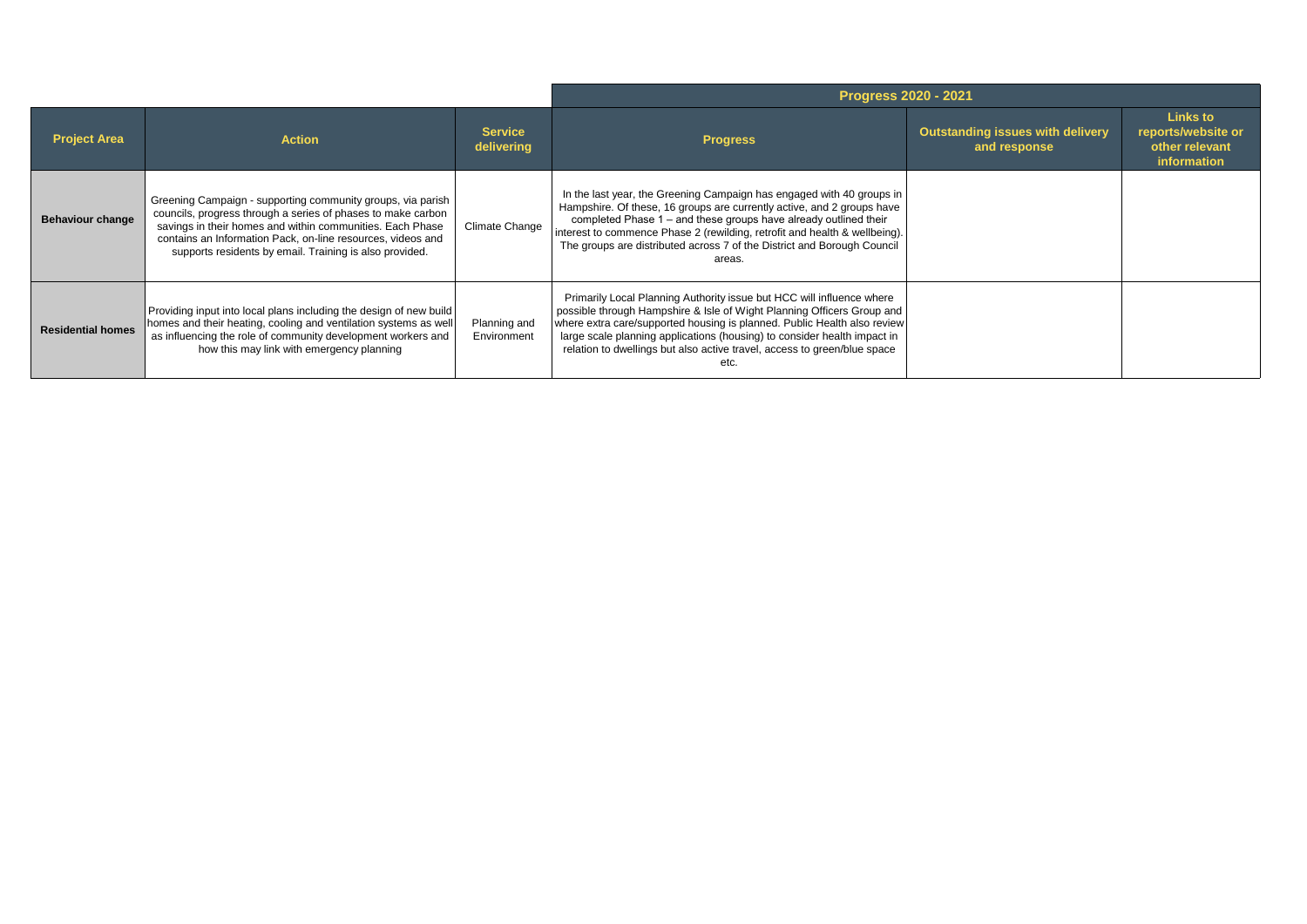|                          |                                                                                                                                                                                                                                                                                                                    |                              | <b>Progress 2020 - 2021</b>                                                                                                                                                                                                                                                                                                                                                                 |                                                         |                                                                 |
|--------------------------|--------------------------------------------------------------------------------------------------------------------------------------------------------------------------------------------------------------------------------------------------------------------------------------------------------------------|------------------------------|---------------------------------------------------------------------------------------------------------------------------------------------------------------------------------------------------------------------------------------------------------------------------------------------------------------------------------------------------------------------------------------------|---------------------------------------------------------|-----------------------------------------------------------------|
| <b>Project Area</b>      | <b>Action</b>                                                                                                                                                                                                                                                                                                      | <b>Service</b><br>delivering | <b>Progress</b>                                                                                                                                                                                                                                                                                                                                                                             | <b>Outstanding issues with delivery</b><br>and response | Links to<br>reports/website or<br>other relevant<br>information |
| <b>Behaviour change</b>  | Greening Campaign - supporting community groups, via parish<br>councils, progress through a series of phases to make carbon<br>savings in their homes and within communities. Each Phase<br>contains an Information Pack, on-line resources, videos and<br>supports residents by email. Training is also provided. | Climate Change               | In the last year, the Greening Campaign has engaged with 40 groups in<br>Hampshire. Of these, 16 groups are currently active, and 2 groups have<br>completed Phase 1 – and these groups have already outlined their<br>interest to commence Phase 2 (rewilding, retrofit and health & wellbeing).<br>The groups are distributed across 7 of the District and Borough Council<br>areas.      |                                                         |                                                                 |
| <b>Residential homes</b> | Providing input into local plans including the design of new build<br>homes and their heating, cooling and ventilation systems as well<br>as influencing the role of community development workers and<br>how this may link with emergency planning                                                                | Planning and<br>Environment  | Primarily Local Planning Authority issue but HCC will influence where<br>possible through Hampshire & Isle of Wight Planning Officers Group and<br>where extra care/supported housing is planned. Public Health also review<br>large scale planning applications (housing) to consider health impact in<br>relation to dwellings but also active travel, access to green/blue space<br>etc. |                                                         |                                                                 |